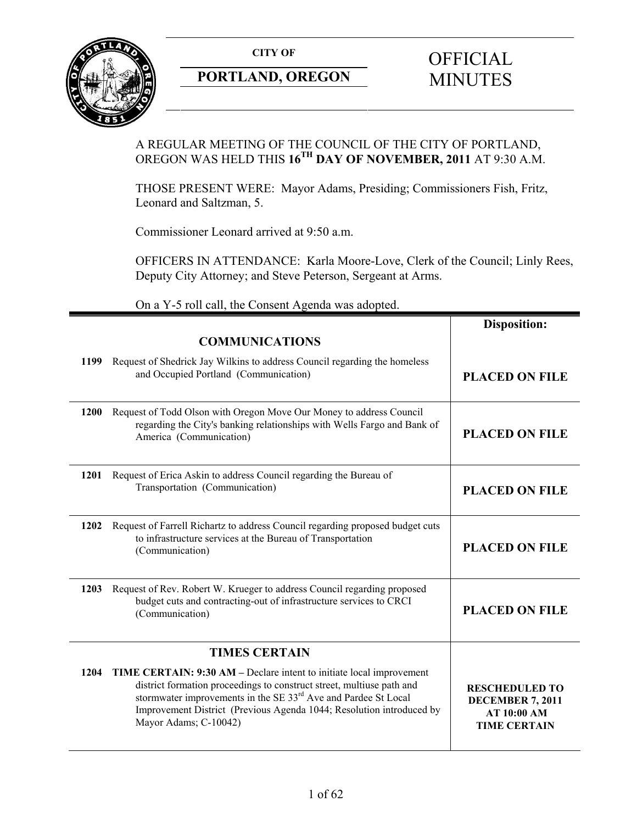**CITY OF** 



# **PORTLAND, OREGON**

# **OFFICIAL** MINUTES

# A REGULAR MEETING OF THE COUNCIL OF THE CITY OF PORTLAND, OREGON WAS HELD THIS **16TH DAY OF NOVEMBER, 2011** AT 9:30 A.M.

THOSE PRESENT WERE: Mayor Adams, Presiding; Commissioners Fish, Fritz, Leonard and Saltzman, 5.

Commissioner Leonard arrived at 9:50 a.m.

OFFICERS IN ATTENDANCE: Karla Moore-Love, Clerk of the Council; Linly Rees, Deputy City Attorney; and Steve Peterson, Sergeant at Arms.

On a Y-5 roll call, the Consent Agenda was adopted.

|      |                                                                                                                                                                                                                                                                                                                              | <b>Disposition:</b>                                                                           |
|------|------------------------------------------------------------------------------------------------------------------------------------------------------------------------------------------------------------------------------------------------------------------------------------------------------------------------------|-----------------------------------------------------------------------------------------------|
|      | <b>COMMUNICATIONS</b>                                                                                                                                                                                                                                                                                                        |                                                                                               |
| 1199 | Request of Shedrick Jay Wilkins to address Council regarding the homeless<br>and Occupied Portland (Communication)                                                                                                                                                                                                           | <b>PLACED ON FILE</b>                                                                         |
| 1200 | Request of Todd Olson with Oregon Move Our Money to address Council<br>regarding the City's banking relationships with Wells Fargo and Bank of<br>America (Communication)                                                                                                                                                    | <b>PLACED ON FILE</b>                                                                         |
| 1201 | Request of Erica Askin to address Council regarding the Bureau of<br>Transportation (Communication)                                                                                                                                                                                                                          | <b>PLACED ON FILE</b>                                                                         |
| 1202 | Request of Farrell Richartz to address Council regarding proposed budget cuts<br>to infrastructure services at the Bureau of Transportation<br>(Communication)                                                                                                                                                               | <b>PLACED ON FILE</b>                                                                         |
| 1203 | Request of Rev. Robert W. Krueger to address Council regarding proposed<br>budget cuts and contracting-out of infrastructure services to CRCI<br>(Communication)                                                                                                                                                             | <b>PLACED ON FILE</b>                                                                         |
|      | <b>TIMES CERTAIN</b>                                                                                                                                                                                                                                                                                                         |                                                                                               |
| 1204 | TIME CERTAIN: 9:30 AM – Declare intent to initiate local improvement<br>district formation proceedings to construct street, multiuse path and<br>stormwater improvements in the SE 33 <sup>rd</sup> Ave and Pardee St Local<br>Improvement District (Previous Agenda 1044; Resolution introduced by<br>Mayor Adams; C-10042) | <b>RESCHEDULED TO</b><br><b>DECEMBER 7, 2011</b><br><b>AT 10:00 AM</b><br><b>TIME CERTAIN</b> |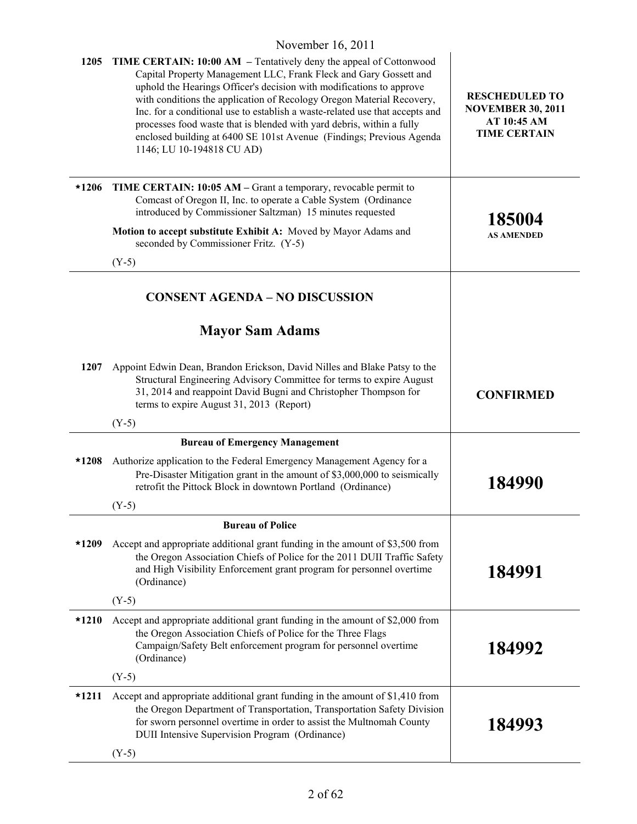|         | $11011100110$ , $2011$                                                                                                                                                                                                                                                                                                                                                                                                                                                                                                                                        |                                                                                         |
|---------|---------------------------------------------------------------------------------------------------------------------------------------------------------------------------------------------------------------------------------------------------------------------------------------------------------------------------------------------------------------------------------------------------------------------------------------------------------------------------------------------------------------------------------------------------------------|-----------------------------------------------------------------------------------------|
| 1205    | <b>TIME CERTAIN: 10:00 AM</b> – Tentatively deny the appeal of Cottonwood<br>Capital Property Management LLC, Frank Fleck and Gary Gossett and<br>uphold the Hearings Officer's decision with modifications to approve<br>with conditions the application of Recology Oregon Material Recovery,<br>Inc. for a conditional use to establish a waste-related use that accepts and<br>processes food waste that is blended with yard debris, within a fully<br>enclosed building at 6400 SE 101st Avenue (Findings; Previous Agenda<br>1146; LU 10-194818 CU AD) | <b>RESCHEDULED TO</b><br><b>NOVEMBER 30, 2011</b><br>AT 10:45 AM<br><b>TIME CERTAIN</b> |
| $*1206$ | TIME CERTAIN: 10:05 AM – Grant a temporary, revocable permit to<br>Comcast of Oregon II, Inc. to operate a Cable System (Ordinance<br>introduced by Commissioner Saltzman) 15 minutes requested<br>Motion to accept substitute Exhibit A: Moved by Mayor Adams and                                                                                                                                                                                                                                                                                            | 185004<br><b>AS AMENDED</b>                                                             |
|         | seconded by Commissioner Fritz. (Y-5)<br>$(Y-5)$                                                                                                                                                                                                                                                                                                                                                                                                                                                                                                              |                                                                                         |
|         |                                                                                                                                                                                                                                                                                                                                                                                                                                                                                                                                                               |                                                                                         |
|         | <b>CONSENT AGENDA - NO DISCUSSION</b>                                                                                                                                                                                                                                                                                                                                                                                                                                                                                                                         |                                                                                         |
|         | <b>Mayor Sam Adams</b>                                                                                                                                                                                                                                                                                                                                                                                                                                                                                                                                        |                                                                                         |
| 1207    | Appoint Edwin Dean, Brandon Erickson, David Nilles and Blake Patsy to the<br>Structural Engineering Advisory Committee for terms to expire August<br>31, 2014 and reappoint David Bugni and Christopher Thompson for<br>terms to expire August 31, 2013 (Report)                                                                                                                                                                                                                                                                                              | <b>CONFIRMED</b>                                                                        |
|         | $(Y-5)$                                                                                                                                                                                                                                                                                                                                                                                                                                                                                                                                                       |                                                                                         |
|         | <b>Bureau of Emergency Management</b>                                                                                                                                                                                                                                                                                                                                                                                                                                                                                                                         |                                                                                         |
| *1208   | Authorize application to the Federal Emergency Management Agency for a<br>Pre-Disaster Mitigation grant in the amount of \$3,000,000 to seismically<br>retrofit the Pittock Block in downtown Portland (Ordinance)                                                                                                                                                                                                                                                                                                                                            | 184990                                                                                  |
|         | $(Y-5)$                                                                                                                                                                                                                                                                                                                                                                                                                                                                                                                                                       |                                                                                         |
|         | <b>Bureau of Police</b>                                                                                                                                                                                                                                                                                                                                                                                                                                                                                                                                       |                                                                                         |
| *1209   | Accept and appropriate additional grant funding in the amount of \$3,500 from<br>the Oregon Association Chiefs of Police for the 2011 DUII Traffic Safety<br>and High Visibility Enforcement grant program for personnel overtime<br>(Ordinance)                                                                                                                                                                                                                                                                                                              | 184991                                                                                  |
|         | $(Y-5)$                                                                                                                                                                                                                                                                                                                                                                                                                                                                                                                                                       |                                                                                         |
| $*1210$ | Accept and appropriate additional grant funding in the amount of \$2,000 from<br>the Oregon Association Chiefs of Police for the Three Flags<br>Campaign/Safety Belt enforcement program for personnel overtime<br>(Ordinance)                                                                                                                                                                                                                                                                                                                                | 184992                                                                                  |
|         | $(Y-5)$                                                                                                                                                                                                                                                                                                                                                                                                                                                                                                                                                       |                                                                                         |
| $*1211$ | Accept and appropriate additional grant funding in the amount of \$1,410 from<br>the Oregon Department of Transportation, Transportation Safety Division<br>for sworn personnel overtime in order to assist the Multnomah County<br>DUII Intensive Supervision Program (Ordinance)                                                                                                                                                                                                                                                                            | 184993                                                                                  |
|         | $(Y-5)$                                                                                                                                                                                                                                                                                                                                                                                                                                                                                                                                                       |                                                                                         |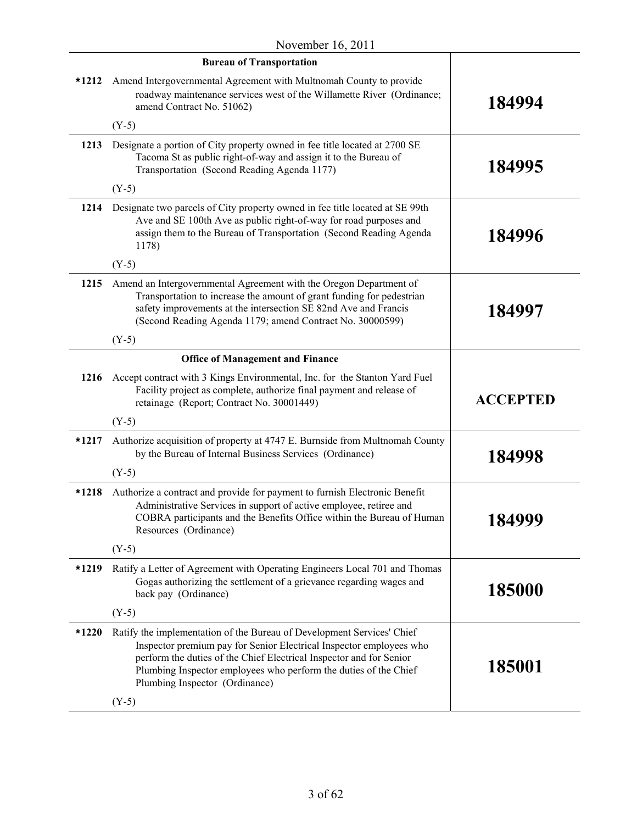|         | <b>Bureau of Transportation</b>                                                                                                                                                                                                                                                                                            |                 |
|---------|----------------------------------------------------------------------------------------------------------------------------------------------------------------------------------------------------------------------------------------------------------------------------------------------------------------------------|-----------------|
|         | *1212 Amend Intergovernmental Agreement with Multnomah County to provide<br>roadway maintenance services west of the Willamette River (Ordinance;<br>amend Contract No. 51062)                                                                                                                                             | 184994          |
|         | $(Y-5)$                                                                                                                                                                                                                                                                                                                    |                 |
| 1213    | Designate a portion of City property owned in fee title located at 2700 SE<br>Tacoma St as public right-of-way and assign it to the Bureau of<br>Transportation (Second Reading Agenda 1177)                                                                                                                               | 184995          |
|         | $(Y-5)$                                                                                                                                                                                                                                                                                                                    |                 |
| 1214    | Designate two parcels of City property owned in fee title located at SE 99th<br>Ave and SE 100th Ave as public right-of-way for road purposes and<br>assign them to the Bureau of Transportation (Second Reading Agenda<br>1178)                                                                                           | 184996          |
|         | $(Y-5)$                                                                                                                                                                                                                                                                                                                    |                 |
| 1215    | Amend an Intergovernmental Agreement with the Oregon Department of<br>Transportation to increase the amount of grant funding for pedestrian<br>safety improvements at the intersection SE 82nd Ave and Francis<br>(Second Reading Agenda 1179; amend Contract No. 30000599)                                                | 184997          |
|         | $(Y-5)$                                                                                                                                                                                                                                                                                                                    |                 |
|         | <b>Office of Management and Finance</b>                                                                                                                                                                                                                                                                                    |                 |
|         | 1216 Accept contract with 3 Kings Environmental, Inc. for the Stanton Yard Fuel<br>Facility project as complete, authorize final payment and release of<br>retainage (Report; Contract No. 30001449)                                                                                                                       | <b>ACCEPTED</b> |
|         | $(Y-5)$                                                                                                                                                                                                                                                                                                                    |                 |
| *1217   | Authorize acquisition of property at 4747 E. Burnside from Multnomah County<br>by the Bureau of Internal Business Services (Ordinance)                                                                                                                                                                                     | 184998          |
|         | $(Y-5)$                                                                                                                                                                                                                                                                                                                    |                 |
| $*1218$ | Authorize a contract and provide for payment to furnish Electronic Benefit<br>Administrative Services in support of active employee, retiree and<br>COBRA participants and the Benefits Office within the Bureau of Human<br>Resources (Ordinance)                                                                         | 184999          |
|         | $(Y-5)$                                                                                                                                                                                                                                                                                                                    |                 |
| *1219   | Ratify a Letter of Agreement with Operating Engineers Local 701 and Thomas<br>Gogas authorizing the settlement of a grievance regarding wages and<br>back pay (Ordinance)                                                                                                                                                  | 185000          |
|         | $(Y-5)$                                                                                                                                                                                                                                                                                                                    |                 |
| $*1220$ | Ratify the implementation of the Bureau of Development Services' Chief<br>Inspector premium pay for Senior Electrical Inspector employees who<br>perform the duties of the Chief Electrical Inspector and for Senior<br>Plumbing Inspector employees who perform the duties of the Chief<br>Plumbing Inspector (Ordinance) | 185001          |
|         | $(Y-5)$                                                                                                                                                                                                                                                                                                                    |                 |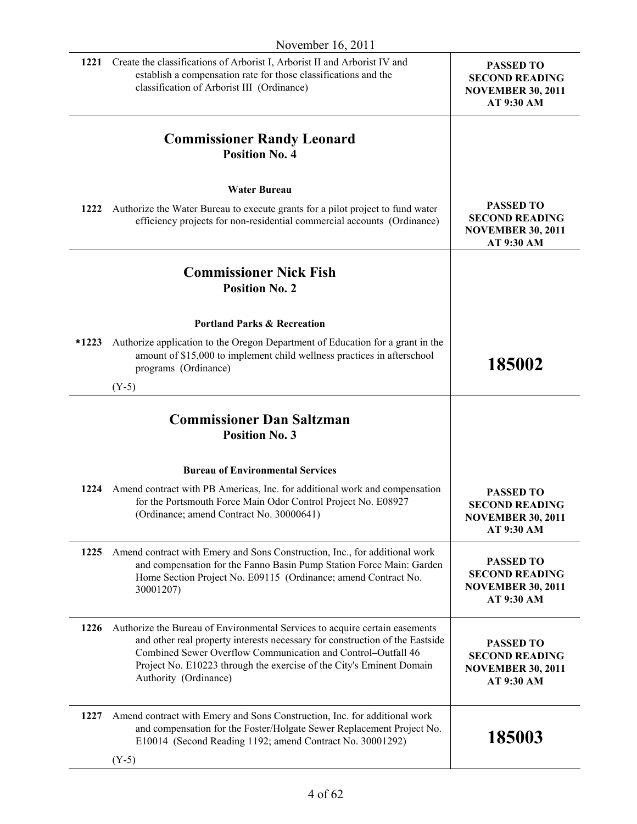|         | November 16, 2011                                                                                                                                                                                                                                                                                                            |                                                                                     |
|---------|------------------------------------------------------------------------------------------------------------------------------------------------------------------------------------------------------------------------------------------------------------------------------------------------------------------------------|-------------------------------------------------------------------------------------|
| 1221    | Create the classifications of Arborist I, Arborist II and Arborist IV and<br>establish a compensation rate for those classifications and the<br>classification of Arborist III (Ordinance)                                                                                                                                   | <b>PASSED TO</b><br><b>SECOND READING</b><br><b>NOVEMBER 30, 2011</b><br>AT 9:30 AM |
|         | <b>Commissioner Randy Leonard</b><br><b>Position No. 4</b>                                                                                                                                                                                                                                                                   |                                                                                     |
|         | <b>Water Bureau</b>                                                                                                                                                                                                                                                                                                          |                                                                                     |
| 1222    | Authorize the Water Bureau to execute grants for a pilot project to fund water<br>efficiency projects for non-residential commercial accounts (Ordinance)                                                                                                                                                                    | <b>PASSED TO</b><br><b>SECOND READING</b><br><b>NOVEMBER 30, 2011</b><br>AT 9:30 AM |
|         | <b>Commissioner Nick Fish</b><br><b>Position No. 2</b>                                                                                                                                                                                                                                                                       |                                                                                     |
|         | <b>Portland Parks &amp; Recreation</b>                                                                                                                                                                                                                                                                                       |                                                                                     |
| $*1223$ | Authorize application to the Oregon Department of Education for a grant in the<br>amount of \$15,000 to implement child wellness practices in afterschool<br>programs (Ordinance)                                                                                                                                            | 185002                                                                              |
|         | $(Y-5)$                                                                                                                                                                                                                                                                                                                      |                                                                                     |
|         | <b>Commissioner Dan Saltzman</b><br><b>Position No. 3</b>                                                                                                                                                                                                                                                                    |                                                                                     |
|         | <b>Bureau of Environmental Services</b>                                                                                                                                                                                                                                                                                      |                                                                                     |
| 1224    | Amend contract with PB Americas, Inc. for additional work and compensation<br>for the Portsmouth Force Main Odor Control Project No. E08927<br>(Ordinance; amend Contract No. 30000641)                                                                                                                                      | <b>PASSED TO</b><br><b>SECOND READING</b><br><b>NOVEMBER 30, 2011</b><br>AT 9:30 AM |
| 1225    | Amend contract with Emery and Sons Construction, Inc., for additional work<br>and compensation for the Fanno Basin Pump Station Force Main: Garden<br>Home Section Project No. E09115 (Ordinance; amend Contract No.<br>30001207)                                                                                            | <b>PASSED TO</b><br><b>SECOND READING</b><br><b>NOVEMBER 30, 2011</b><br>AT 9:30 AM |
| 1226    | Authorize the Bureau of Environmental Services to acquire certain easements<br>and other real property interests necessary for construction of the Eastside<br>Combined Sewer Overflow Communication and Control-Outfall 46<br>Project No. E10223 through the exercise of the City's Eminent Domain<br>Authority (Ordinance) | <b>PASSED TO</b><br><b>SECOND READING</b><br><b>NOVEMBER 30, 2011</b><br>AT 9:30 AM |
| 1227    | Amend contract with Emery and Sons Construction, Inc. for additional work<br>and compensation for the Foster/Holgate Sewer Replacement Project No.<br>E10014 (Second Reading 1192; amend Contract No. 30001292)                                                                                                              | 185003                                                                              |
|         |                                                                                                                                                                                                                                                                                                                              |                                                                                     |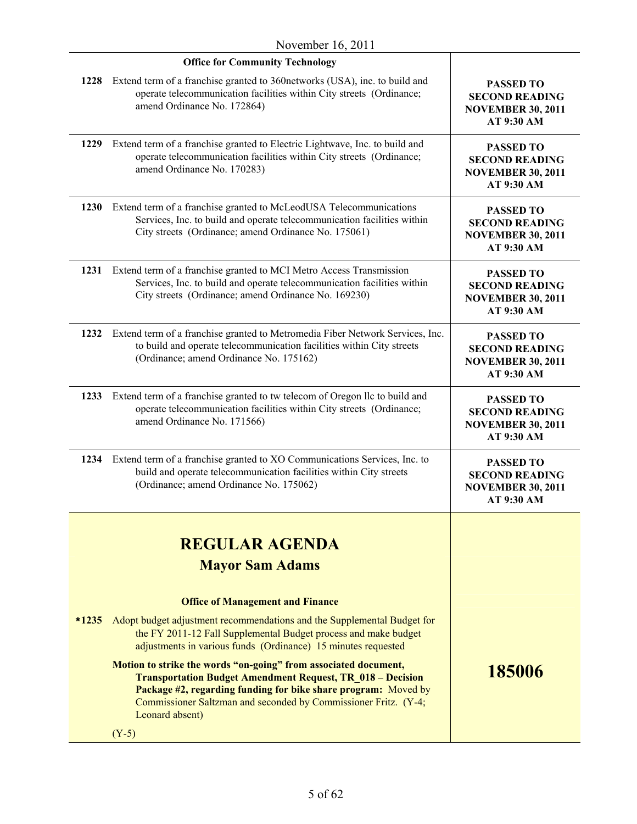| November $16, 2011$ |                                                                                                                                                                                                                                                                                              |                                                                                            |
|---------------------|----------------------------------------------------------------------------------------------------------------------------------------------------------------------------------------------------------------------------------------------------------------------------------------------|--------------------------------------------------------------------------------------------|
|                     | <b>Office for Community Technology</b>                                                                                                                                                                                                                                                       |                                                                                            |
|                     | 1228 Extend term of a franchise granted to 360 networks (USA), inc. to build and<br>operate telecommunication facilities within City streets (Ordinance;<br>amend Ordinance No. 172864)                                                                                                      | <b>PASSED TO</b><br><b>SECOND READING</b><br><b>NOVEMBER 30, 2011</b><br>AT 9:30 AM        |
| 1229                | Extend term of a franchise granted to Electric Lightwave, Inc. to build and<br>operate telecommunication facilities within City streets (Ordinance;<br>amend Ordinance No. 170283)                                                                                                           | <b>PASSED TO</b><br><b>SECOND READING</b><br><b>NOVEMBER 30, 2011</b><br>AT 9:30 AM        |
| 1230                | Extend term of a franchise granted to McLeodUSA Telecommunications<br>Services, Inc. to build and operate telecommunication facilities within<br>City streets (Ordinance; amend Ordinance No. 175061)                                                                                        | <b>PASSED TO</b><br><b>SECOND READING</b><br><b>NOVEMBER 30, 2011</b><br>AT 9:30 AM        |
| 1231                | Extend term of a franchise granted to MCI Metro Access Transmission<br>Services, Inc. to build and operate telecommunication facilities within<br>City streets (Ordinance; amend Ordinance No. 169230)                                                                                       | <b>PASSED TO</b><br><b>SECOND READING</b><br><b>NOVEMBER 30, 2011</b><br><b>AT 9:30 AM</b> |
| 1232                | Extend term of a franchise granted to Metromedia Fiber Network Services, Inc.<br>to build and operate telecommunication facilities within City streets<br>(Ordinance; amend Ordinance No. 175162)                                                                                            | <b>PASSED TO</b><br><b>SECOND READING</b><br><b>NOVEMBER 30, 2011</b><br>AT 9:30 AM        |
| 1233                | Extend term of a franchise granted to tw telecom of Oregon IIc to build and<br>operate telecommunication facilities within City streets (Ordinance;<br>amend Ordinance No. 171566)                                                                                                           | <b>PASSED TO</b><br><b>SECOND READING</b><br><b>NOVEMBER 30, 2011</b><br>AT 9:30 AM        |
|                     | 1234 Extend term of a franchise granted to XO Communications Services, Inc. to<br>build and operate telecommunication facilities within City streets<br>(Ordinance; amend Ordinance No. 175062)                                                                                              | <b>PASSED TO</b><br><b>SECOND READING</b><br><b>NOVEMBER 30, 2011</b><br>AT 9:30 AM        |
|                     | <b>REGULAR AGENDA</b>                                                                                                                                                                                                                                                                        |                                                                                            |
|                     | <b>Mayor Sam Adams</b>                                                                                                                                                                                                                                                                       |                                                                                            |
|                     | <b>Office of Management and Finance</b>                                                                                                                                                                                                                                                      |                                                                                            |
| $*1235$             | Adopt budget adjustment recommendations and the Supplemental Budget for<br>the FY 2011-12 Fall Supplemental Budget process and make budget<br>adjustments in various funds (Ordinance) 15 minutes requested                                                                                  |                                                                                            |
|                     | Motion to strike the words "on-going" from associated document,<br><b>Transportation Budget Amendment Request, TR 018 - Decision</b><br>Package #2, regarding funding for bike share program: Moved by<br>Commissioner Saltzman and seconded by Commissioner Fritz. (Y-4;<br>Leonard absent) | 185006                                                                                     |
|                     | $(Y-5)$                                                                                                                                                                                                                                                                                      |                                                                                            |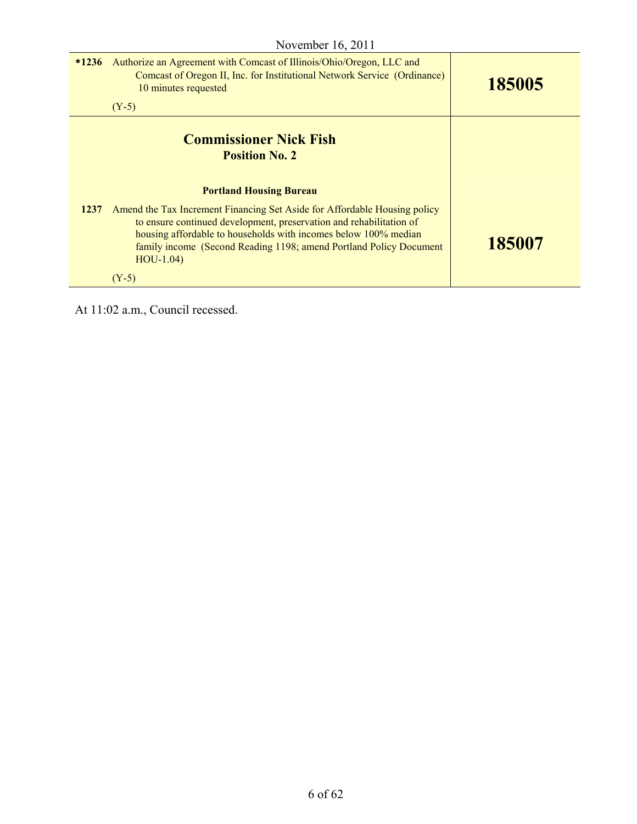| $*1236$ | Authorize an Agreement with Comcast of Illinois/Ohio/Oregon, LLC and<br>Comcast of Oregon II, Inc. for Institutional Network Service (Ordinance)<br>10 minutes requested<br>$(Y-5)$                                                                                                                      | 185005 |
|---------|----------------------------------------------------------------------------------------------------------------------------------------------------------------------------------------------------------------------------------------------------------------------------------------------------------|--------|
|         | <b>Commissioner Nick Fish</b><br><b>Position No. 2</b>                                                                                                                                                                                                                                                   |        |
|         | <b>Portland Housing Bureau</b>                                                                                                                                                                                                                                                                           |        |
| 1237    | Amend the Tax Increment Financing Set Aside for Affordable Housing policy<br>to ensure continued development, preservation and rehabilitation of<br>housing affordable to households with incomes below 100% median<br>family income (Second Reading 1198; amend Portland Policy Document<br>$HOU-1.04)$ | 185007 |
|         | $(Y-5)$                                                                                                                                                                                                                                                                                                  |        |

At 11:02 a.m., Council recessed.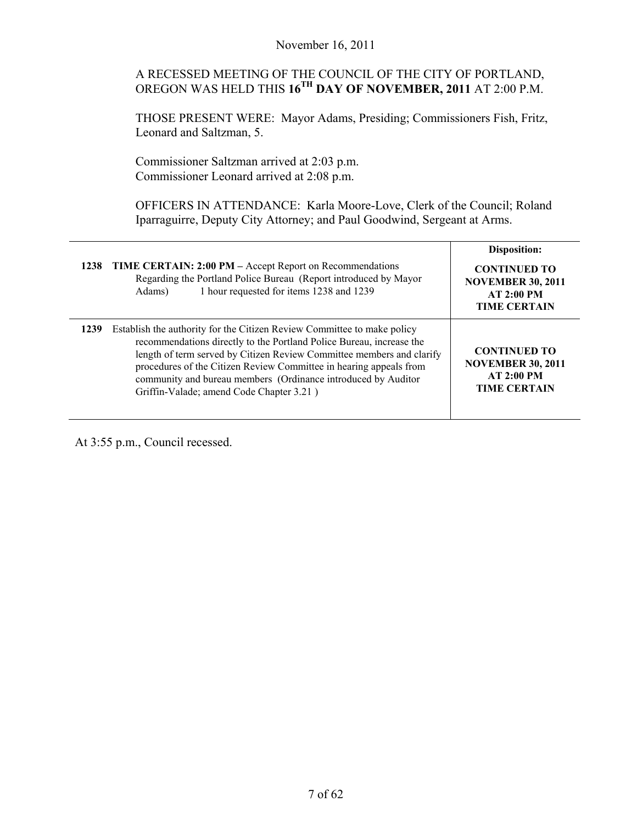# A RECESSED MEETING OF THE COUNCIL OF THE CITY OF PORTLAND, OREGON WAS HELD THIS **16TH DAY OF NOVEMBER, 2011** AT 2:00 P.M.

THOSE PRESENT WERE: Mayor Adams, Presiding; Commissioners Fish, Fritz, Leonard and Saltzman, 5.

Commissioner Saltzman arrived at 2:03 p.m. Commissioner Leonard arrived at 2:08 p.m.

OFFICERS IN ATTENDANCE: Karla Moore-Love, Clerk of the Council; Roland Iparraguirre, Deputy City Attorney; and Paul Goodwind, Sergeant at Arms.

| 1238 | <b>TIME CERTAIN: 2:00 PM</b> – Accept Report on Recommendations<br>Regarding the Portland Police Bureau (Report introduced by Mayor<br>1 hour requested for items 1238 and 1239<br>Adams)                                                                                                                                                                                                                   | Disposition:<br><b>CONTINUED TO</b><br><b>NOVEMBER 30, 2011</b><br><b>AT 2:00 PM</b><br><b>TIME CERTAIN</b> |
|------|-------------------------------------------------------------------------------------------------------------------------------------------------------------------------------------------------------------------------------------------------------------------------------------------------------------------------------------------------------------------------------------------------------------|-------------------------------------------------------------------------------------------------------------|
| 1239 | Establish the authority for the Citizen Review Committee to make policy<br>recommendations directly to the Portland Police Bureau, increase the<br>length of term served by Citizen Review Committee members and clarify<br>procedures of the Citizen Review Committee in hearing appeals from<br>community and bureau members (Ordinance introduced by Auditor<br>Griffin-Valade; amend Code Chapter 3.21) | <b>CONTINUED TO</b><br><b>NOVEMBER 30, 2011</b><br>AT 2:00 PM<br><b>TIME CERTAIN</b>                        |

At 3:55 p.m., Council recessed.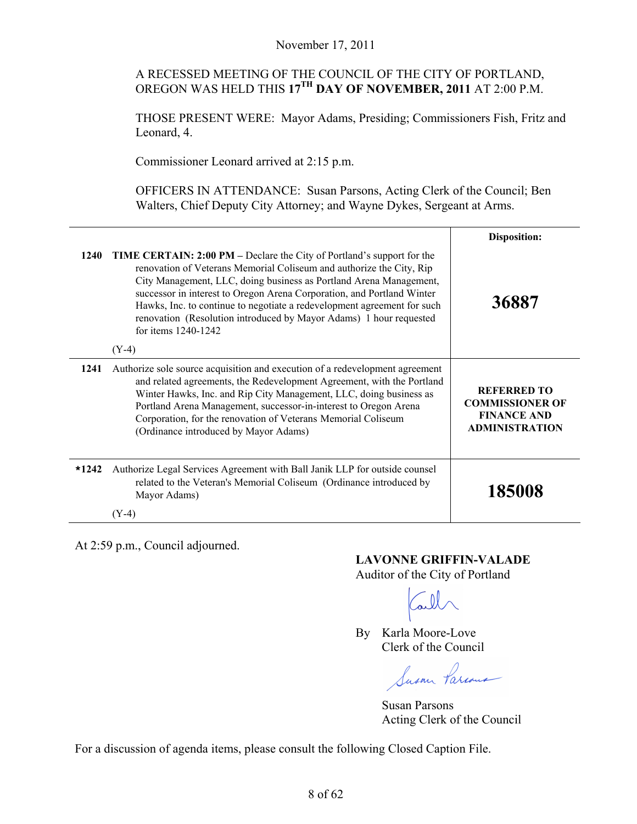# A RECESSED MEETING OF THE COUNCIL OF THE CITY OF PORTLAND, OREGON WAS HELD THIS **17TH DAY OF NOVEMBER, 2011** AT 2:00 P.M.

THOSE PRESENT WERE: Mayor Adams, Presiding; Commissioners Fish, Fritz and Leonard, 4.

Commissioner Leonard arrived at 2:15 p.m.

OFFICERS IN ATTENDANCE: Susan Parsons, Acting Clerk of the Council; Ben Walters, Chief Deputy City Attorney; and Wayne Dykes, Sergeant at Arms.

|         |                                                                                                                                                                                                                                                                                                                                                                                                                                                                                          | <b>Disposition:</b>                                                                         |
|---------|------------------------------------------------------------------------------------------------------------------------------------------------------------------------------------------------------------------------------------------------------------------------------------------------------------------------------------------------------------------------------------------------------------------------------------------------------------------------------------------|---------------------------------------------------------------------------------------------|
| 1240    | <b>TIME CERTAIN: 2:00 PM</b> – Declare the City of Portland's support for the<br>renovation of Veterans Memorial Coliseum and authorize the City, Rip<br>City Management, LLC, doing business as Portland Arena Management,<br>successor in interest to Oregon Arena Corporation, and Portland Winter<br>Hawks, Inc. to continue to negotiate a redevelopment agreement for such<br>renovation (Resolution introduced by Mayor Adams) 1 hour requested<br>for items 1240-1242<br>$(Y-4)$ | 36887                                                                                       |
| 1241    | Authorize sole source acquisition and execution of a redevelopment agreement<br>and related agreements, the Redevelopment Agreement, with the Portland<br>Winter Hawks, Inc. and Rip City Management, LLC, doing business as<br>Portland Arena Management, successor-in-interest to Oregon Arena<br>Corporation, for the renovation of Veterans Memorial Coliseum<br>(Ordinance introduced by Mayor Adams)                                                                               | <b>REFERRED TO</b><br><b>COMMISSIONER OF</b><br><b>FINANCE AND</b><br><b>ADMINISTRATION</b> |
| $*1242$ | Authorize Legal Services Agreement with Ball Janik LLP for outside counsel<br>related to the Veteran's Memorial Coliseum (Ordinance introduced by<br>Mayor Adams)<br>(Y-4)                                                                                                                                                                                                                                                                                                               | 185008                                                                                      |

At 2:59 p.m., Council adjourned.

#### **LAVONNE GRIFFIN-VALADE**

Auditor of the City of Portland

By Karla Moore-Love Clerk of the Council

Jusan

 Susan Parsons Acting Clerk of the Council

For a discussion of agenda items, please consult the following Closed Caption File.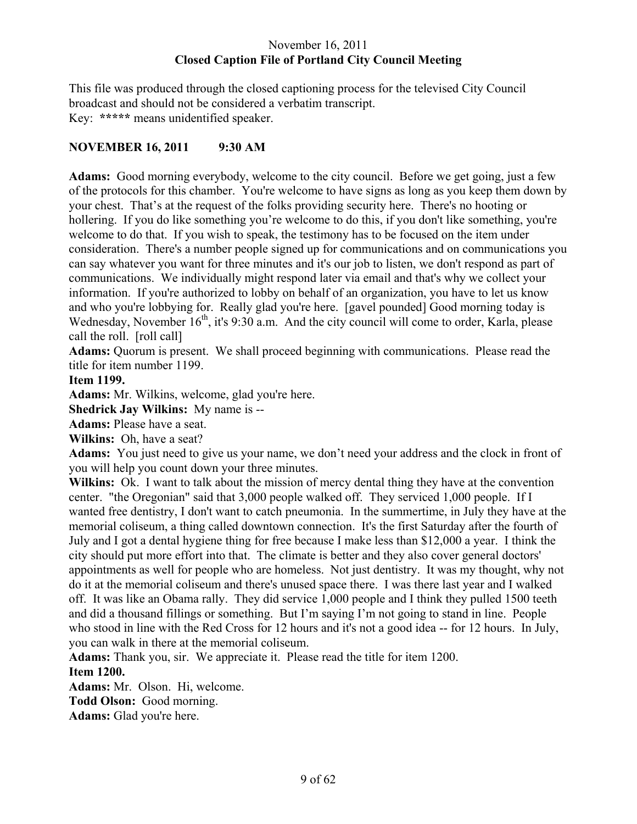# November 16, 2011 **Closed Caption File of Portland City Council Meeting**

This file was produced through the closed captioning process for the televised City Council broadcast and should not be considered a verbatim transcript. Key: **\*\*\*\*\*** means unidentified speaker.

# **NOVEMBER 16, 2011 9:30 AM**

**Adams:** Good morning everybody, welcome to the city council. Before we get going, just a few of the protocols for this chamber. You're welcome to have signs as long as you keep them down by your chest. That's at the request of the folks providing security here. There's no hooting or hollering. If you do like something you're welcome to do this, if you don't like something, you're welcome to do that. If you wish to speak, the testimony has to be focused on the item under consideration. There's a number people signed up for communications and on communications you can say whatever you want for three minutes and it's our job to listen, we don't respond as part of communications. We individually might respond later via email and that's why we collect your information. If you're authorized to lobby on behalf of an organization, you have to let us know and who you're lobbying for. Really glad you're here. [gavel pounded] Good morning today is Wednesday, November 16<sup>th</sup>, it's 9:30 a.m. And the city council will come to order, Karla, please call the roll. [roll call]

**Adams:** Quorum is present. We shall proceed beginning with communications. Please read the title for item number 1199.

#### **Item 1199.**

**Adams:** Mr. Wilkins, welcome, glad you're here.

**Shedrick Jay Wilkins:** My name is --

**Adams:** Please have a seat.

**Wilkins:** Oh, have a seat?

**Adams:** You just need to give us your name, we don't need your address and the clock in front of you will help you count down your three minutes.

**Wilkins:** Ok. I want to talk about the mission of mercy dental thing they have at the convention center. "the Oregonian" said that 3,000 people walked off. They serviced 1,000 people. If I wanted free dentistry, I don't want to catch pneumonia. In the summertime, in July they have at the memorial coliseum, a thing called downtown connection. It's the first Saturday after the fourth of July and I got a dental hygiene thing for free because I make less than \$12,000 a year. I think the city should put more effort into that. The climate is better and they also cover general doctors' appointments as well for people who are homeless. Not just dentistry. It was my thought, why not do it at the memorial coliseum and there's unused space there. I was there last year and I walked off. It was like an Obama rally. They did service 1,000 people and I think they pulled 1500 teeth and did a thousand fillings or something. But I'm saying I'm not going to stand in line. People who stood in line with the Red Cross for 12 hours and it's not a good idea -- for 12 hours. In July, you can walk in there at the memorial coliseum.

**Adams:** Thank you, sir. We appreciate it. Please read the title for item 1200. **Item 1200.** 

**Adams:** Mr. Olson. Hi, welcome.

**Todd Olson:** Good morning.

**Adams:** Glad you're here.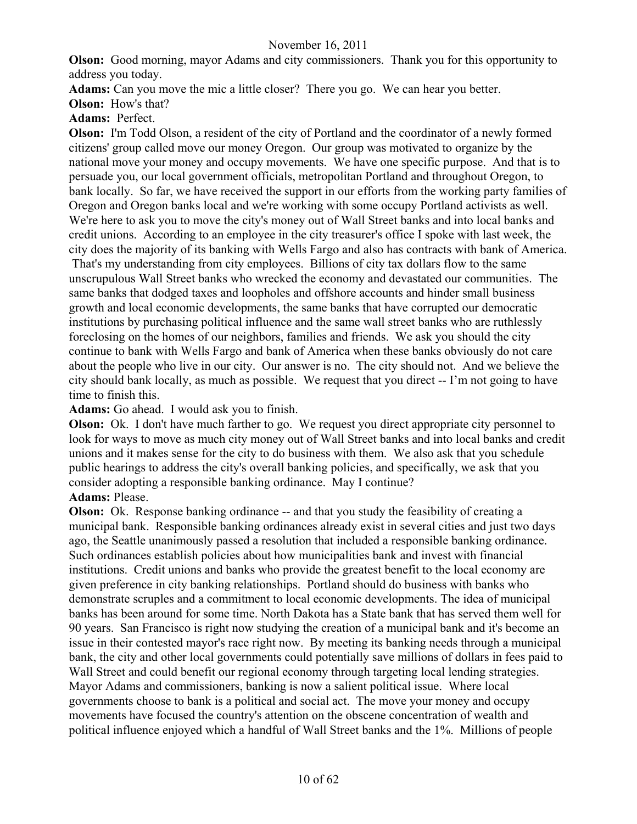**Olson:** Good morning, mayor Adams and city commissioners. Thank you for this opportunity to address you today.

**Adams:** Can you move the mic a little closer? There you go. We can hear you better.

**Olson:** How's that?

**Adams:** Perfect.

**Olson:** I'm Todd Olson, a resident of the city of Portland and the coordinator of a newly formed citizens' group called move our money Oregon. Our group was motivated to organize by the national move your money and occupy movements. We have one specific purpose. And that is to persuade you, our local government officials, metropolitan Portland and throughout Oregon, to bank locally. So far, we have received the support in our efforts from the working party families of Oregon and Oregon banks local and we're working with some occupy Portland activists as well. We're here to ask you to move the city's money out of Wall Street banks and into local banks and credit unions. According to an employee in the city treasurer's office I spoke with last week, the city does the majority of its banking with Wells Fargo and also has contracts with bank of America.

 That's my understanding from city employees. Billions of city tax dollars flow to the same unscrupulous Wall Street banks who wrecked the economy and devastated our communities. The same banks that dodged taxes and loopholes and offshore accounts and hinder small business growth and local economic developments, the same banks that have corrupted our democratic institutions by purchasing political influence and the same wall street banks who are ruthlessly foreclosing on the homes of our neighbors, families and friends. We ask you should the city continue to bank with Wells Fargo and bank of America when these banks obviously do not care about the people who live in our city. Our answer is no. The city should not. And we believe the city should bank locally, as much as possible. We request that you direct -- I'm not going to have time to finish this.

**Adams:** Go ahead. I would ask you to finish.

**Olson:** Ok. I don't have much farther to go. We request you direct appropriate city personnel to look for ways to move as much city money out of Wall Street banks and into local banks and credit unions and it makes sense for the city to do business with them. We also ask that you schedule public hearings to address the city's overall banking policies, and specifically, we ask that you consider adopting a responsible banking ordinance. May I continue?

# **Adams:** Please.

**Olson:** Ok. Response banking ordinance -- and that you study the feasibility of creating a municipal bank. Responsible banking ordinances already exist in several cities and just two days ago, the Seattle unanimously passed a resolution that included a responsible banking ordinance. Such ordinances establish policies about how municipalities bank and invest with financial institutions. Credit unions and banks who provide the greatest benefit to the local economy are given preference in city banking relationships. Portland should do business with banks who demonstrate scruples and a commitment to local economic developments. The idea of municipal banks has been around for some time. North Dakota has a State bank that has served them well for 90 years. San Francisco is right now studying the creation of a municipal bank and it's become an issue in their contested mayor's race right now. By meeting its banking needs through a municipal bank, the city and other local governments could potentially save millions of dollars in fees paid to Wall Street and could benefit our regional economy through targeting local lending strategies. Mayor Adams and commissioners, banking is now a salient political issue. Where local governments choose to bank is a political and social act. The move your money and occupy movements have focused the country's attention on the obscene concentration of wealth and political influence enjoyed which a handful of Wall Street banks and the 1%. Millions of people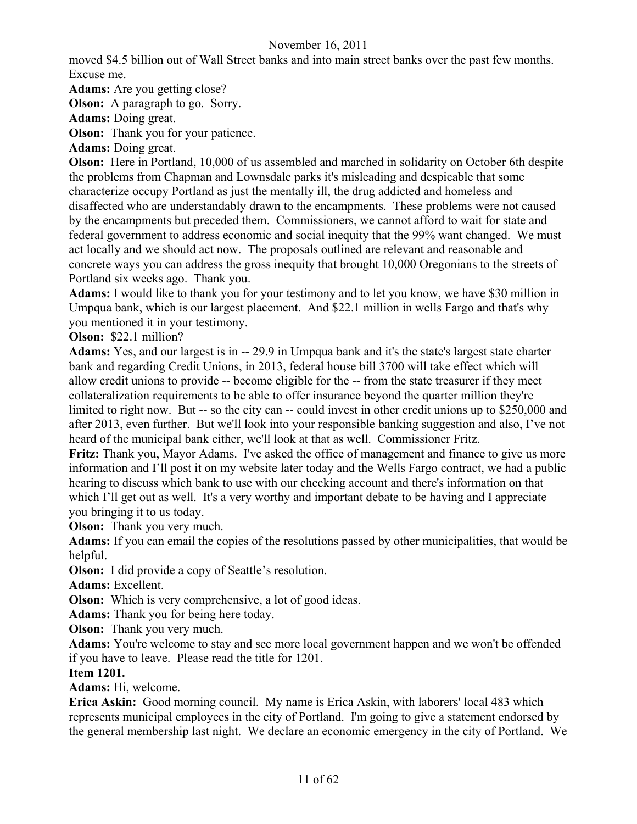moved \$4.5 billion out of Wall Street banks and into main street banks over the past few months. Excuse me.

**Adams:** Are you getting close?

**Olson:** A paragraph to go. Sorry.

**Adams:** Doing great.

**Olson:** Thank you for your patience.

**Adams:** Doing great.

**Olson:** Here in Portland, 10,000 of us assembled and marched in solidarity on October 6th despite the problems from Chapman and Lownsdale parks it's misleading and despicable that some characterize occupy Portland as just the mentally ill, the drug addicted and homeless and disaffected who are understandably drawn to the encampments. These problems were not caused by the encampments but preceded them. Commissioners, we cannot afford to wait for state and federal government to address economic and social inequity that the 99% want changed. We must act locally and we should act now. The proposals outlined are relevant and reasonable and concrete ways you can address the gross inequity that brought 10,000 Oregonians to the streets of Portland six weeks ago. Thank you.

**Adams:** I would like to thank you for your testimony and to let you know, we have \$30 million in Umpqua bank, which is our largest placement. And \$22.1 million in wells Fargo and that's why you mentioned it in your testimony.

**Olson:** \$22.1 million?

**Adams:** Yes, and our largest is in -- 29.9 in Umpqua bank and it's the state's largest state charter bank and regarding Credit Unions, in 2013, federal house bill 3700 will take effect which will allow credit unions to provide -- become eligible for the -- from the state treasurer if they meet collateralization requirements to be able to offer insurance beyond the quarter million they're limited to right now. But -- so the city can -- could invest in other credit unions up to \$250,000 and after 2013, even further. But we'll look into your responsible banking suggestion and also, I've not heard of the municipal bank either, we'll look at that as well. Commissioner Fritz.

**Fritz:** Thank you, Mayor Adams. I've asked the office of management and finance to give us more information and I'll post it on my website later today and the Wells Fargo contract, we had a public hearing to discuss which bank to use with our checking account and there's information on that which I'll get out as well. It's a very worthy and important debate to be having and I appreciate you bringing it to us today.

**Olson:** Thank you very much.

**Adams:** If you can email the copies of the resolutions passed by other municipalities, that would be helpful.

**Olson:** I did provide a copy of Seattle's resolution.

**Adams:** Excellent.

**Olson:** Which is very comprehensive, a lot of good ideas.

**Adams:** Thank you for being here today.

**Olson:** Thank you very much.

**Adams:** You're welcome to stay and see more local government happen and we won't be offended if you have to leave. Please read the title for 1201.

# **Item 1201.**

**Adams:** Hi, welcome.

**Erica Askin:** Good morning council. My name is Erica Askin, with laborers' local 483 which represents municipal employees in the city of Portland. I'm going to give a statement endorsed by the general membership last night. We declare an economic emergency in the city of Portland. We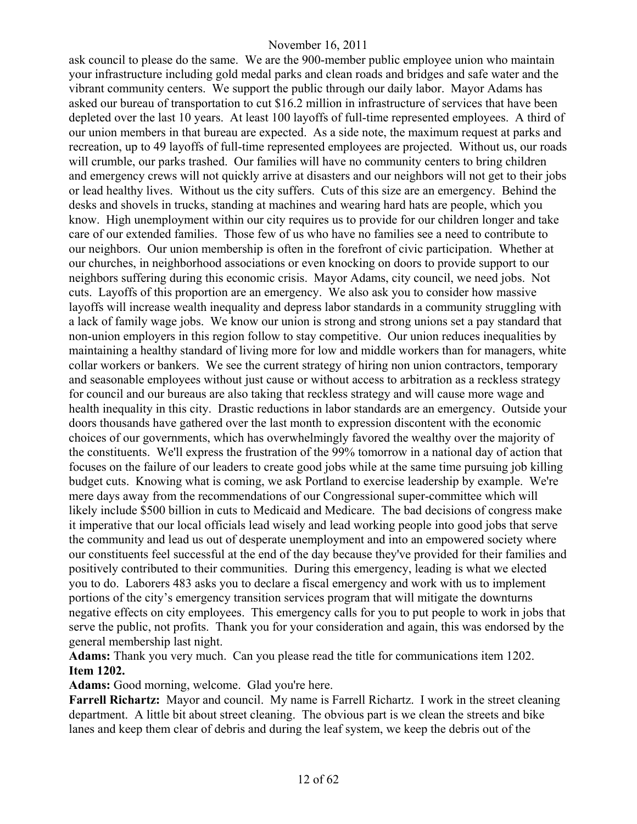ask council to please do the same. We are the 900-member public employee union who maintain your infrastructure including gold medal parks and clean roads and bridges and safe water and the vibrant community centers. We support the public through our daily labor. Mayor Adams has asked our bureau of transportation to cut \$16.2 million in infrastructure of services that have been depleted over the last 10 years. At least 100 layoffs of full-time represented employees. A third of our union members in that bureau are expected. As a side note, the maximum request at parks and recreation, up to 49 layoffs of full-time represented employees are projected. Without us, our roads will crumble, our parks trashed. Our families will have no community centers to bring children and emergency crews will not quickly arrive at disasters and our neighbors will not get to their jobs or lead healthy lives. Without us the city suffers. Cuts of this size are an emergency. Behind the desks and shovels in trucks, standing at machines and wearing hard hats are people, which you know. High unemployment within our city requires us to provide for our children longer and take care of our extended families. Those few of us who have no families see a need to contribute to our neighbors. Our union membership is often in the forefront of civic participation. Whether at our churches, in neighborhood associations or even knocking on doors to provide support to our neighbors suffering during this economic crisis. Mayor Adams, city council, we need jobs. Not cuts. Layoffs of this proportion are an emergency. We also ask you to consider how massive layoffs will increase wealth inequality and depress labor standards in a community struggling with a lack of family wage jobs. We know our union is strong and strong unions set a pay standard that non-union employers in this region follow to stay competitive. Our union reduces inequalities by maintaining a healthy standard of living more for low and middle workers than for managers, white collar workers or bankers. We see the current strategy of hiring non union contractors, temporary and seasonable employees without just cause or without access to arbitration as a reckless strategy for council and our bureaus are also taking that reckless strategy and will cause more wage and health inequality in this city. Drastic reductions in labor standards are an emergency. Outside your doors thousands have gathered over the last month to expression discontent with the economic choices of our governments, which has overwhelmingly favored the wealthy over the majority of the constituents. We'll express the frustration of the 99% tomorrow in a national day of action that focuses on the failure of our leaders to create good jobs while at the same time pursuing job killing budget cuts. Knowing what is coming, we ask Portland to exercise leadership by example. We're mere days away from the recommendations of our Congressional super-committee which will likely include \$500 billion in cuts to Medicaid and Medicare. The bad decisions of congress make it imperative that our local officials lead wisely and lead working people into good jobs that serve the community and lead us out of desperate unemployment and into an empowered society where our constituents feel successful at the end of the day because they've provided for their families and positively contributed to their communities. During this emergency, leading is what we elected you to do. Laborers 483 asks you to declare a fiscal emergency and work with us to implement portions of the city's emergency transition services program that will mitigate the downturns negative effects on city employees. This emergency calls for you to put people to work in jobs that serve the public, not profits. Thank you for your consideration and again, this was endorsed by the general membership last night.

**Adams:** Thank you very much. Can you please read the title for communications item 1202. **Item 1202.**

**Adams:** Good morning, welcome. Glad you're here.

**Farrell Richartz:** Mayor and council. My name is Farrell Richartz. I work in the street cleaning department. A little bit about street cleaning. The obvious part is we clean the streets and bike lanes and keep them clear of debris and during the leaf system, we keep the debris out of the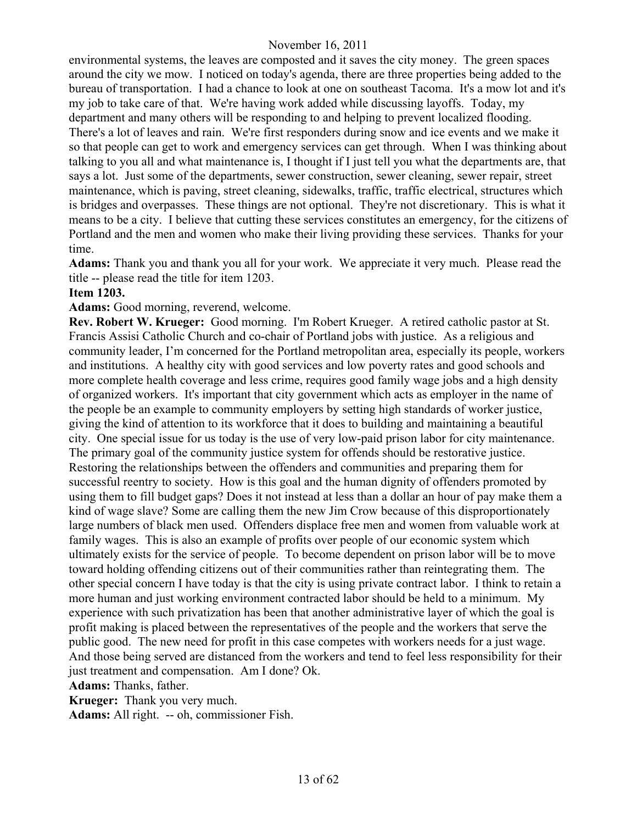environmental systems, the leaves are composted and it saves the city money. The green spaces around the city we mow. I noticed on today's agenda, there are three properties being added to the bureau of transportation. I had a chance to look at one on southeast Tacoma. It's a mow lot and it's my job to take care of that. We're having work added while discussing layoffs. Today, my department and many others will be responding to and helping to prevent localized flooding. There's a lot of leaves and rain. We're first responders during snow and ice events and we make it so that people can get to work and emergency services can get through. When I was thinking about talking to you all and what maintenance is, I thought if I just tell you what the departments are, that says a lot. Just some of the departments, sewer construction, sewer cleaning, sewer repair, street maintenance, which is paving, street cleaning, sidewalks, traffic, traffic electrical, structures which is bridges and overpasses. These things are not optional. They're not discretionary. This is what it means to be a city. I believe that cutting these services constitutes an emergency, for the citizens of Portland and the men and women who make their living providing these services. Thanks for your time.

**Adams:** Thank you and thank you all for your work. We appreciate it very much. Please read the title -- please read the title for item 1203.

#### **Item 1203.**

**Adams:** Good morning, reverend, welcome.

**Rev. Robert W. Krueger:** Good morning. I'm Robert Krueger. A retired catholic pastor at St. Francis Assisi Catholic Church and co-chair of Portland jobs with justice. As a religious and community leader, I'm concerned for the Portland metropolitan area, especially its people, workers and institutions. A healthy city with good services and low poverty rates and good schools and more complete health coverage and less crime, requires good family wage jobs and a high density of organized workers. It's important that city government which acts as employer in the name of the people be an example to community employers by setting high standards of worker justice, giving the kind of attention to its workforce that it does to building and maintaining a beautiful city. One special issue for us today is the use of very low-paid prison labor for city maintenance. The primary goal of the community justice system for offends should be restorative justice. Restoring the relationships between the offenders and communities and preparing them for successful reentry to society. How is this goal and the human dignity of offenders promoted by using them to fill budget gaps? Does it not instead at less than a dollar an hour of pay make them a kind of wage slave? Some are calling them the new Jim Crow because of this disproportionately large numbers of black men used. Offenders displace free men and women from valuable work at family wages. This is also an example of profits over people of our economic system which ultimately exists for the service of people. To become dependent on prison labor will be to move toward holding offending citizens out of their communities rather than reintegrating them. The other special concern I have today is that the city is using private contract labor. I think to retain a more human and just working environment contracted labor should be held to a minimum. My experience with such privatization has been that another administrative layer of which the goal is profit making is placed between the representatives of the people and the workers that serve the public good. The new need for profit in this case competes with workers needs for a just wage. And those being served are distanced from the workers and tend to feel less responsibility for their just treatment and compensation. Am I done? Ok.

**Adams:** Thanks, father.

**Krueger:** Thank you very much. **Adams:** All right. -- oh, commissioner Fish.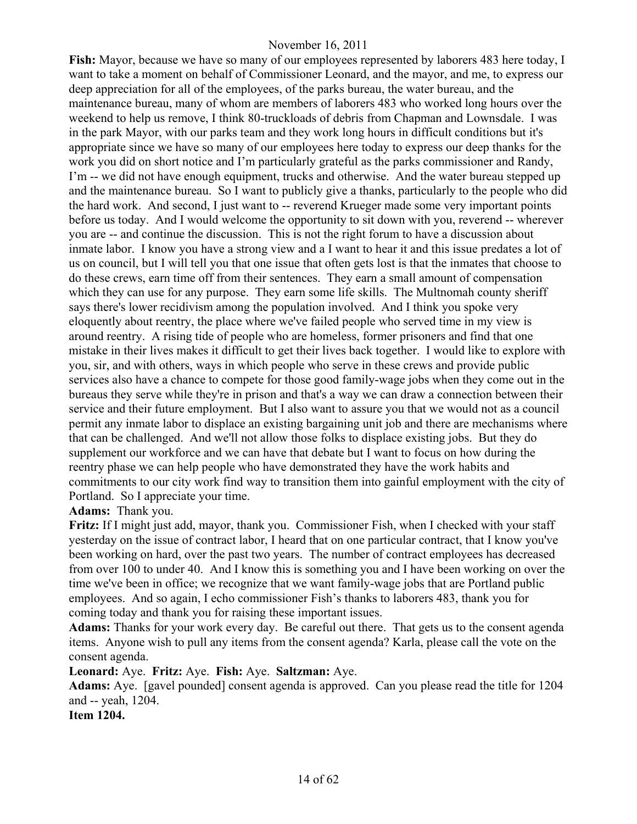**Fish:** Mayor, because we have so many of our employees represented by laborers 483 here today, I want to take a moment on behalf of Commissioner Leonard, and the mayor, and me, to express our deep appreciation for all of the employees, of the parks bureau, the water bureau, and the maintenance bureau, many of whom are members of laborers 483 who worked long hours over the weekend to help us remove, I think 80-truckloads of debris from Chapman and Lownsdale. I was in the park Mayor, with our parks team and they work long hours in difficult conditions but it's appropriate since we have so many of our employees here today to express our deep thanks for the work you did on short notice and I'm particularly grateful as the parks commissioner and Randy, I'm -- we did not have enough equipment, trucks and otherwise. And the water bureau stepped up and the maintenance bureau. So I want to publicly give a thanks, particularly to the people who did the hard work. And second, I just want to -- reverend Krueger made some very important points before us today. And I would welcome the opportunity to sit down with you, reverend -- wherever you are -- and continue the discussion. This is not the right forum to have a discussion about inmate labor. I know you have a strong view and a I want to hear it and this issue predates a lot of us on council, but I will tell you that one issue that often gets lost is that the inmates that choose to do these crews, earn time off from their sentences. They earn a small amount of compensation which they can use for any purpose. They earn some life skills. The Multnomah county sheriff says there's lower recidivism among the population involved. And I think you spoke very eloquently about reentry, the place where we've failed people who served time in my view is around reentry. A rising tide of people who are homeless, former prisoners and find that one mistake in their lives makes it difficult to get their lives back together. I would like to explore with you, sir, and with others, ways in which people who serve in these crews and provide public services also have a chance to compete for those good family-wage jobs when they come out in the bureaus they serve while they're in prison and that's a way we can draw a connection between their service and their future employment. But I also want to assure you that we would not as a council permit any inmate labor to displace an existing bargaining unit job and there are mechanisms where that can be challenged. And we'll not allow those folks to displace existing jobs. But they do supplement our workforce and we can have that debate but I want to focus on how during the reentry phase we can help people who have demonstrated they have the work habits and commitments to our city work find way to transition them into gainful employment with the city of Portland. So I appreciate your time.

# **Adams:** Thank you.

**Fritz:** If I might just add, mayor, thank you. Commissioner Fish, when I checked with your staff yesterday on the issue of contract labor, I heard that on one particular contract, that I know you've been working on hard, over the past two years. The number of contract employees has decreased from over 100 to under 40. And I know this is something you and I have been working on over the time we've been in office; we recognize that we want family-wage jobs that are Portland public employees. And so again, I echo commissioner Fish's thanks to laborers 483, thank you for coming today and thank you for raising these important issues.

**Adams:** Thanks for your work every day. Be careful out there. That gets us to the consent agenda items. Anyone wish to pull any items from the consent agenda? Karla, please call the vote on the consent agenda.

#### **Leonard:** Aye. **Fritz:** Aye. **Fish:** Aye. **Saltzman:** Aye.

**Adams:** Aye. [gavel pounded] consent agenda is approved. Can you please read the title for 1204 and -- yeah, 1204.

**Item 1204.**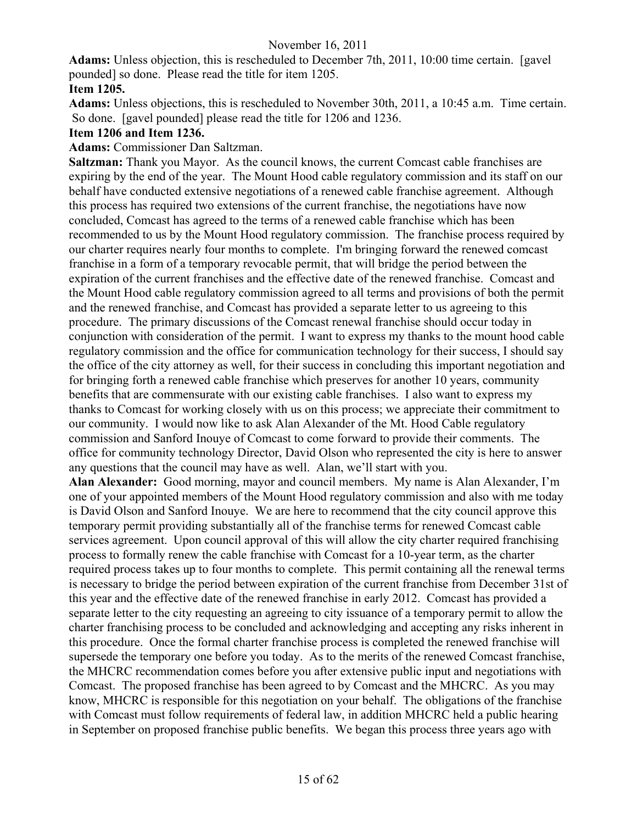**Adams:** Unless objection, this is rescheduled to December 7th, 2011, 10:00 time certain. [gavel pounded] so done. Please read the title for item 1205. **Item 1205.**

**Adams:** Unless objections, this is rescheduled to November 30th, 2011, a 10:45 a.m. Time certain. So done. [gavel pounded] please read the title for 1206 and 1236.

#### **Item 1206 and Item 1236.**

#### **Adams:** Commissioner Dan Saltzman.

**Saltzman:** Thank you Mayor. As the council knows, the current Comcast cable franchises are expiring by the end of the year. The Mount Hood cable regulatory commission and its staff on our behalf have conducted extensive negotiations of a renewed cable franchise agreement. Although this process has required two extensions of the current franchise, the negotiations have now concluded, Comcast has agreed to the terms of a renewed cable franchise which has been recommended to us by the Mount Hood regulatory commission. The franchise process required by our charter requires nearly four months to complete. I'm bringing forward the renewed comcast franchise in a form of a temporary revocable permit, that will bridge the period between the expiration of the current franchises and the effective date of the renewed franchise. Comcast and the Mount Hood cable regulatory commission agreed to all terms and provisions of both the permit and the renewed franchise, and Comcast has provided a separate letter to us agreeing to this procedure. The primary discussions of the Comcast renewal franchise should occur today in conjunction with consideration of the permit. I want to express my thanks to the mount hood cable regulatory commission and the office for communication technology for their success, I should say the office of the city attorney as well, for their success in concluding this important negotiation and for bringing forth a renewed cable franchise which preserves for another 10 years, community benefits that are commensurate with our existing cable franchises. I also want to express my thanks to Comcast for working closely with us on this process; we appreciate their commitment to our community. I would now like to ask Alan Alexander of the Mt. Hood Cable regulatory commission and Sanford Inouye of Comcast to come forward to provide their comments. The office for community technology Director, David Olson who represented the city is here to answer any questions that the council may have as well. Alan, we'll start with you.

**Alan Alexander:** Good morning, mayor and council members. My name is Alan Alexander, I'm one of your appointed members of the Mount Hood regulatory commission and also with me today is David Olson and Sanford Inouye. We are here to recommend that the city council approve this temporary permit providing substantially all of the franchise terms for renewed Comcast cable services agreement. Upon council approval of this will allow the city charter required franchising process to formally renew the cable franchise with Comcast for a 10-year term, as the charter required process takes up to four months to complete. This permit containing all the renewal terms is necessary to bridge the period between expiration of the current franchise from December 31st of this year and the effective date of the renewed franchise in early 2012. Comcast has provided a separate letter to the city requesting an agreeing to city issuance of a temporary permit to allow the charter franchising process to be concluded and acknowledging and accepting any risks inherent in this procedure. Once the formal charter franchise process is completed the renewed franchise will supersede the temporary one before you today. As to the merits of the renewed Comcast franchise, the MHCRC recommendation comes before you after extensive public input and negotiations with Comcast. The proposed franchise has been agreed to by Comcast and the MHCRC. As you may know, MHCRC is responsible for this negotiation on your behalf. The obligations of the franchise with Comcast must follow requirements of federal law, in addition MHCRC held a public hearing in September on proposed franchise public benefits. We began this process three years ago with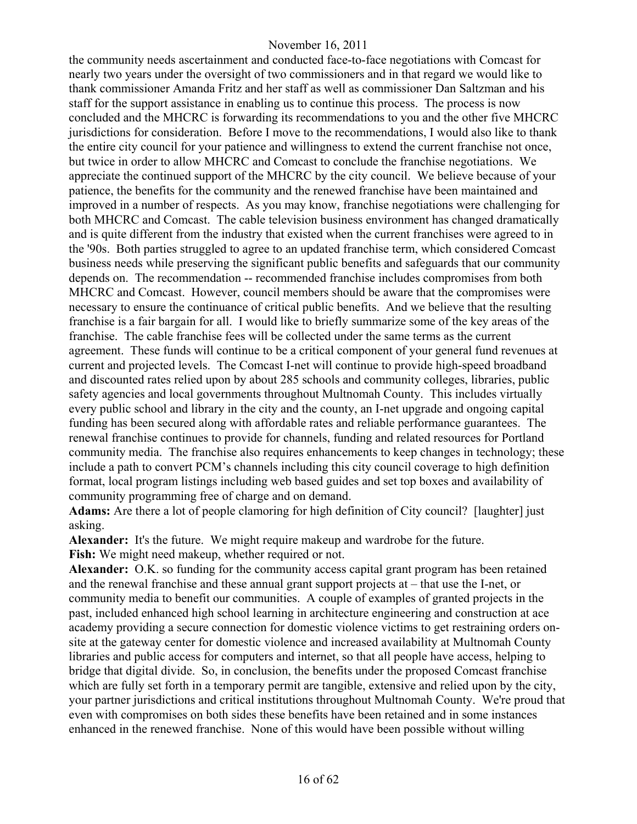the community needs ascertainment and conducted face-to-face negotiations with Comcast for nearly two years under the oversight of two commissioners and in that regard we would like to thank commissioner Amanda Fritz and her staff as well as commissioner Dan Saltzman and his staff for the support assistance in enabling us to continue this process. The process is now concluded and the MHCRC is forwarding its recommendations to you and the other five MHCRC jurisdictions for consideration. Before I move to the recommendations, I would also like to thank the entire city council for your patience and willingness to extend the current franchise not once, but twice in order to allow MHCRC and Comcast to conclude the franchise negotiations. We appreciate the continued support of the MHCRC by the city council. We believe because of your patience, the benefits for the community and the renewed franchise have been maintained and improved in a number of respects. As you may know, franchise negotiations were challenging for both MHCRC and Comcast. The cable television business environment has changed dramatically and is quite different from the industry that existed when the current franchises were agreed to in the '90s. Both parties struggled to agree to an updated franchise term, which considered Comcast business needs while preserving the significant public benefits and safeguards that our community depends on. The recommendation -- recommended franchise includes compromises from both MHCRC and Comcast. However, council members should be aware that the compromises were necessary to ensure the continuance of critical public benefits. And we believe that the resulting franchise is a fair bargain for all. I would like to briefly summarize some of the key areas of the franchise. The cable franchise fees will be collected under the same terms as the current agreement. These funds will continue to be a critical component of your general fund revenues at current and projected levels. The Comcast I-net will continue to provide high-speed broadband and discounted rates relied upon by about 285 schools and community colleges, libraries, public safety agencies and local governments throughout Multnomah County. This includes virtually every public school and library in the city and the county, an I-net upgrade and ongoing capital funding has been secured along with affordable rates and reliable performance guarantees. The renewal franchise continues to provide for channels, funding and related resources for Portland community media. The franchise also requires enhancements to keep changes in technology; these include a path to convert PCM's channels including this city council coverage to high definition format, local program listings including web based guides and set top boxes and availability of community programming free of charge and on demand.

**Adams:** Are there a lot of people clamoring for high definition of City council? [laughter] just asking.

**Alexander:** It's the future. We might require makeup and wardrobe for the future. **Fish:** We might need makeup, whether required or not.

**Alexander:** O.K. so funding for the community access capital grant program has been retained and the renewal franchise and these annual grant support projects at – that use the I-net, or community media to benefit our communities. A couple of examples of granted projects in the past, included enhanced high school learning in architecture engineering and construction at ace academy providing a secure connection for domestic violence victims to get restraining orders onsite at the gateway center for domestic violence and increased availability at Multnomah County libraries and public access for computers and internet, so that all people have access, helping to bridge that digital divide. So, in conclusion, the benefits under the proposed Comcast franchise which are fully set forth in a temporary permit are tangible, extensive and relied upon by the city, your partner jurisdictions and critical institutions throughout Multnomah County. We're proud that even with compromises on both sides these benefits have been retained and in some instances enhanced in the renewed franchise. None of this would have been possible without willing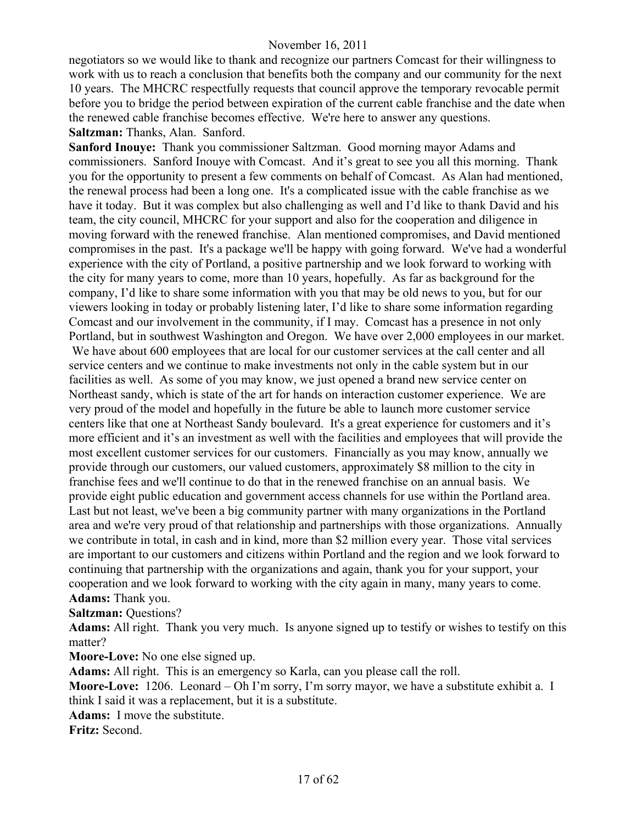negotiators so we would like to thank and recognize our partners Comcast for their willingness to work with us to reach a conclusion that benefits both the company and our community for the next 10 years. The MHCRC respectfully requests that council approve the temporary revocable permit before you to bridge the period between expiration of the current cable franchise and the date when the renewed cable franchise becomes effective. We're here to answer any questions. **Saltzman:** Thanks, Alan. Sanford.

**Sanford Inouye:** Thank you commissioner Saltzman. Good morning mayor Adams and commissioners. Sanford Inouye with Comcast. And it's great to see you all this morning. Thank you for the opportunity to present a few comments on behalf of Comcast. As Alan had mentioned, the renewal process had been a long one. It's a complicated issue with the cable franchise as we have it today. But it was complex but also challenging as well and I'd like to thank David and his team, the city council, MHCRC for your support and also for the cooperation and diligence in moving forward with the renewed franchise. Alan mentioned compromises, and David mentioned compromises in the past. It's a package we'll be happy with going forward. We've had a wonderful experience with the city of Portland, a positive partnership and we look forward to working with the city for many years to come, more than 10 years, hopefully. As far as background for the company, I'd like to share some information with you that may be old news to you, but for our viewers looking in today or probably listening later, I'd like to share some information regarding Comcast and our involvement in the community, if I may. Comcast has a presence in not only Portland, but in southwest Washington and Oregon. We have over 2,000 employees in our market. We have about 600 employees that are local for our customer services at the call center and all service centers and we continue to make investments not only in the cable system but in our facilities as well. As some of you may know, we just opened a brand new service center on Northeast sandy, which is state of the art for hands on interaction customer experience. We are very proud of the model and hopefully in the future be able to launch more customer service centers like that one at Northeast Sandy boulevard. It's a great experience for customers and it's more efficient and it's an investment as well with the facilities and employees that will provide the most excellent customer services for our customers. Financially as you may know, annually we provide through our customers, our valued customers, approximately \$8 million to the city in franchise fees and we'll continue to do that in the renewed franchise on an annual basis. We provide eight public education and government access channels for use within the Portland area. Last but not least, we've been a big community partner with many organizations in the Portland area and we're very proud of that relationship and partnerships with those organizations. Annually we contribute in total, in cash and in kind, more than \$2 million every year. Those vital services are important to our customers and citizens within Portland and the region and we look forward to continuing that partnership with the organizations and again, thank you for your support, your cooperation and we look forward to working with the city again in many, many years to come. **Adams:** Thank you.

**Saltzman:** Questions?

**Adams:** All right. Thank you very much. Is anyone signed up to testify or wishes to testify on this matter?

**Moore-Love:** No one else signed up.

**Adams:** All right. This is an emergency so Karla, can you please call the roll.

**Moore-Love:** 1206. Leonard – Oh I'm sorry, I'm sorry mayor, we have a substitute exhibit a. I think I said it was a replacement, but it is a substitute.

**Adams:** I move the substitute.

**Fritz:** Second.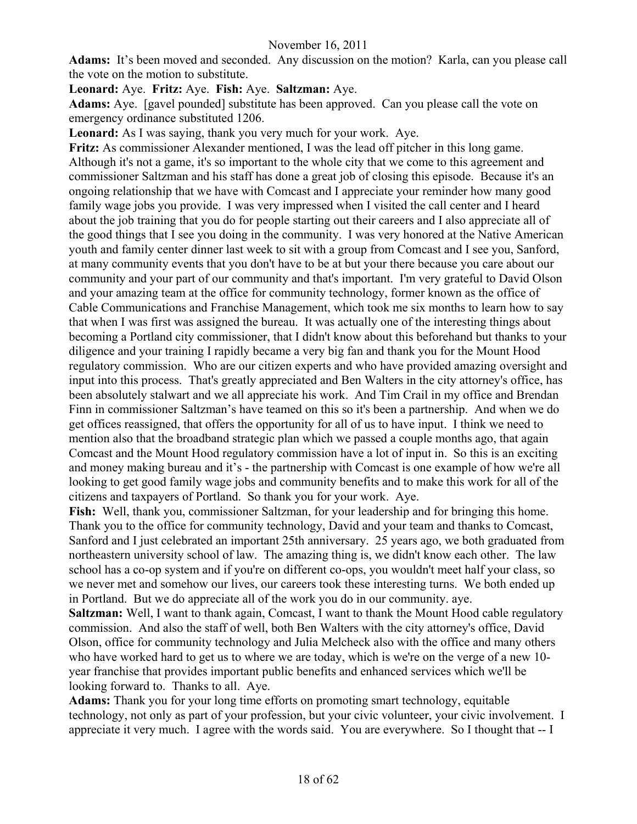**Adams:** It's been moved and seconded. Any discussion on the motion? Karla, can you please call the vote on the motion to substitute.

**Leonard:** Aye. **Fritz:** Aye. **Fish:** Aye. **Saltzman:** Aye.

**Adams:** Aye. [gavel pounded] substitute has been approved. Can you please call the vote on emergency ordinance substituted 1206.

**Leonard:** As I was saying, thank you very much for your work. Aye.

**Fritz:** As commissioner Alexander mentioned, I was the lead off pitcher in this long game. Although it's not a game, it's so important to the whole city that we come to this agreement and commissioner Saltzman and his staff has done a great job of closing this episode. Because it's an ongoing relationship that we have with Comcast and I appreciate your reminder how many good family wage jobs you provide. I was very impressed when I visited the call center and I heard about the job training that you do for people starting out their careers and I also appreciate all of the good things that I see you doing in the community. I was very honored at the Native American youth and family center dinner last week to sit with a group from Comcast and I see you, Sanford, at many community events that you don't have to be at but your there because you care about our community and your part of our community and that's important. I'm very grateful to David Olson and your amazing team at the office for community technology, former known as the office of Cable Communications and Franchise Management, which took me six months to learn how to say that when I was first was assigned the bureau. It was actually one of the interesting things about becoming a Portland city commissioner, that I didn't know about this beforehand but thanks to your diligence and your training I rapidly became a very big fan and thank you for the Mount Hood regulatory commission. Who are our citizen experts and who have provided amazing oversight and input into this process. That's greatly appreciated and Ben Walters in the city attorney's office, has been absolutely stalwart and we all appreciate his work. And Tim Crail in my office and Brendan Finn in commissioner Saltzman's have teamed on this so it's been a partnership. And when we do get offices reassigned, that offers the opportunity for all of us to have input. I think we need to mention also that the broadband strategic plan which we passed a couple months ago, that again Comcast and the Mount Hood regulatory commission have a lot of input in. So this is an exciting and money making bureau and it's - the partnership with Comcast is one example of how we're all looking to get good family wage jobs and community benefits and to make this work for all of the citizens and taxpayers of Portland. So thank you for your work. Aye.

**Fish:** Well, thank you, commissioner Saltzman, for your leadership and for bringing this home. Thank you to the office for community technology, David and your team and thanks to Comcast, Sanford and I just celebrated an important 25th anniversary. 25 years ago, we both graduated from northeastern university school of law. The amazing thing is, we didn't know each other. The law school has a co-op system and if you're on different co-ops, you wouldn't meet half your class, so we never met and somehow our lives, our careers took these interesting turns. We both ended up in Portland. But we do appreciate all of the work you do in our community. aye.

**Saltzman:** Well, I want to thank again, Comcast, I want to thank the Mount Hood cable regulatory commission. And also the staff of well, both Ben Walters with the city attorney's office, David Olson, office for community technology and Julia Melcheck also with the office and many others who have worked hard to get us to where we are today, which is we're on the verge of a new 10 year franchise that provides important public benefits and enhanced services which we'll be looking forward to. Thanks to all. Aye.

**Adams:** Thank you for your long time efforts on promoting smart technology, equitable technology, not only as part of your profession, but your civic volunteer, your civic involvement. I appreciate it very much. I agree with the words said. You are everywhere. So I thought that -- I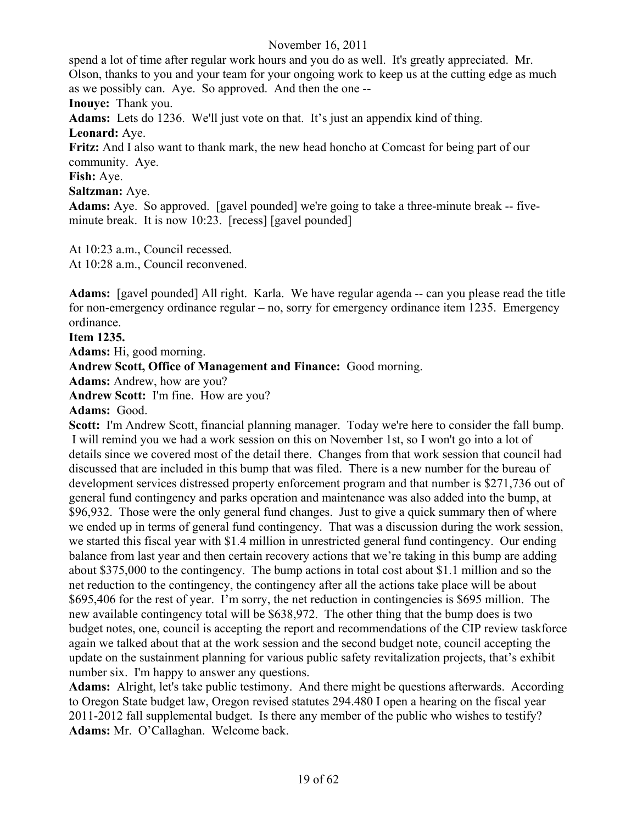spend a lot of time after regular work hours and you do as well. It's greatly appreciated. Mr. Olson, thanks to you and your team for your ongoing work to keep us at the cutting edge as much as we possibly can. Aye. So approved. And then the one --

**Inouye:** Thank you.

**Adams:** Lets do 1236. We'll just vote on that. It's just an appendix kind of thing.

**Leonard:** Aye.

**Fritz:** And I also want to thank mark, the new head honcho at Comcast for being part of our community. Aye.

**Fish:** Aye.

**Saltzman:** Aye.

**Adams:** Aye. So approved. [gavel pounded] we're going to take a three-minute break -- fiveminute break. It is now 10:23. [recess] [gavel pounded]

At 10:23 a.m., Council recessed.

At 10:28 a.m., Council reconvened.

**Adams:** [gavel pounded] All right. Karla. We have regular agenda -- can you please read the title for non-emergency ordinance regular – no, sorry for emergency ordinance item 1235. Emergency ordinance.

# **Item 1235.**

**Adams:** Hi, good morning.

**Andrew Scott, Office of Management and Finance:** Good morning.

**Adams:** Andrew, how are you?

**Andrew Scott:** I'm fine. How are you?

**Adams:** Good.

**Scott:** I'm Andrew Scott, financial planning manager. Today we're here to consider the fall bump. I will remind you we had a work session on this on November 1st, so I won't go into a lot of details since we covered most of the detail there. Changes from that work session that council had discussed that are included in this bump that was filed. There is a new number for the bureau of development services distressed property enforcement program and that number is \$271,736 out of general fund contingency and parks operation and maintenance was also added into the bump, at \$96,932. Those were the only general fund changes. Just to give a quick summary then of where we ended up in terms of general fund contingency. That was a discussion during the work session, we started this fiscal year with \$1.4 million in unrestricted general fund contingency. Our ending balance from last year and then certain recovery actions that we're taking in this bump are adding about \$375,000 to the contingency. The bump actions in total cost about \$1.1 million and so the net reduction to the contingency, the contingency after all the actions take place will be about \$695,406 for the rest of year. I'm sorry, the net reduction in contingencies is \$695 million. The new available contingency total will be \$638,972. The other thing that the bump does is two budget notes, one, council is accepting the report and recommendations of the CIP review taskforce again we talked about that at the work session and the second budget note, council accepting the update on the sustainment planning for various public safety revitalization projects, that's exhibit number six. I'm happy to answer any questions.

**Adams:** Alright, let's take public testimony. And there might be questions afterwards. According to Oregon State budget law, Oregon revised statutes 294.480 I open a hearing on the fiscal year 2011-2012 fall supplemental budget. Is there any member of the public who wishes to testify? **Adams:** Mr. O'Callaghan. Welcome back.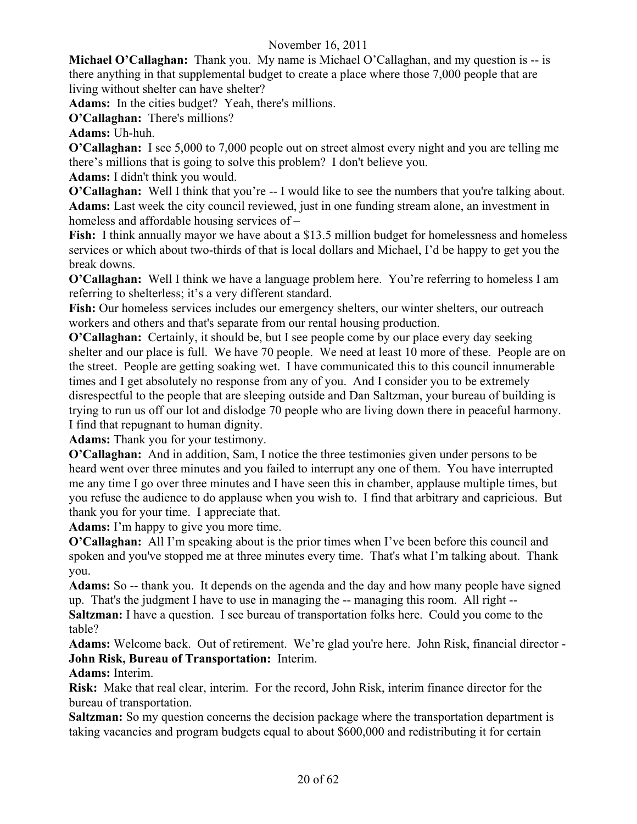**Michael O'Callaghan:** Thank you. My name is Michael O'Callaghan, and my question is -- is there anything in that supplemental budget to create a place where those 7,000 people that are living without shelter can have shelter?

**Adams:** In the cities budget? Yeah, there's millions.

**O'Callaghan:** There's millions?

**Adams:** Uh-huh.

**O'Callaghan:** I see 5,000 to 7,000 people out on street almost every night and you are telling me there's millions that is going to solve this problem? I don't believe you.

**Adams:** I didn't think you would.

**O'Callaghan:** Well I think that you're -- I would like to see the numbers that you're talking about. **Adams:** Last week the city council reviewed, just in one funding stream alone, an investment in homeless and affordable housing services of –

**Fish:** I think annually mayor we have about a \$13.5 million budget for homelessness and homeless services or which about two-thirds of that is local dollars and Michael, I'd be happy to get you the break downs.

**O'Callaghan:** Well I think we have a language problem here. You're referring to homeless I am referring to shelterless; it's a very different standard.

**Fish:** Our homeless services includes our emergency shelters, our winter shelters, our outreach workers and others and that's separate from our rental housing production.

**O'Callaghan:** Certainly, it should be, but I see people come by our place every day seeking shelter and our place is full. We have 70 people. We need at least 10 more of these. People are on the street. People are getting soaking wet. I have communicated this to this council innumerable times and I get absolutely no response from any of you. And I consider you to be extremely disrespectful to the people that are sleeping outside and Dan Saltzman, your bureau of building is trying to run us off our lot and dislodge 70 people who are living down there in peaceful harmony. I find that repugnant to human dignity.

**Adams:** Thank you for your testimony.

**O'Callaghan:** And in addition, Sam, I notice the three testimonies given under persons to be heard went over three minutes and you failed to interrupt any one of them. You have interrupted me any time I go over three minutes and I have seen this in chamber, applause multiple times, but you refuse the audience to do applause when you wish to. I find that arbitrary and capricious. But thank you for your time. I appreciate that.

**Adams:** I'm happy to give you more time.

**O'Callaghan:** All I'm speaking about is the prior times when I've been before this council and spoken and you've stopped me at three minutes every time. That's what I'm talking about. Thank you.

**Adams:** So -- thank you. It depends on the agenda and the day and how many people have signed up. That's the judgment I have to use in managing the -- managing this room. All right -- **Saltzman:** I have a question. I see bureau of transportation folks here. Could you come to the

table?

**Adams:** Welcome back. Out of retirement. We're glad you're here. John Risk, financial director - **John Risk, Bureau of Transportation:** Interim.

# **Adams:** Interim.

**Risk:** Make that real clear, interim. For the record, John Risk, interim finance director for the bureau of transportation.

**Saltzman:** So my question concerns the decision package where the transportation department is taking vacancies and program budgets equal to about \$600,000 and redistributing it for certain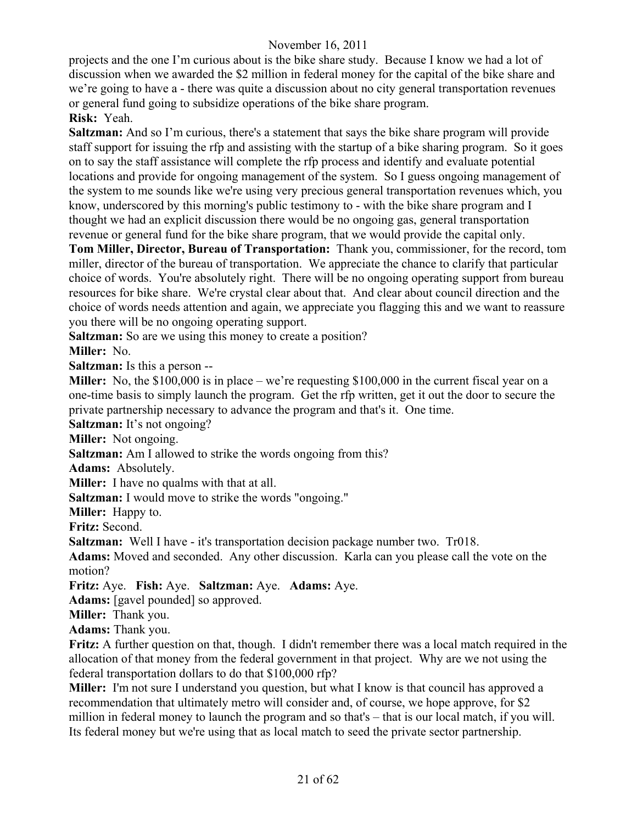projects and the one I'm curious about is the bike share study. Because I know we had a lot of discussion when we awarded the \$2 million in federal money for the capital of the bike share and we're going to have a - there was quite a discussion about no city general transportation revenues or general fund going to subsidize operations of the bike share program. **Risk:** Yeah.

**Saltzman:** And so I'm curious, there's a statement that says the bike share program will provide staff support for issuing the rfp and assisting with the startup of a bike sharing program. So it goes on to say the staff assistance will complete the rfp process and identify and evaluate potential locations and provide for ongoing management of the system. So I guess ongoing management of the system to me sounds like we're using very precious general transportation revenues which, you know, underscored by this morning's public testimony to - with the bike share program and I thought we had an explicit discussion there would be no ongoing gas, general transportation revenue or general fund for the bike share program, that we would provide the capital only.

**Tom Miller, Director, Bureau of Transportation:** Thank you, commissioner, for the record, tom miller, director of the bureau of transportation. We appreciate the chance to clarify that particular choice of words. You're absolutely right. There will be no ongoing operating support from bureau resources for bike share. We're crystal clear about that. And clear about council direction and the choice of words needs attention and again, we appreciate you flagging this and we want to reassure you there will be no ongoing operating support.

**Saltzman:** So are we using this money to create a position?

**Miller:** No.

**Saltzman:** Is this a person --

**Miller:** No, the \$100,000 is in place – we're requesting \$100,000 in the current fiscal year on a one-time basis to simply launch the program. Get the rfp written, get it out the door to secure the private partnership necessary to advance the program and that's it. One time.

**Saltzman:** It's not ongoing?

**Miller:** Not ongoing.

**Saltzman:** Am I allowed to strike the words ongoing from this?

**Adams:** Absolutely.

**Miller:** I have no qualms with that at all.

**Saltzman:** I would move to strike the words "ongoing."

**Miller:** Happy to.

**Fritz:** Second.

**Saltzman:** Well I have - it's transportation decision package number two. Tr018.

**Adams:** Moved and seconded. Any other discussion. Karla can you please call the vote on the motion?

**Fritz:** Aye. **Fish:** Aye. **Saltzman:** Aye. **Adams:** Aye.

**Adams:** [gavel pounded] so approved.

**Miller:** Thank you.

**Adams:** Thank you.

**Fritz:** A further question on that, though. I didn't remember there was a local match required in the allocation of that money from the federal government in that project. Why are we not using the federal transportation dollars to do that \$100,000 rfp?

**Miller:** I'm not sure I understand you question, but what I know is that council has approved a recommendation that ultimately metro will consider and, of course, we hope approve, for \$2 million in federal money to launch the program and so that's – that is our local match, if you will. Its federal money but we're using that as local match to seed the private sector partnership.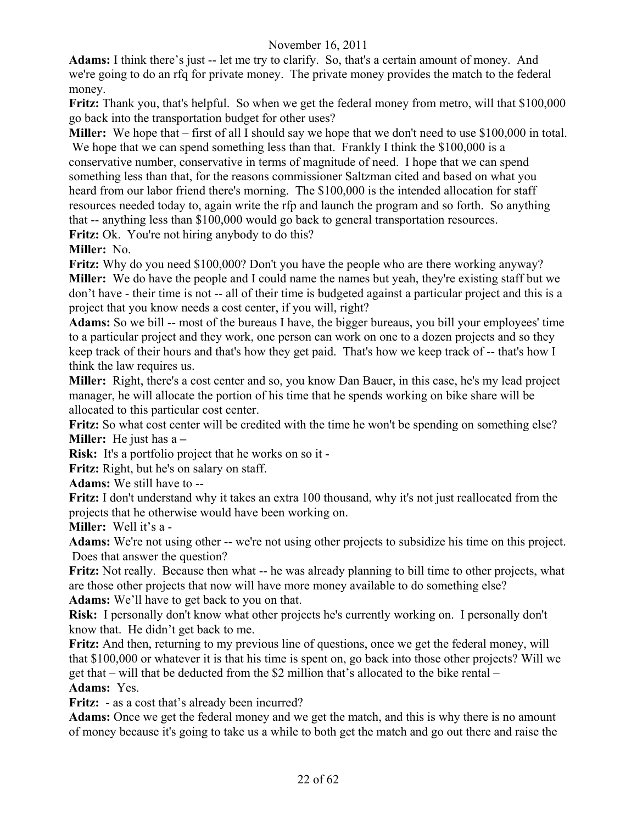**Adams:** I think there's just -- let me try to clarify. So, that's a certain amount of money. And we're going to do an rfq for private money. The private money provides the match to the federal money.

**Fritz:** Thank you, that's helpful. So when we get the federal money from metro, will that \$100,000 go back into the transportation budget for other uses?

**Miller:** We hope that – first of all I should say we hope that we don't need to use \$100,000 in total. We hope that we can spend something less than that. Frankly I think the \$100,000 is a conservative number, conservative in terms of magnitude of need. I hope that we can spend something less than that, for the reasons commissioner Saltzman cited and based on what you heard from our labor friend there's morning. The \$100,000 is the intended allocation for staff resources needed today to, again write the rfp and launch the program and so forth. So anything that -- anything less than \$100,000 would go back to general transportation resources.

**Fritz:** Ok. You're not hiring anybody to do this?

**Miller:** No.

**Fritz:** Why do you need \$100,000? Don't you have the people who are there working anyway? **Miller:** We do have the people and I could name the names but yeah, they're existing staff but we don't have - their time is not -- all of their time is budgeted against a particular project and this is a project that you know needs a cost center, if you will, right?

**Adams:** So we bill -- most of the bureaus I have, the bigger bureaus, you bill your employees' time to a particular project and they work, one person can work on one to a dozen projects and so they keep track of their hours and that's how they get paid. That's how we keep track of -- that's how I think the law requires us.

**Miller:** Right, there's a cost center and so, you know Dan Bauer, in this case, he's my lead project manager, he will allocate the portion of his time that he spends working on bike share will be allocated to this particular cost center.

**Fritz:** So what cost center will be credited with the time he won't be spending on something else? **Miller:** He just has a **–** 

**Risk:** It's a portfolio project that he works on so it -

**Fritz:** Right, but he's on salary on staff.

**Adams:** We still have to --

**Fritz:** I don't understand why it takes an extra 100 thousand, why it's not just reallocated from the projects that he otherwise would have been working on.

**Miller:** Well it's a -

**Adams:** We're not using other -- we're not using other projects to subsidize his time on this project. Does that answer the question?

**Fritz:** Not really. Because then what -- he was already planning to bill time to other projects, what are those other projects that now will have more money available to do something else? **Adams:** We'll have to get back to you on that.

**Risk:** I personally don't know what other projects he's currently working on. I personally don't know that. He didn't get back to me.

**Fritz:** And then, returning to my previous line of questions, once we get the federal money, will that \$100,000 or whatever it is that his time is spent on, go back into those other projects? Will we get that – will that be deducted from the \$2 million that's allocated to the bike rental – **Adams:** Yes.

**Fritz:** - as a cost that's already been incurred?

**Adams:** Once we get the federal money and we get the match, and this is why there is no amount of money because it's going to take us a while to both get the match and go out there and raise the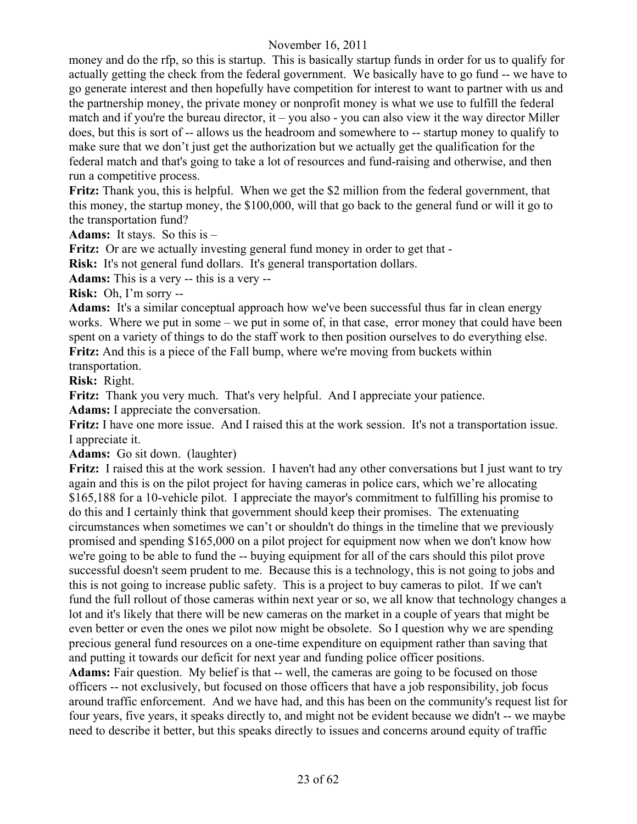money and do the rfp, so this is startup. This is basically startup funds in order for us to qualify for actually getting the check from the federal government. We basically have to go fund -- we have to go generate interest and then hopefully have competition for interest to want to partner with us and the partnership money, the private money or nonprofit money is what we use to fulfill the federal match and if you're the bureau director, it – you also - you can also view it the way director Miller does, but this is sort of -- allows us the headroom and somewhere to -- startup money to qualify to make sure that we don't just get the authorization but we actually get the qualification for the federal match and that's going to take a lot of resources and fund-raising and otherwise, and then run a competitive process.

**Fritz:** Thank you, this is helpful. When we get the \$2 million from the federal government, that this money, the startup money, the \$100,000, will that go back to the general fund or will it go to the transportation fund?

**Adams:** It stays. So this is –

**Fritz:** Or are we actually investing general fund money in order to get that -

**Risk:** It's not general fund dollars. It's general transportation dollars.

**Adams:** This is a very -- this is a very --

**Risk:** Oh, I'm sorry --

**Adams:** It's a similar conceptual approach how we've been successful thus far in clean energy works. Where we put in some – we put in some of, in that case, error money that could have been spent on a variety of things to do the staff work to then position ourselves to do everything else. **Fritz:** And this is a piece of the Fall bump, where we're moving from buckets within transportation.

**Risk:** Right.

**Fritz:** Thank you very much. That's very helpful. And I appreciate your patience.

**Adams:** I appreciate the conversation.

**Fritz:** I have one more issue. And I raised this at the work session. It's not a transportation issue. I appreciate it.

**Adams:** Go sit down. (laughter)

**Fritz:** I raised this at the work session. I haven't had any other conversations but I just want to try again and this is on the pilot project for having cameras in police cars, which we're allocating \$165,188 for a 10-vehicle pilot. I appreciate the mayor's commitment to fulfilling his promise to do this and I certainly think that government should keep their promises. The extenuating circumstances when sometimes we can't or shouldn't do things in the timeline that we previously promised and spending \$165,000 on a pilot project for equipment now when we don't know how we're going to be able to fund the -- buying equipment for all of the cars should this pilot prove successful doesn't seem prudent to me. Because this is a technology, this is not going to jobs and this is not going to increase public safety. This is a project to buy cameras to pilot. If we can't fund the full rollout of those cameras within next year or so, we all know that technology changes a lot and it's likely that there will be new cameras on the market in a couple of years that might be even better or even the ones we pilot now might be obsolete. So I question why we are spending precious general fund resources on a one-time expenditure on equipment rather than saving that and putting it towards our deficit for next year and funding police officer positions.

Adams: Fair question. My belief is that -- well, the cameras are going to be focused on those officers -- not exclusively, but focused on those officers that have a job responsibility, job focus around traffic enforcement. And we have had, and this has been on the community's request list for four years, five years, it speaks directly to, and might not be evident because we didn't -- we maybe need to describe it better, but this speaks directly to issues and concerns around equity of traffic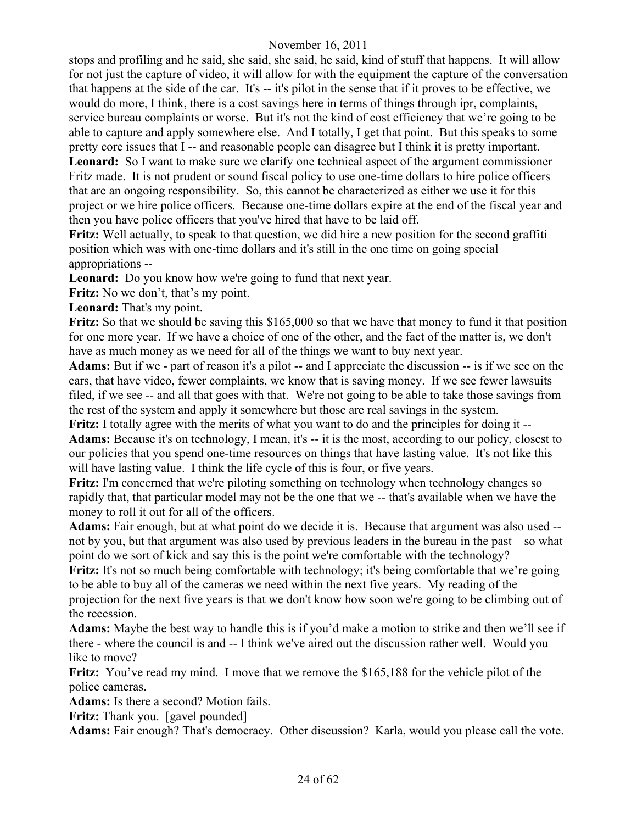stops and profiling and he said, she said, she said, he said, kind of stuff that happens. It will allow for not just the capture of video, it will allow for with the equipment the capture of the conversation that happens at the side of the car. It's -- it's pilot in the sense that if it proves to be effective, we would do more, I think, there is a cost savings here in terms of things through ipr, complaints, service bureau complaints or worse.But it's not the kind of cost efficiency that we're going to be able to capture and apply somewhere else. And I totally, I get that point. But this speaks to some pretty core issues that I -- and reasonable people can disagree but I think it is pretty important. **Leonard:** So I want to make sure we clarify one technical aspect of the argument commissioner Fritz made. It is not prudent or sound fiscal policy to use one-time dollars to hire police officers that are an ongoing responsibility. So, this cannot be characterized as either we use it for this project or we hire police officers. Because one-time dollars expire at the end of the fiscal year and then you have police officers that you've hired that have to be laid off.

**Fritz:** Well actually, to speak to that question, we did hire a new position for the second graffiti position which was with one-time dollars and it's still in the one time on going special appropriations --

**Leonard:** Do you know how we're going to fund that next year.

**Fritz:** No we don't, that's my point.

**Leonard:** That's my point.

**Fritz:** So that we should be saving this \$165,000 so that we have that money to fund it that position for one more year. If we have a choice of one of the other, and the fact of the matter is, we don't have as much money as we need for all of the things we want to buy next year.

**Adams:** But if we - part of reason it's a pilot -- and I appreciate the discussion -- is if we see on the cars, that have video, fewer complaints, we know that is saving money. If we see fewer lawsuits filed, if we see -- and all that goes with that. We're not going to be able to take those savings from the rest of the system and apply it somewhere but those are real savings in the system.

**Fritz:** I totally agree with the merits of what you want to do and the principles for doing it -- **Adams:** Because it's on technology, I mean, it's -- it is the most, according to our policy, closest to our policies that you spend one-time resources on things that have lasting value. It's not like this will have lasting value. I think the life cycle of this is four, or five years.

**Fritz:** I'm concerned that we're piloting something on technology when technology changes so rapidly that, that particular model may not be the one that we -- that's available when we have the money to roll it out for all of the officers.

**Adams:** Fair enough, but at what point do we decide it is. Because that argument was also used - not by you, but that argument was also used by previous leaders in the bureau in the past – so what point do we sort of kick and say this is the point we're comfortable with the technology?

Fritz: It's not so much being comfortable with technology; it's being comfortable that we're going to be able to buy all of the cameras we need within the next five years. My reading of the projection for the next five years is that we don't know how soon we're going to be climbing out of the recession.

**Adams:** Maybe the best way to handle this is if you'd make a motion to strike and then we'll see if there - where the council is and -- I think we've aired out the discussion rather well. Would you like to move?

**Fritz:** You've read my mind. I move that we remove the \$165,188 for the vehicle pilot of the police cameras.

**Adams:** Is there a second? Motion fails.

**Fritz:** Thank you. [gavel pounded]

**Adams:** Fair enough? That's democracy. Other discussion? Karla, would you please call the vote.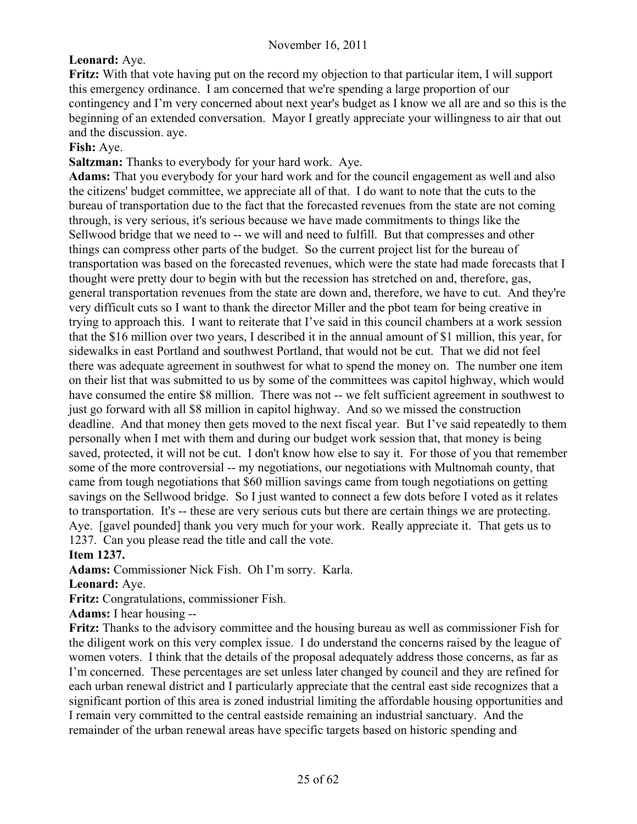# **Leonard:** Aye.

**Fritz:** With that vote having put on the record my objection to that particular item, I will support this emergency ordinance. I am concerned that we're spending a large proportion of our contingency and I'm very concerned about next year's budget as I know we all are and so this is the beginning of an extended conversation. Mayor I greatly appreciate your willingness to air that out and the discussion. aye.

#### **Fish:** Aye.

**Saltzman:** Thanks to everybody for your hard work. Aye.

**Adams:** That you everybody for your hard work and for the council engagement as well and also the citizens' budget committee, we appreciate all of that. I do want to note that the cuts to the bureau of transportation due to the fact that the forecasted revenues from the state are not coming through, is very serious, it's serious because we have made commitments to things like the Sellwood bridge that we need to -- we will and need to fulfill. But that compresses and other things can compress other parts of the budget. So the current project list for the bureau of transportation was based on the forecasted revenues, which were the state had made forecasts that I thought were pretty dour to begin with but the recession has stretched on and, therefore, gas, general transportation revenues from the state are down and, therefore, we have to cut. And they're very difficult cuts so I want to thank the director Miller and the pbot team for being creative in trying to approach this. I want to reiterate that I've said in this council chambers at a work session that the \$16 million over two years, I described it in the annual amount of \$1 million, this year, for sidewalks in east Portland and southwest Portland, that would not be cut. That we did not feel there was adequate agreement in southwest for what to spend the money on. The number one item on their list that was submitted to us by some of the committees was capitol highway, which would have consumed the entire \$8 million. There was not -- we felt sufficient agreement in southwest to just go forward with all \$8 million in capitol highway. And so we missed the construction deadline. And that money then gets moved to the next fiscal year. But I've said repeatedly to them personally when I met with them and during our budget work session that, that money is being saved, protected, it will not be cut. I don't know how else to say it. For those of you that remember some of the more controversial -- my negotiations, our negotiations with Multnomah county, that came from tough negotiations that \$60 million savings came from tough negotiations on getting savings on the Sellwood bridge. So I just wanted to connect a few dots before I voted as it relates to transportation. It's -- these are very serious cuts but there are certain things we are protecting. Aye. [gavel pounded] thank you very much for your work. Really appreciate it. That gets us to 1237. Can you please read the title and call the vote.

#### **Item 1237.**

**Adams:** Commissioner Nick Fish. Oh I'm sorry. Karla.

**Leonard:** Aye.

**Fritz:** Congratulations, commissioner Fish.

**Adams:** I hear housing --

**Fritz:** Thanks to the advisory committee and the housing bureau as well as commissioner Fish for the diligent work on this very complex issue. I do understand the concerns raised by the league of women voters. I think that the details of the proposal adequately address those concerns, as far as I'm concerned. These percentages are set unless later changed by council and they are refined for each urban renewal district and I particularly appreciate that the central east side recognizes that a significant portion of this area is zoned industrial limiting the affordable housing opportunities and I remain very committed to the central eastside remaining an industrial sanctuary. And the remainder of the urban renewal areas have specific targets based on historic spending and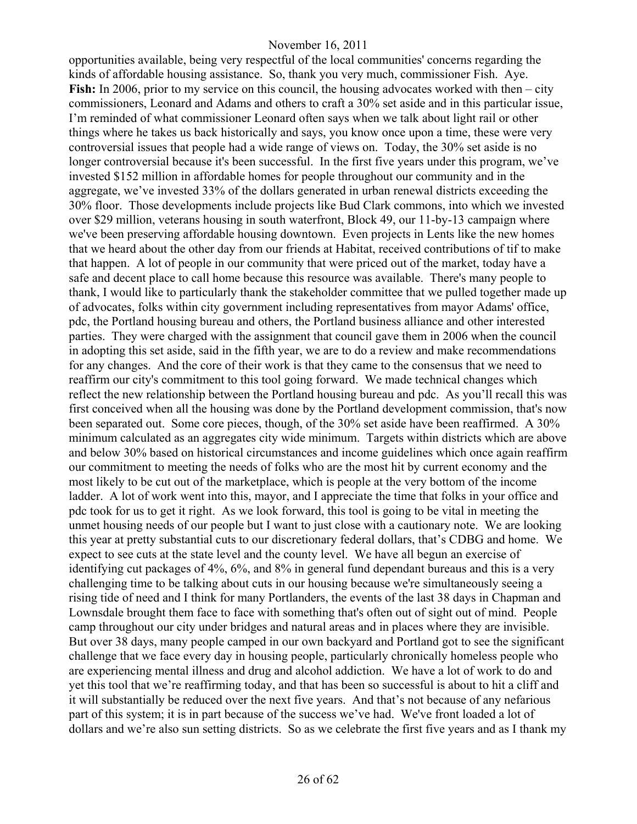opportunities available, being very respectful of the local communities' concerns regarding the kinds of affordable housing assistance. So, thank you very much, commissioner Fish. Aye. **Fish:** In 2006, prior to my service on this council, the housing advocates worked with then – city commissioners, Leonard and Adams and others to craft a 30% set aside and in this particular issue, I'm reminded of what commissioner Leonard often says when we talk about light rail or other things where he takes us back historically and says, you know once upon a time, these were very controversial issues that people had a wide range of views on. Today, the 30% set aside is no longer controversial because it's been successful. In the first five years under this program, we've invested \$152 million in affordable homes for people throughout our community and in the aggregate, we've invested 33% of the dollars generated in urban renewal districts exceeding the 30% floor. Those developments include projects like Bud Clark commons, into which we invested over \$29 million, veterans housing in south waterfront, Block 49, our 11-by-13 campaign where we've been preserving affordable housing downtown. Even projects in Lents like the new homes that we heard about the other day from our friends at Habitat, received contributions of tif to make that happen. A lot of people in our community that were priced out of the market, today have a safe and decent place to call home because this resource was available. There's many people to thank, I would like to particularly thank the stakeholder committee that we pulled together made up of advocates, folks within city government including representatives from mayor Adams' office, pdc, the Portland housing bureau and others, the Portland business alliance and other interested parties. They were charged with the assignment that council gave them in 2006 when the council in adopting this set aside, said in the fifth year, we are to do a review and make recommendations for any changes.And the core of their work is that they came to the consensus that we need to reaffirm our city's commitment to this tool going forward. We made technical changes which reflect the new relationship between the Portland housing bureau and pdc. As you'll recall this was first conceived when all the housing was done by the Portland development commission, that's now been separated out. Some core pieces, though, of the 30% set aside have been reaffirmed. A 30% minimum calculated as an aggregates city wide minimum. Targets within districts which are above and below 30% based on historical circumstances and income guidelines which once again reaffirm our commitment to meeting the needs of folks who are the most hit by current economy and the most likely to be cut out of the marketplace, which is people at the very bottom of the income ladder. A lot of work went into this, mayor, and I appreciate the time that folks in your office and pdc took for us to get it right. As we look forward, this tool is going to be vital in meeting the unmet housing needs of our people but I want to just close with a cautionary note. We are looking this year at pretty substantial cuts to our discretionary federal dollars, that's CDBG and home. We expect to see cuts at the state level and the county level. We have all begun an exercise of identifying cut packages of 4%, 6%, and 8% in general fund dependant bureaus and this is a very challenging time to be talking about cuts in our housing because we're simultaneously seeing a rising tide of need and I think for many Portlanders, the events of the last 38 days in Chapman and Lownsdale brought them face to face with something that's often out of sight out of mind. People camp throughout our city under bridges and natural areas and in places where they are invisible. But over 38 days, many people camped in our own backyard and Portland got to see the significant challenge that we face every day in housing people, particularly chronically homeless people who are experiencing mental illness and drug and alcohol addiction. We have a lot of work to do and yet this tool that we're reaffirming today, and that has been so successful is about to hit a cliff and it will substantially be reduced over the next five years. And that's not because of any nefarious part of this system; it is in part because of the success we've had. We've front loaded a lot of dollars and we're also sun setting districts. So as we celebrate the first five years and as I thank my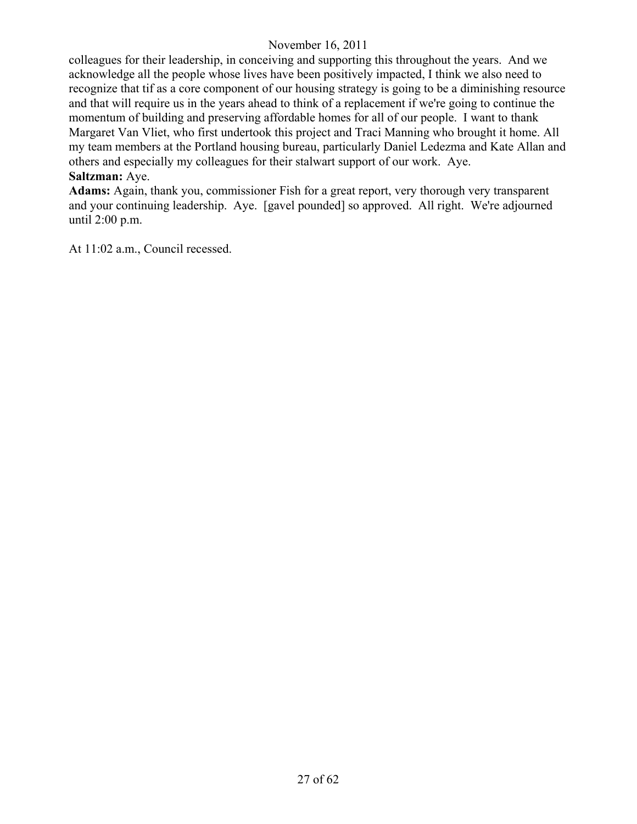colleagues for their leadership, in conceiving and supporting this throughout the years. And we acknowledge all the people whose lives have been positively impacted, I think we also need to recognize that tif as a core component of our housing strategy is going to be a diminishing resource and that will require us in the years ahead to think of a replacement if we're going to continue the momentum of building and preserving affordable homes for all of our people. I want to thank Margaret Van Vliet, who first undertook this project and Traci Manning who brought it home. All my team members at the Portland housing bureau, particularly Daniel Ledezma and Kate Allan and others and especially my colleagues for their stalwart support of our work. Aye.

# **Saltzman:** Aye.

**Adams:** Again, thank you, commissioner Fish for a great report, very thorough very transparent and your continuing leadership. Aye. [gavel pounded] so approved. All right. We're adjourned until 2:00 p.m.

At 11:02 a.m., Council recessed.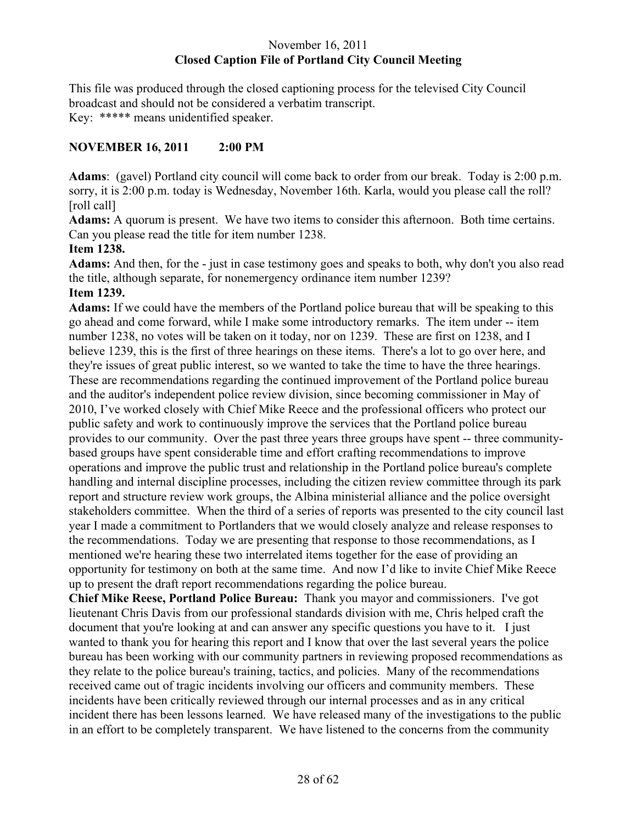# November 16, 2011 **Closed Caption File of Portland City Council Meeting**

This file was produced through the closed captioning process for the televised City Council broadcast and should not be considered a verbatim transcript. Key: \*\*\*\*\* means unidentified speaker.

# **NOVEMBER 16, 2011 2:00 PM**

**Adams**: (gavel) Portland city council will come back to order from our break. Today is 2:00 p.m. sorry, it is 2:00 p.m. today is Wednesday, November 16th. Karla, would you please call the roll? [roll call]

**Adams:** A quorum is present. We have two items to consider this afternoon. Both time certains. Can you please read the title for item number 1238.

# **Item 1238.**

**Adams:** And then, for the - just in case testimony goes and speaks to both, why don't you also read the title, although separate, for nonemergency ordinance item number 1239? **Item 1239.**

**Adams:** If we could have the members of the Portland police bureau that will be speaking to this go ahead and come forward, while I make some introductory remarks. The item under -- item number 1238, no votes will be taken on it today, nor on 1239. These are first on 1238, and I believe 1239, this is the first of three hearings on these items. There's a lot to go over here, and they're issues of great public interest, so we wanted to take the time to have the three hearings. These are recommendations regarding the continued improvement of the Portland police bureau and the auditor's independent police review division, since becoming commissioner in May of 2010, I've worked closely with Chief Mike Reece and the professional officers who protect our public safety and work to continuously improve the services that the Portland police bureau provides to our community. Over the past three years three groups have spent -- three communitybased groups have spent considerable time and effort crafting recommendations to improve operations and improve the public trust and relationship in the Portland police bureau's complete handling and internal discipline processes, including the citizen review committee through its park report and structure review work groups, the Albina ministerial alliance and the police oversight stakeholders committee. When the third of a series of reports was presented to the city council last year I made a commitment to Portlanders that we would closely analyze and release responses to the recommendations. Today we are presenting that response to those recommendations, as I mentioned we're hearing these two interrelated items together for the ease of providing an opportunity for testimony on both at the same time. And now I'd like to invite Chief Mike Reece up to present the draft report recommendations regarding the police bureau.

**Chief Mike Reese, Portland Police Bureau:** Thank you mayor and commissioners. I've got lieutenant Chris Davis from our professional standards division with me, Chris helped craft the document that you're looking at and can answer any specific questions you have to it. I just wanted to thank you for hearing this report and I know that over the last several years the police bureau has been working with our community partners in reviewing proposed recommendations as they relate to the police bureau's training, tactics, and policies. Many of the recommendations received came out of tragic incidents involving our officers and community members. These incidents have been critically reviewed through our internal processes and as in any critical incident there has been lessons learned. We have released many of the investigations to the public in an effort to be completely transparent. We have listened to the concerns from the community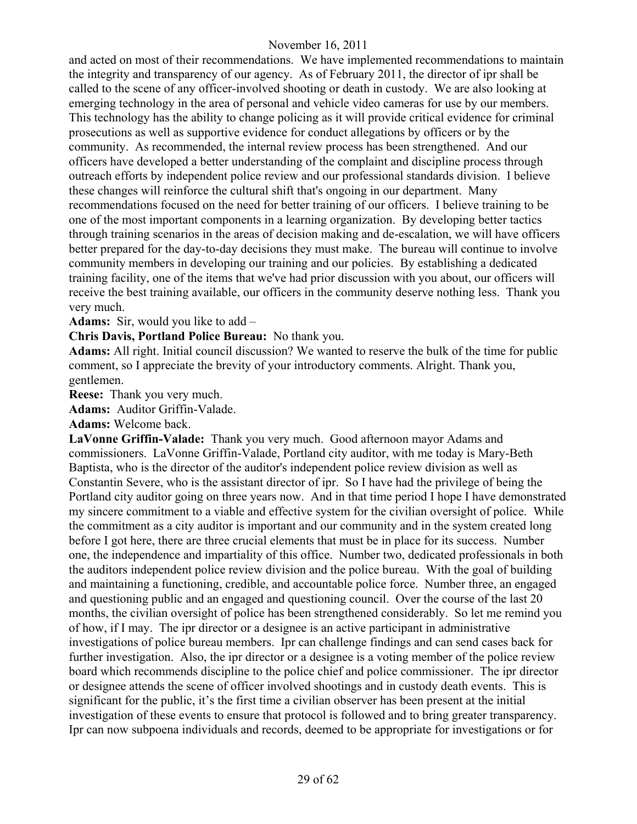and acted on most of their recommendations. We have implemented recommendations to maintain the integrity and transparency of our agency. As of February 2011, the director of ipr shall be called to the scene of any officer-involved shooting or death in custody. We are also looking at emerging technology in the area of personal and vehicle video cameras for use by our members. This technology has the ability to change policing as it will provide critical evidence for criminal prosecutions as well as supportive evidence for conduct allegations by officers or by the community. As recommended, the internal review process has been strengthened. And our officers have developed a better understanding of the complaint and discipline process through outreach efforts by independent police review and our professional standards division. I believe these changes will reinforce the cultural shift that's ongoing in our department. Many recommendations focused on the need for better training of our officers. I believe training to be one of the most important components in a learning organization. By developing better tactics through training scenarios in the areas of decision making and de-escalation, we will have officers better prepared for the day-to-day decisions they must make. The bureau will continue to involve community members in developing our training and our policies. By establishing a dedicated training facility, one of the items that we've had prior discussion with you about, our officers will receive the best training available, our officers in the community deserve nothing less. Thank you very much.

**Adams:** Sir, would you like to add –

**Chris Davis, Portland Police Bureau:** No thank you.

**Adams:** All right. Initial council discussion? We wanted to reserve the bulk of the time for public comment, so I appreciate the brevity of your introductory comments. Alright. Thank you, gentlemen.

**Reese:** Thank you very much.

**Adams:** Auditor Griffin-Valade.

**Adams:** Welcome back.

**LaVonne Griffin-Valade:** Thank you very much. Good afternoon mayor Adams and commissioners. LaVonne Griffin-Valade, Portland city auditor, with me today is Mary-Beth Baptista, who is the director of the auditor's independent police review division as well as Constantin Severe, who is the assistant director of ipr. So I have had the privilege of being the Portland city auditor going on three years now. And in that time period I hope I have demonstrated my sincere commitment to a viable and effective system for the civilian oversight of police. While the commitment as a city auditor is important and our community and in the system created long before I got here, there are three crucial elements that must be in place for its success. Number one, the independence and impartiality of this office. Number two, dedicated professionals in both the auditors independent police review division and the police bureau. With the goal of building and maintaining a functioning, credible, and accountable police force. Number three, an engaged and questioning public and an engaged and questioning council. Over the course of the last 20 months, the civilian oversight of police has been strengthened considerably. So let me remind you of how, if I may. The ipr director or a designee is an active participant in administrative investigations of police bureau members. Ipr can challenge findings and can send cases back for further investigation. Also, the ipr director or a designee is a voting member of the police review board which recommends discipline to the police chief and police commissioner. The ipr director or designee attends the scene of officer involved shootings and in custody death events. This is significant for the public, it's the first time a civilian observer has been present at the initial investigation of these events to ensure that protocol is followed and to bring greater transparency. Ipr can now subpoena individuals and records, deemed to be appropriate for investigations or for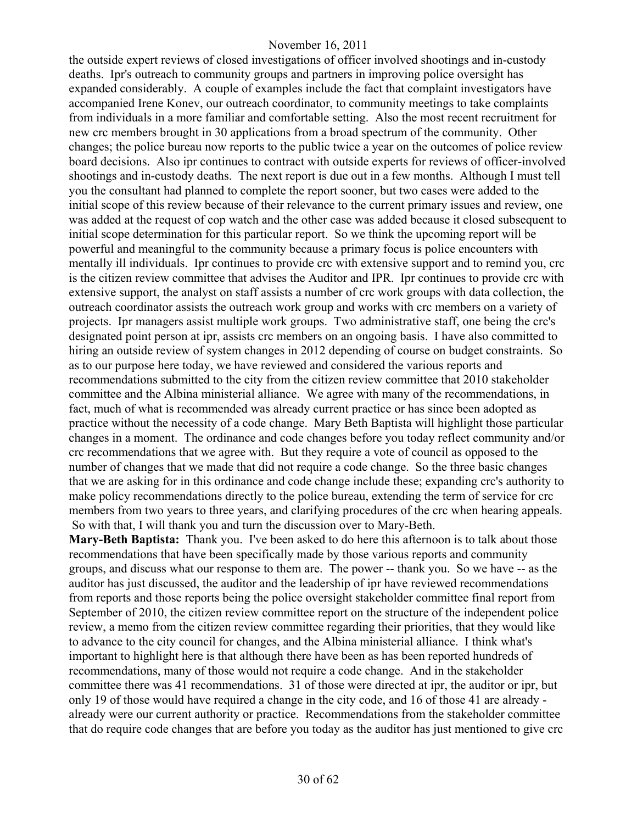the outside expert reviews of closed investigations of officer involved shootings and in-custody deaths. Ipr's outreach to community groups and partners in improving police oversight has expanded considerably. A couple of examples include the fact that complaint investigators have accompanied Irene Konev, our outreach coordinator, to community meetings to take complaints from individuals in a more familiar and comfortable setting. Also the most recent recruitment for new crc members brought in 30 applications from a broad spectrum of the community. Other changes; the police bureau now reports to the public twice a year on the outcomes of police review board decisions. Also ipr continues to contract with outside experts for reviews of officer-involved shootings and in-custody deaths. The next report is due out in a few months. Although I must tell you the consultant had planned to complete the report sooner, but two cases were added to the initial scope of this review because of their relevance to the current primary issues and review, one was added at the request of cop watch and the other case was added because it closed subsequent to initial scope determination for this particular report. So we think the upcoming report will be powerful and meaningful to the community because a primary focus is police encounters with mentally ill individuals. Ipr continues to provide crc with extensive support and to remind you, crc is the citizen review committee that advises the Auditor and IPR. Ipr continues to provide crc with extensive support, the analyst on staff assists a number of crc work groups with data collection, the outreach coordinator assists the outreach work group and works with crc members on a variety of projects. Ipr managers assist multiple work groups. Two administrative staff, one being the crc's designated point person at ipr, assists crc members on an ongoing basis. I have also committed to hiring an outside review of system changes in 2012 depending of course on budget constraints. So as to our purpose here today, we have reviewed and considered the various reports and recommendations submitted to the city from the citizen review committee that 2010 stakeholder committee and the Albina ministerial alliance. We agree with many of the recommendations, in fact, much of what is recommended was already current practice or has since been adopted as practice without the necessity of a code change. Mary Beth Baptista will highlight those particular changes in a moment. The ordinance and code changes before you today reflect community and/or crc recommendations that we agree with. But they require a vote of council as opposed to the number of changes that we made that did not require a code change. So the three basic changes that we are asking for in this ordinance and code change include these; expanding crc's authority to make policy recommendations directly to the police bureau, extending the term of service for crc members from two years to three years, and clarifying procedures of the crc when hearing appeals. So with that, I will thank you and turn the discussion over to Mary-Beth.

**Mary-Beth Baptista:** Thank you. I've been asked to do here this afternoon is to talk about those recommendations that have been specifically made by those various reports and community groups, and discuss what our response to them are. The power -- thank you. So we have -- as the auditor has just discussed, the auditor and the leadership of ipr have reviewed recommendations from reports and those reports being the police oversight stakeholder committee final report from September of 2010, the citizen review committee report on the structure of the independent police review, a memo from the citizen review committee regarding their priorities, that they would like to advance to the city council for changes, and the Albina ministerial alliance. I think what's important to highlight here is that although there have been as has been reported hundreds of recommendations, many of those would not require a code change. And in the stakeholder committee there was 41 recommendations. 31 of those were directed at ipr, the auditor or ipr, but only 19 of those would have required a change in the city code, and 16 of those 41 are already already were our current authority or practice. Recommendations from the stakeholder committee that do require code changes that are before you today as the auditor has just mentioned to give crc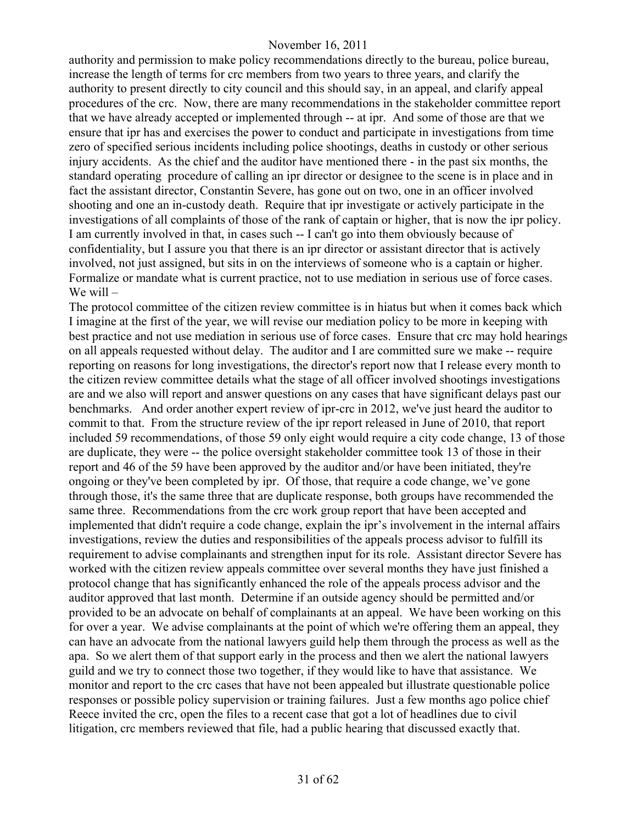authority and permission to make policy recommendations directly to the bureau, police bureau, increase the length of terms for crc members from two years to three years, and clarify the authority to present directly to city council and this should say, in an appeal, and clarify appeal procedures of the crc. Now, there are many recommendations in the stakeholder committee report that we have already accepted or implemented through -- at ipr. And some of those are that we ensure that ipr has and exercises the power to conduct and participate in investigations from time zero of specified serious incidents including police shootings, deaths in custody or other serious injury accidents. As the chief and the auditor have mentioned there - in the past six months, the standard operating procedure of calling an ipr director or designee to the scene is in place and in fact the assistant director, Constantin Severe, has gone out on two, one in an officer involved shooting and one an in-custody death. Require that ipr investigate or actively participate in the investigations of all complaints of those of the rank of captain or higher, that is now the ipr policy. I am currently involved in that, in cases such -- I can't go into them obviously because of confidentiality, but I assure you that there is an ipr director or assistant director that is actively involved, not just assigned, but sits in on the interviews of someone who is a captain or higher. Formalize or mandate what is current practice, not to use mediation in serious use of force cases. We will –

The protocol committee of the citizen review committee is in hiatus but when it comes back which I imagine at the first of the year, we will revise our mediation policy to be more in keeping with best practice and not use mediation in serious use of force cases. Ensure that crc may hold hearings on all appeals requested without delay. The auditor and I are committed sure we make -- require reporting on reasons for long investigations, the director's report now that I release every month to the citizen review committee details what the stage of all officer involved shootings investigations are and we also will report and answer questions on any cases that have significant delays past our benchmarks. And order another expert review of ipr-crc in 2012, we've just heard the auditor to commit to that. From the structure review of the ipr report released in June of 2010, that report included 59 recommendations, of those 59 only eight would require a city code change, 13 of those are duplicate, they were -- the police oversight stakeholder committee took 13 of those in their report and 46 of the 59 have been approved by the auditor and/or have been initiated, they're ongoing or they've been completed by ipr. Of those, that require a code change, we've gone through those, it's the same three that are duplicate response, both groups have recommended the same three. Recommendations from the crc work group report that have been accepted and implemented that didn't require a code change, explain the ipr's involvement in the internal affairs investigations, review the duties and responsibilities of the appeals process advisor to fulfill its requirement to advise complainants and strengthen input for its role. Assistant director Severe has worked with the citizen review appeals committee over several months they have just finished a protocol change that has significantly enhanced the role of the appeals process advisor and the auditor approved that last month. Determine if an outside agency should be permitted and/or provided to be an advocate on behalf of complainants at an appeal. We have been working on this for over a year. We advise complainants at the point of which we're offering them an appeal, they can have an advocate from the national lawyers guild help them through the process as well as the apa. So we alert them of that support early in the process and then we alert the national lawyers guild and we try to connect those two together, if they would like to have that assistance. We monitor and report to the crc cases that have not been appealed but illustrate questionable police responses or possible policy supervision or training failures. Just a few months ago police chief Reece invited the crc, open the files to a recent case that got a lot of headlines due to civil litigation, crc members reviewed that file, had a public hearing that discussed exactly that.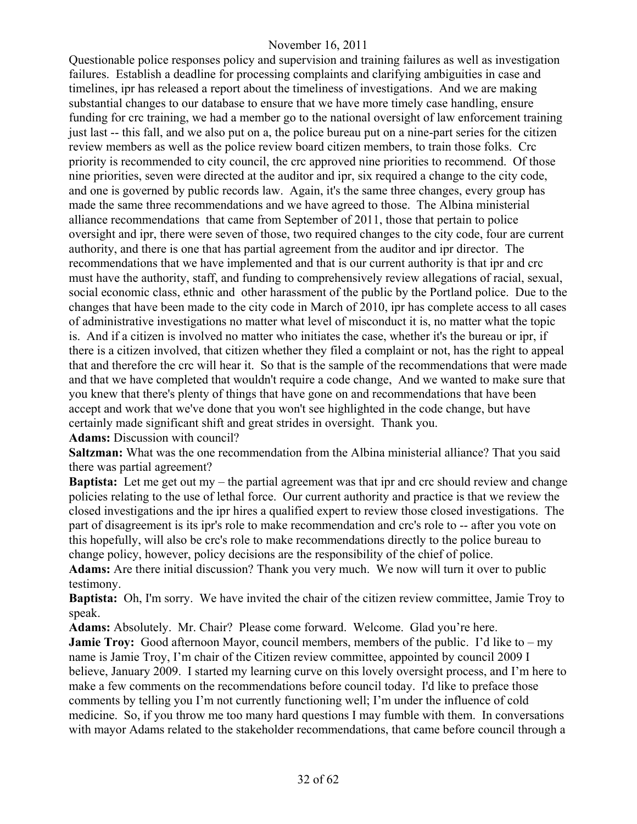Questionable police responses policy and supervision and training failures as well as investigation failures. Establish a deadline for processing complaints and clarifying ambiguities in case and timelines, ipr has released a report about the timeliness of investigations. And we are making substantial changes to our database to ensure that we have more timely case handling, ensure funding for crc training, we had a member go to the national oversight of law enforcement training just last -- this fall, and we also put on a, the police bureau put on a nine-part series for the citizen review members as well as the police review board citizen members, to train those folks. Crc priority is recommended to city council, the crc approved nine priorities to recommend. Of those nine priorities, seven were directed at the auditor and ipr, six required a change to the city code, and one is governed by public records law. Again, it's the same three changes, every group has made the same three recommendations and we have agreed to those. The Albina ministerial alliance recommendations that came from September of 2011, those that pertain to police oversight and ipr, there were seven of those, two required changes to the city code, four are current authority, and there is one that has partial agreement from the auditor and ipr director. The recommendations that we have implemented and that is our current authority is that ipr and crc must have the authority, staff, and funding to comprehensively review allegations of racial, sexual, social economic class, ethnic and other harassment of the public by the Portland police. Due to the changes that have been made to the city code in March of 2010, ipr has complete access to all cases of administrative investigations no matter what level of misconduct it is, no matter what the topic is. And if a citizen is involved no matter who initiates the case, whether it's the bureau or ipr, if there is a citizen involved, that citizen whether they filed a complaint or not, has the right to appeal that and therefore the crc will hear it. So that is the sample of the recommendations that were made and that we have completed that wouldn't require a code change, And we wanted to make sure that you knew that there's plenty of things that have gone on and recommendations that have been accept and work that we've done that you won't see highlighted in the code change, but have certainly made significant shift and great strides in oversight. Thank you.

**Adams:** Discussion with council?

**Saltzman:** What was the one recommendation from the Albina ministerial alliance? That you said there was partial agreement?

**Baptista:** Let me get out my – the partial agreement was that ipr and crc should review and change policies relating to the use of lethal force. Our current authority and practice is that we review the closed investigations and the ipr hires a qualified expert to review those closed investigations. The part of disagreement is its ipr's role to make recommendation and crc's role to -- after you vote on this hopefully, will also be crc's role to make recommendations directly to the police bureau to change policy, however, policy decisions are the responsibility of the chief of police.

**Adams:** Are there initial discussion? Thank you very much. We now will turn it over to public testimony.

**Baptista:** Oh, I'm sorry. We have invited the chair of the citizen review committee, Jamie Troy to speak.

**Adams:** Absolutely. Mr. Chair? Please come forward. Welcome. Glad you're here. **Jamie Troy:** Good afternoon Mayor, council members, members of the public. I'd like to – my name is Jamie Troy, I'm chair of the Citizen review committee, appointed by council 2009 I believe, January 2009. I started my learning curve on this lovely oversight process, and I'm here to make a few comments on the recommendations before council today. I'd like to preface those comments by telling you I'm not currently functioning well; I'm under the influence of cold medicine. So, if you throw me too many hard questions I may fumble with them. In conversations with mayor Adams related to the stakeholder recommendations, that came before council through a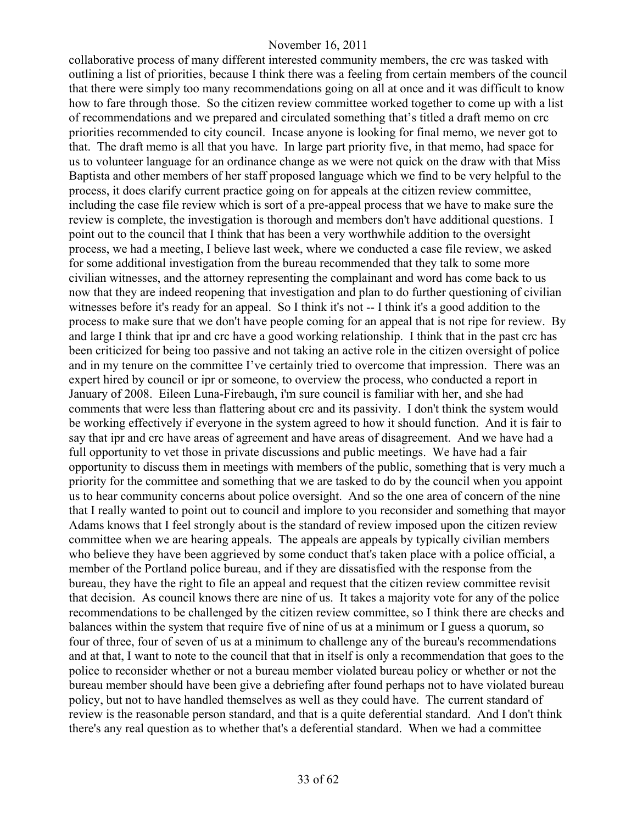collaborative process of many different interested community members, the crc was tasked with outlining a list of priorities, because I think there was a feeling from certain members of the council that there were simply too many recommendations going on all at once and it was difficult to know how to fare through those. So the citizen review committee worked together to come up with a list of recommendations and we prepared and circulated something that's titled a draft memo on crc priorities recommended to city council. Incase anyone is looking for final memo, we never got to that. The draft memo is all that you have. In large part priority five, in that memo, had space for us to volunteer language for an ordinance change as we were not quick on the draw with that Miss Baptista and other members of her staff proposed language which we find to be very helpful to the process, it does clarify current practice going on for appeals at the citizen review committee, including the case file review which is sort of a pre-appeal process that we have to make sure the review is complete, the investigation is thorough and members don't have additional questions. I point out to the council that I think that has been a very worthwhile addition to the oversight process, we had a meeting, I believe last week, where we conducted a case file review, we asked for some additional investigation from the bureau recommended that they talk to some more civilian witnesses, and the attorney representing the complainant and word has come back to us now that they are indeed reopening that investigation and plan to do further questioning of civilian witnesses before it's ready for an appeal. So I think it's not -- I think it's a good addition to the process to make sure that we don't have people coming for an appeal that is not ripe for review. By and large I think that ipr and crc have a good working relationship. I think that in the past crc has been criticized for being too passive and not taking an active role in the citizen oversight of police and in my tenure on the committee I've certainly tried to overcome that impression. There was an expert hired by council or ipr or someone, to overview the process, who conducted a report in January of 2008. Eileen Luna-Firebaugh, i'm sure council is familiar with her, and she had comments that were less than flattering about crc and its passivity. I don't think the system would be working effectively if everyone in the system agreed to how it should function. And it is fair to say that ipr and crc have areas of agreement and have areas of disagreement. And we have had a full opportunity to vet those in private discussions and public meetings. We have had a fair opportunity to discuss them in meetings with members of the public, something that is very much a priority for the committee and something that we are tasked to do by the council when you appoint us to hear community concerns about police oversight. And so the one area of concern of the nine that I really wanted to point out to council and implore to you reconsider and something that mayor Adams knows that I feel strongly about is the standard of review imposed upon the citizen review committee when we are hearing appeals. The appeals are appeals by typically civilian members who believe they have been aggrieved by some conduct that's taken place with a police official, a member of the Portland police bureau, and if they are dissatisfied with the response from the bureau, they have the right to file an appeal and request that the citizen review committee revisit that decision. As council knows there are nine of us. It takes a majority vote for any of the police recommendations to be challenged by the citizen review committee, so I think there are checks and balances within the system that require five of nine of us at a minimum or I guess a quorum, so four of three, four of seven of us at a minimum to challenge any of the bureau's recommendations and at that, I want to note to the council that that in itself is only a recommendation that goes to the police to reconsider whether or not a bureau member violated bureau policy or whether or not the bureau member should have been give a debriefing after found perhaps not to have violated bureau policy, but not to have handled themselves as well as they could have. The current standard of review is the reasonable person standard, and that is a quite deferential standard. And I don't think there's any real question as to whether that's a deferential standard. When we had a committee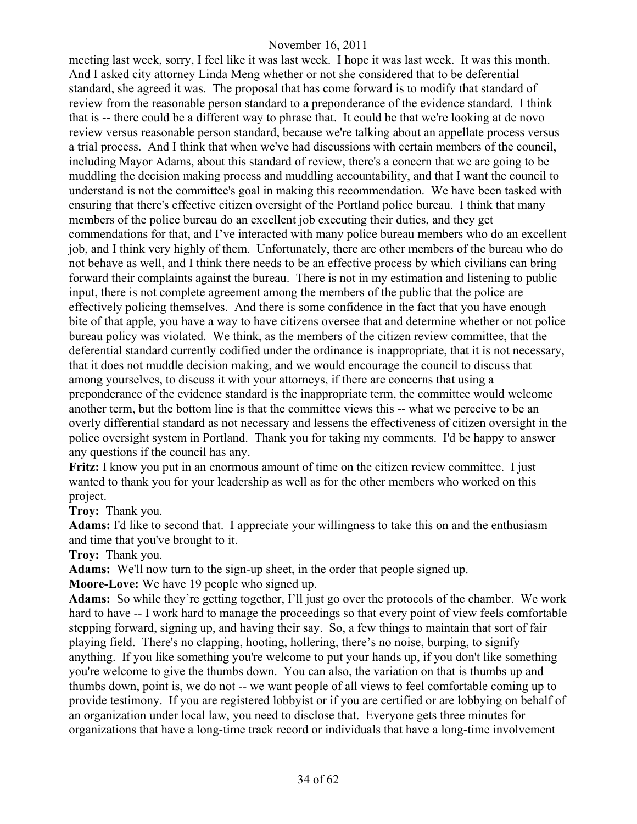meeting last week, sorry, I feel like it was last week. I hope it was last week. It was this month. And I asked city attorney Linda Meng whether or not she considered that to be deferential standard, she agreed it was. The proposal that has come forward is to modify that standard of review from the reasonable person standard to a preponderance of the evidence standard. I think that is -- there could be a different way to phrase that. It could be that we're looking at de novo review versus reasonable person standard, because we're talking about an appellate process versus a trial process. And I think that when we've had discussions with certain members of the council, including Mayor Adams, about this standard of review, there's a concern that we are going to be muddling the decision making process and muddling accountability, and that I want the council to understand is not the committee's goal in making this recommendation. We have been tasked with ensuring that there's effective citizen oversight of the Portland police bureau. I think that many members of the police bureau do an excellent job executing their duties, and they get commendations for that, and I've interacted with many police bureau members who do an excellent job, and I think very highly of them. Unfortunately, there are other members of the bureau who do not behave as well, and I think there needs to be an effective process by which civilians can bring forward their complaints against the bureau. There is not in my estimation and listening to public input, there is not complete agreement among the members of the public that the police are effectively policing themselves. And there is some confidence in the fact that you have enough bite of that apple, you have a way to have citizens oversee that and determine whether or not police bureau policy was violated. We think, as the members of the citizen review committee, that the deferential standard currently codified under the ordinance is inappropriate, that it is not necessary, that it does not muddle decision making, and we would encourage the council to discuss that among yourselves, to discuss it with your attorneys, if there are concerns that using a preponderance of the evidence standard is the inappropriate term, the committee would welcome another term, but the bottom line is that the committee views this -- what we perceive to be an overly differential standard as not necessary and lessens the effectiveness of citizen oversight in the police oversight system in Portland. Thank you for taking my comments. I'd be happy to answer any questions if the council has any.

**Fritz:** I know you put in an enormous amount of time on the citizen review committee. I just wanted to thank you for your leadership as well as for the other members who worked on this project.

**Troy:** Thank you.

**Adams:** I'd like to second that. I appreciate your willingness to take this on and the enthusiasm and time that you've brought to it.

**Troy:** Thank you.

**Adams:** We'll now turn to the sign-up sheet, in the order that people signed up.

**Moore-Love:** We have 19 people who signed up.

**Adams:** So while they're getting together, I'll just go over the protocols of the chamber. We work hard to have -- I work hard to manage the proceedings so that every point of view feels comfortable stepping forward, signing up, and having their say. So, a few things to maintain that sort of fair playing field. There's no clapping, hooting, hollering, there's no noise, burping, to signify anything. If you like something you're welcome to put your hands up, if you don't like something you're welcome to give the thumbs down. You can also, the variation on that is thumbs up and thumbs down, point is, we do not -- we want people of all views to feel comfortable coming up to provide testimony. If you are registered lobbyist or if you are certified or are lobbying on behalf of an organization under local law, you need to disclose that. Everyone gets three minutes for organizations that have a long-time track record or individuals that have a long-time involvement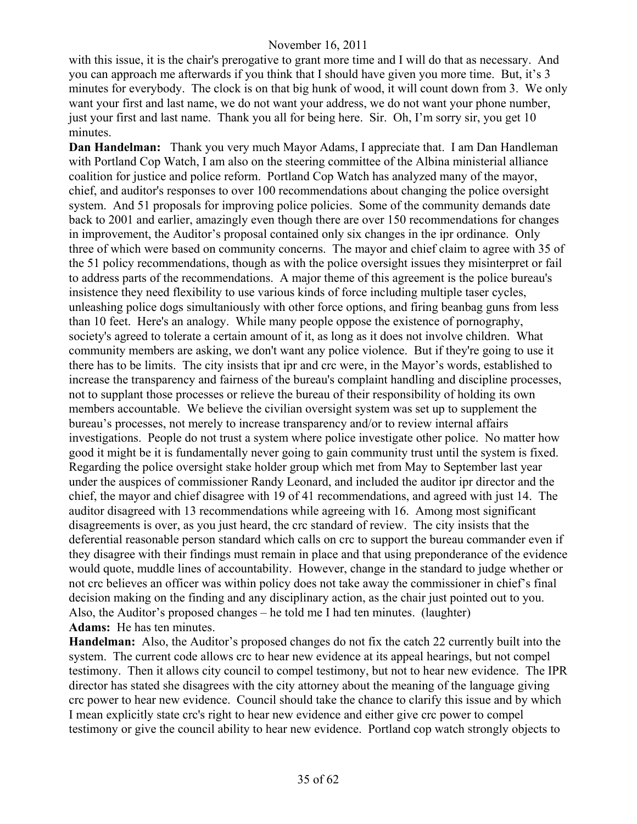with this issue, it is the chair's prerogative to grant more time and I will do that as necessary. And you can approach me afterwards if you think that I should have given you more time. But, it's 3 minutes for everybody. The clock is on that big hunk of wood, it will count down from 3. We only want your first and last name, we do not want your address, we do not want your phone number, just your first and last name. Thank you all for being here. Sir. Oh, I'm sorry sir, you get 10 minutes.

**Dan Handelman:** Thank you very much Mayor Adams, I appreciate that. I am Dan Handleman with Portland Cop Watch, I am also on the steering committee of the Albina ministerial alliance coalition for justice and police reform. Portland Cop Watch has analyzed many of the mayor, chief, and auditor's responses to over 100 recommendations about changing the police oversight system. And 51 proposals for improving police policies. Some of the community demands date back to 2001 and earlier, amazingly even though there are over 150 recommendations for changes in improvement, the Auditor's proposal contained only six changes in the ipr ordinance. Only three of which were based on community concerns. The mayor and chief claim to agree with 35 of the 51 policy recommendations, though as with the police oversight issues they misinterpret or fail to address parts of the recommendations. A major theme of this agreement is the police bureau's insistence they need flexibility to use various kinds of force including multiple taser cycles, unleashing police dogs simultaniously with other force options, and firing beanbag guns from less than 10 feet. Here's an analogy. While many people oppose the existence of pornography, society's agreed to tolerate a certain amount of it, as long as it does not involve children. What community members are asking, we don't want any police violence. But if they're going to use it there has to be limits. The city insists that ipr and crc were, in the Mayor's words, established to increase the transparency and fairness of the bureau's complaint handling and discipline processes, not to supplant those processes or relieve the bureau of their responsibility of holding its own members accountable. We believe the civilian oversight system was set up to supplement the bureau's processes, not merely to increase transparency and/or to review internal affairs investigations. People do not trust a system where police investigate other police. No matter how good it might be it is fundamentally never going to gain community trust until the system is fixed. Regarding the police oversight stake holder group which met from May to September last year under the auspices of commissioner Randy Leonard, and included the auditor ipr director and the chief, the mayor and chief disagree with 19 of 41 recommendations, and agreed with just 14. The auditor disagreed with 13 recommendations while agreeing with 16. Among most significant disagreements is over, as you just heard, the crc standard of review. The city insists that the deferential reasonable person standard which calls on crc to support the bureau commander even if they disagree with their findings must remain in place and that using preponderance of the evidence would quote, muddle lines of accountability. However, change in the standard to judge whether or not crc believes an officer was within policy does not take away the commissioner in chief's final decision making on the finding and any disciplinary action, as the chair just pointed out to you. Also, the Auditor's proposed changes – he told me I had ten minutes. (laughter) **Adams:** He has ten minutes.

**Handelman:** Also, the Auditor's proposed changes do not fix the catch 22 currently built into the system. The current code allows crc to hear new evidence at its appeal hearings, but not compel testimony. Then it allows city council to compel testimony, but not to hear new evidence. The IPR director has stated she disagrees with the city attorney about the meaning of the language giving crc power to hear new evidence. Council should take the chance to clarify this issue and by which I mean explicitly state crc's right to hear new evidence and either give crc power to compel testimony or give the council ability to hear new evidence. Portland cop watch strongly objects to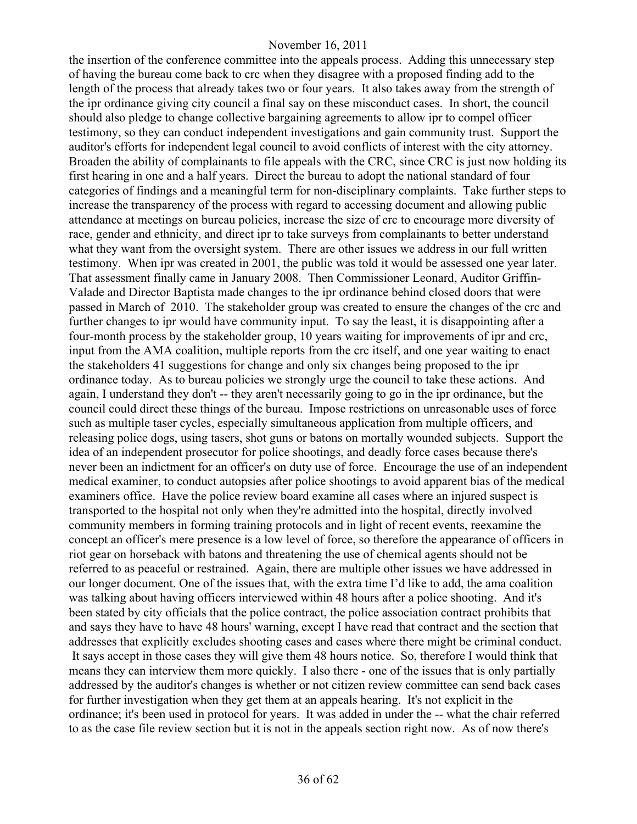the insertion of the conference committee into the appeals process. Adding this unnecessary step of having the bureau come back to crc when they disagree with a proposed finding add to the length of the process that already takes two or four years. It also takes away from the strength of the ipr ordinance giving city council a final say on these misconduct cases. In short, the council should also pledge to change collective bargaining agreements to allow ipr to compel officer testimony, so they can conduct independent investigations and gain community trust. Support the auditor's efforts for independent legal council to avoid conflicts of interest with the city attorney. Broaden the ability of complainants to file appeals with the CRC, since CRC is just now holding its first hearing in one and a half years. Direct the bureau to adopt the national standard of four categories of findings and a meaningful term for non-disciplinary complaints. Take further steps to increase the transparency of the process with regard to accessing document and allowing public attendance at meetings on bureau policies, increase the size of crc to encourage more diversity of race, gender and ethnicity, and direct ipr to take surveys from complainants to better understand what they want from the oversight system. There are other issues we address in our full written testimony. When ipr was created in 2001, the public was told it would be assessed one year later. That assessment finally came in January 2008. Then Commissioner Leonard, Auditor Griffin-Valade and Director Baptista made changes to the ipr ordinance behind closed doors that were passed in March of 2010. The stakeholder group was created to ensure the changes of the crc and further changes to ipr would have community input. To say the least, it is disappointing after a four-month process by the stakeholder group, 10 years waiting for improvements of ipr and crc, input from the AMA coalition, multiple reports from the crc itself, and one year waiting to enact the stakeholders 41 suggestions for change and only six changes being proposed to the ipr ordinance today. As to bureau policies we strongly urge the council to take these actions. And again, I understand they don't -- they aren't necessarily going to go in the ipr ordinance, but the council could direct these things of the bureau. Impose restrictions on unreasonable uses of force such as multiple taser cycles, especially simultaneous application from multiple officers, and releasing police dogs, using tasers, shot guns or batons on mortally wounded subjects. Support the idea of an independent prosecutor for police shootings, and deadly force cases because there's never been an indictment for an officer's on duty use of force. Encourage the use of an independent medical examiner, to conduct autopsies after police shootings to avoid apparent bias of the medical examiners office. Have the police review board examine all cases where an injured suspect is transported to the hospital not only when they're admitted into the hospital, directly involved community members in forming training protocols and in light of recent events, reexamine the concept an officer's mere presence is a low level of force, so therefore the appearance of officers in riot gear on horseback with batons and threatening the use of chemical agents should not be referred to as peaceful or restrained. Again, there are multiple other issues we have addressed in our longer document. One of the issues that, with the extra time I'd like to add, the ama coalition was talking about having officers interviewed within 48 hours after a police shooting. And it's been stated by city officials that the police contract, the police association contract prohibits that and says they have to have 48 hours' warning, except I have read that contract and the section that addresses that explicitly excludes shooting cases and cases where there might be criminal conduct. It says accept in those cases they will give them 48 hours notice. So, therefore I would think that means they can interview them more quickly. I also there - one of the issues that is only partially addressed by the auditor's changes is whether or not citizen review committee can send back cases for further investigation when they get them at an appeals hearing. It's not explicit in the ordinance; it's been used in protocol for years. It was added in under the -- what the chair referred to as the case file review section but it is not in the appeals section right now. As of now there's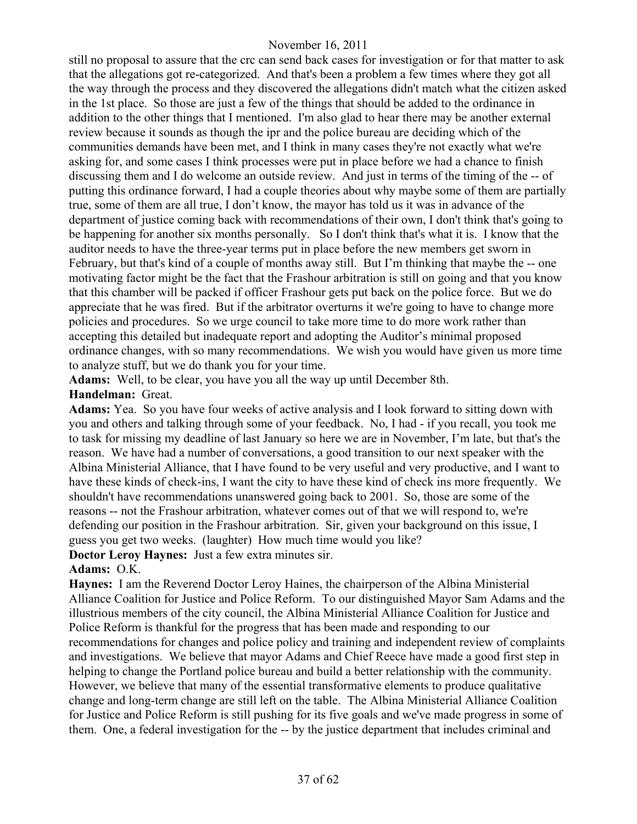still no proposal to assure that the crc can send back cases for investigation or for that matter to ask that the allegations got re-categorized. And that's been a problem a few times where they got all the way through the process and they discovered the allegations didn't match what the citizen asked in the 1st place. So those are just a few of the things that should be added to the ordinance in addition to the other things that I mentioned. I'm also glad to hear there may be another external review because it sounds as though the ipr and the police bureau are deciding which of the communities demands have been met, and I think in many cases they're not exactly what we're asking for, and some cases I think processes were put in place before we had a chance to finish discussing them and I do welcome an outside review. And just in terms of the timing of the -- of putting this ordinance forward, I had a couple theories about why maybe some of them are partially true, some of them are all true, I don't know, the mayor has told us it was in advance of the department of justice coming back with recommendations of their own, I don't think that's going to be happening for another six months personally. So I don't think that's what it is. I know that the auditor needs to have the three-year terms put in place before the new members get sworn in February, but that's kind of a couple of months away still. But I'm thinking that maybe the -- one motivating factor might be the fact that the Frashour arbitration is still on going and that you know that this chamber will be packed if officer Frashour gets put back on the police force. But we do appreciate that he was fired. But if the arbitrator overturns it we're going to have to change more policies and procedures. So we urge council to take more time to do more work rather than accepting this detailed but inadequate report and adopting the Auditor's minimal proposed ordinance changes, with so many recommendations. We wish you would have given us more time to analyze stuff, but we do thank you for your time.

**Adams:** Well, to be clear, you have you all the way up until December 8th.

# **Handelman:** Great.

**Adams:** Yea. So you have four weeks of active analysis and I look forward to sitting down with you and others and talking through some of your feedback. No, I had - if you recall, you took me to task for missing my deadline of last January so here we are in November, I'm late, but that's the reason. We have had a number of conversations, a good transition to our next speaker with the Albina Ministerial Alliance, that I have found to be very useful and very productive, and I want to have these kinds of check-ins, I want the city to have these kind of check ins more frequently. We shouldn't have recommendations unanswered going back to 2001. So, those are some of the reasons -- not the Frashour arbitration, whatever comes out of that we will respond to, we're defending our position in the Frashour arbitration. Sir, given your background on this issue, I guess you get two weeks. (laughter) How much time would you like?

**Doctor Leroy Haynes:** Just a few extra minutes sir.

# **Adams:** O.K.

**Haynes:** I am the Reverend Doctor Leroy Haines, the chairperson of the Albina Ministerial Alliance Coalition for Justice and Police Reform. To our distinguished Mayor Sam Adams and the illustrious members of the city council, the Albina Ministerial Alliance Coalition for Justice and Police Reform is thankful for the progress that has been made and responding to our recommendations for changes and police policy and training and independent review of complaints and investigations. We believe that mayor Adams and Chief Reece have made a good first step in helping to change the Portland police bureau and build a better relationship with the community. However, we believe that many of the essential transformative elements to produce qualitative change and long-term change are still left on the table. The Albina Ministerial Alliance Coalition for Justice and Police Reform is still pushing for its five goals and we've made progress in some of them. One, a federal investigation for the -- by the justice department that includes criminal and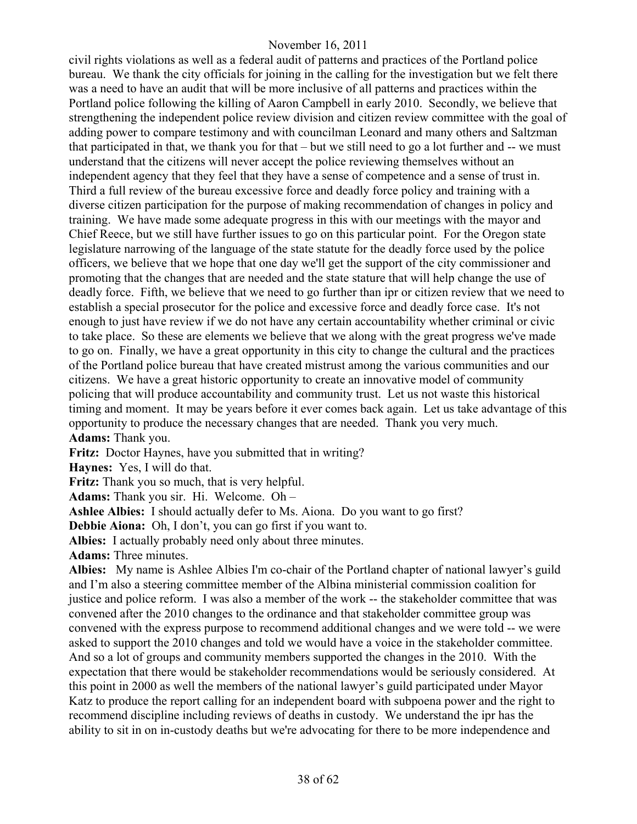civil rights violations as well as a federal audit of patterns and practices of the Portland police bureau. We thank the city officials for joining in the calling for the investigation but we felt there was a need to have an audit that will be more inclusive of all patterns and practices within the Portland police following the killing of Aaron Campbell in early 2010. Secondly, we believe that strengthening the independent police review division and citizen review committee with the goal of adding power to compare testimony and with councilman Leonard and many others and Saltzman that participated in that, we thank you for that – but we still need to go a lot further and -- we must understand that the citizens will never accept the police reviewing themselves without an independent agency that they feel that they have a sense of competence and a sense of trust in. Third a full review of the bureau excessive force and deadly force policy and training with a diverse citizen participation for the purpose of making recommendation of changes in policy and training. We have made some adequate progress in this with our meetings with the mayor and Chief Reece, but we still have further issues to go on this particular point. For the Oregon state legislature narrowing of the language of the state statute for the deadly force used by the police officers, we believe that we hope that one day we'll get the support of the city commissioner and promoting that the changes that are needed and the state stature that will help change the use of deadly force. Fifth, we believe that we need to go further than ipr or citizen review that we need to establish a special prosecutor for the police and excessive force and deadly force case. It's not enough to just have review if we do not have any certain accountability whether criminal or civic to take place. So these are elements we believe that we along with the great progress we've made to go on. Finally, we have a great opportunity in this city to change the cultural and the practices of the Portland police bureau that have created mistrust among the various communities and our citizens. We have a great historic opportunity to create an innovative model of community policing that will produce accountability and community trust. Let us not waste this historical timing and moment. It may be years before it ever comes back again. Let us take advantage of this opportunity to produce the necessary changes that are needed. Thank you very much. **Adams:** Thank you.

**Fritz:** Doctor Haynes, have you submitted that in writing?

**Haynes:** Yes, I will do that.

**Fritz:** Thank you so much, that is very helpful.

**Adams:** Thank you sir. Hi. Welcome. Oh –

**Ashlee Albies:** I should actually defer to Ms. Aiona. Do you want to go first?

**Debbie Aiona:** Oh, I don't, you can go first if you want to.

**Albies:** I actually probably need only about three minutes.

**Adams:** Three minutes.

**Albies:** My name is Ashlee Albies I'm co-chair of the Portland chapter of national lawyer's guild and I'm also a steering committee member of the Albina ministerial commission coalition for justice and police reform. I was also a member of the work -- the stakeholder committee that was convened after the 2010 changes to the ordinance and that stakeholder committee group was convened with the express purpose to recommend additional changes and we were told -- we were asked to support the 2010 changes and told we would have a voice in the stakeholder committee. And so a lot of groups and community members supported the changes in the 2010. With the expectation that there would be stakeholder recommendations would be seriously considered. At this point in 2000 as well the members of the national lawyer's guild participated under Mayor Katz to produce the report calling for an independent board with subpoena power and the right to recommend discipline including reviews of deaths in custody. We understand the ipr has the ability to sit in on in-custody deaths but we're advocating for there to be more independence and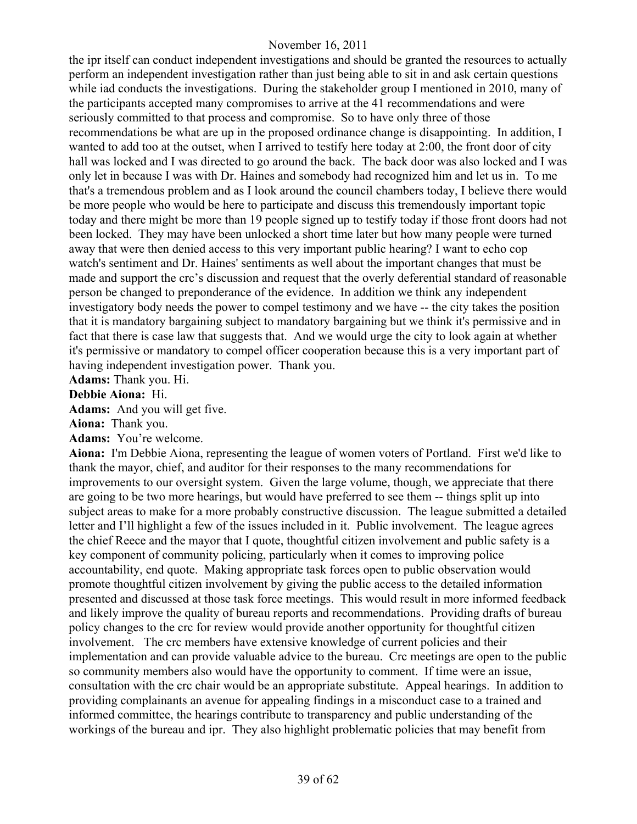the ipr itself can conduct independent investigations and should be granted the resources to actually perform an independent investigation rather than just being able to sit in and ask certain questions while iad conducts the investigations. During the stakeholder group I mentioned in 2010, many of the participants accepted many compromises to arrive at the 41 recommendations and were seriously committed to that process and compromise. So to have only three of those recommendations be what are up in the proposed ordinance change is disappointing. In addition, I wanted to add too at the outset, when I arrived to testify here today at 2:00, the front door of city hall was locked and I was directed to go around the back. The back door was also locked and I was only let in because I was with Dr. Haines and somebody had recognized him and let us in. To me that's a tremendous problem and as I look around the council chambers today, I believe there would be more people who would be here to participate and discuss this tremendously important topic today and there might be more than 19 people signed up to testify today if those front doors had not been locked. They may have been unlocked a short time later but how many people were turned away that were then denied access to this very important public hearing? I want to echo cop watch's sentiment and Dr. Haines' sentiments as well about the important changes that must be made and support the crc's discussion and request that the overly deferential standard of reasonable person be changed to preponderance of the evidence. In addition we think any independent investigatory body needs the power to compel testimony and we have -- the city takes the position that it is mandatory bargaining subject to mandatory bargaining but we think it's permissive and in fact that there is case law that suggests that. And we would urge the city to look again at whether it's permissive or mandatory to compel officer cooperation because this is a very important part of having independent investigation power. Thank you.

**Adams:** Thank you. Hi.

#### **Debbie Aiona:** Hi.

**Adams:** And you will get five.

**Aiona:** Thank you.

**Adams:** You're welcome.

**Aiona:** I'm Debbie Aiona, representing the league of women voters of Portland. First we'd like to thank the mayor, chief, and auditor for their responses to the many recommendations for improvements to our oversight system. Given the large volume, though, we appreciate that there are going to be two more hearings, but would have preferred to see them -- things split up into subject areas to make for a more probably constructive discussion. The league submitted a detailed letter and I'll highlight a few of the issues included in it. Public involvement. The league agrees the chief Reece and the mayor that I quote, thoughtful citizen involvement and public safety is a key component of community policing, particularly when it comes to improving police accountability, end quote. Making appropriate task forces open to public observation would promote thoughtful citizen involvement by giving the public access to the detailed information presented and discussed at those task force meetings. This would result in more informed feedback and likely improve the quality of bureau reports and recommendations. Providing drafts of bureau policy changes to the crc for review would provide another opportunity for thoughtful citizen involvement. The crc members have extensive knowledge of current policies and their implementation and can provide valuable advice to the bureau. Crc meetings are open to the public so community members also would have the opportunity to comment. If time were an issue, consultation with the crc chair would be an appropriate substitute. Appeal hearings. In addition to providing complainants an avenue for appealing findings in a misconduct case to a trained and informed committee, the hearings contribute to transparency and public understanding of the workings of the bureau and ipr. They also highlight problematic policies that may benefit from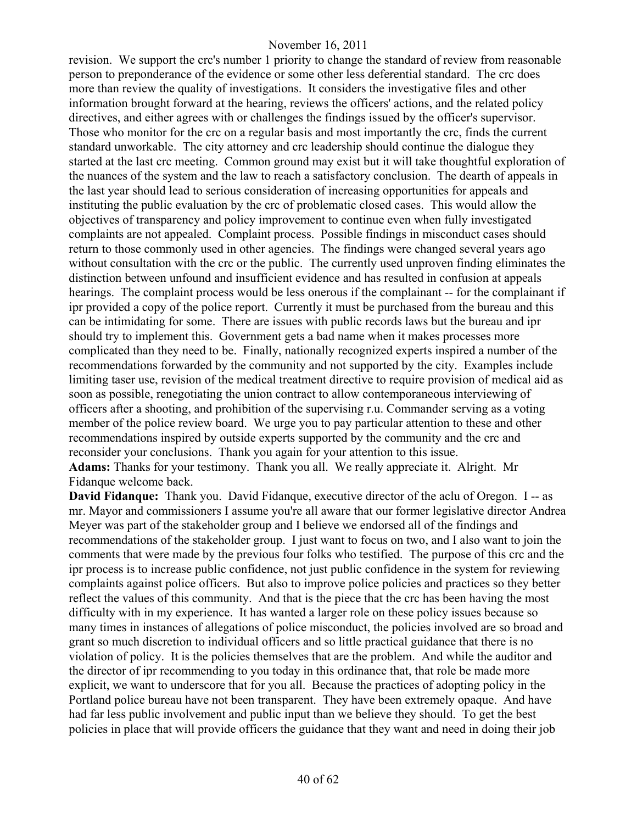revision. We support the crc's number 1 priority to change the standard of review from reasonable person to preponderance of the evidence or some other less deferential standard. The crc does more than review the quality of investigations. It considers the investigative files and other information brought forward at the hearing, reviews the officers' actions, and the related policy directives, and either agrees with or challenges the findings issued by the officer's supervisor. Those who monitor for the crc on a regular basis and most importantly the crc, finds the current standard unworkable. The city attorney and crc leadership should continue the dialogue they started at the last crc meeting. Common ground may exist but it will take thoughtful exploration of the nuances of the system and the law to reach a satisfactory conclusion. The dearth of appeals in the last year should lead to serious consideration of increasing opportunities for appeals and instituting the public evaluation by the crc of problematic closed cases. This would allow the objectives of transparency and policy improvement to continue even when fully investigated complaints are not appealed. Complaint process. Possible findings in misconduct cases should return to those commonly used in other agencies. The findings were changed several years ago without consultation with the crc or the public. The currently used unproven finding eliminates the distinction between unfound and insufficient evidence and has resulted in confusion at appeals hearings. The complaint process would be less onerous if the complainant -- for the complainant if ipr provided a copy of the police report. Currently it must be purchased from the bureau and this can be intimidating for some. There are issues with public records laws but the bureau and ipr should try to implement this. Government gets a bad name when it makes processes more complicated than they need to be. Finally, nationally recognized experts inspired a number of the recommendations forwarded by the community and not supported by the city. Examples include limiting taser use, revision of the medical treatment directive to require provision of medical aid as soon as possible, renegotiating the union contract to allow contemporaneous interviewing of officers after a shooting, and prohibition of the supervising r.u. Commander serving as a voting member of the police review board. We urge you to pay particular attention to these and other recommendations inspired by outside experts supported by the community and the crc and reconsider your conclusions. Thank you again for your attention to this issue. **Adams:** Thanks for your testimony. Thank you all. We really appreciate it. Alright. Mr Fidanque welcome back.

**David Fidanque:** Thank you. David Fidanque, executive director of the aclu of Oregon. I -- as mr. Mayor and commissioners I assume you're all aware that our former legislative director Andrea Meyer was part of the stakeholder group and I believe we endorsed all of the findings and recommendations of the stakeholder group. I just want to focus on two, and I also want to join the comments that were made by the previous four folks who testified. The purpose of this crc and the ipr process is to increase public confidence, not just public confidence in the system for reviewing complaints against police officers. But also to improve police policies and practices so they better reflect the values of this community. And that is the piece that the crc has been having the most difficulty with in my experience. It has wanted a larger role on these policy issues because so many times in instances of allegations of police misconduct, the policies involved are so broad and grant so much discretion to individual officers and so little practical guidance that there is no violation of policy. It is the policies themselves that are the problem. And while the auditor and the director of ipr recommending to you today in this ordinance that, that role be made more explicit, we want to underscore that for you all. Because the practices of adopting policy in the Portland police bureau have not been transparent. They have been extremely opaque. And have had far less public involvement and public input than we believe they should. To get the best policies in place that will provide officers the guidance that they want and need in doing their job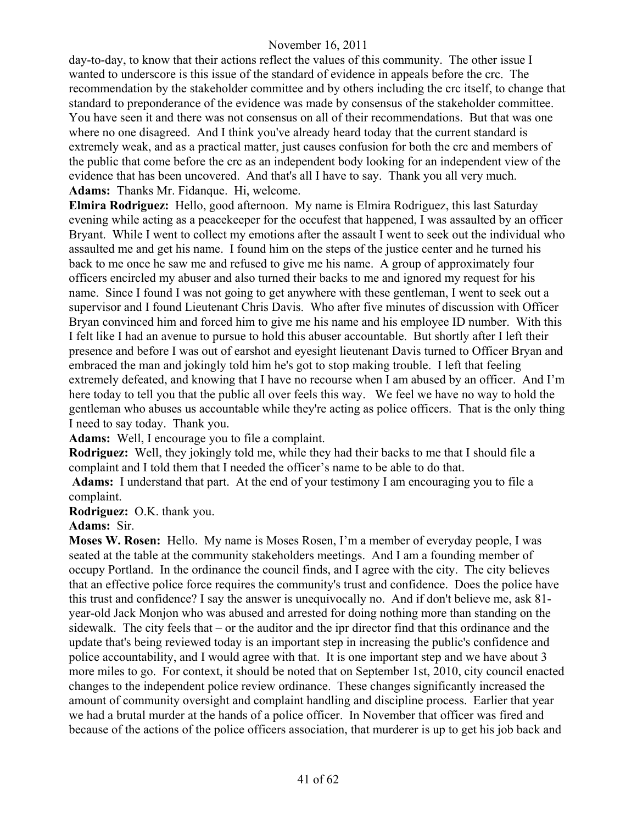day-to-day, to know that their actions reflect the values of this community. The other issue I wanted to underscore is this issue of the standard of evidence in appeals before the crc. The recommendation by the stakeholder committee and by others including the crc itself, to change that standard to preponderance of the evidence was made by consensus of the stakeholder committee. You have seen it and there was not consensus on all of their recommendations. But that was one where no one disagreed. And I think you've already heard today that the current standard is extremely weak, and as a practical matter, just causes confusion for both the crc and members of the public that come before the crc as an independent body looking for an independent view of the evidence that has been uncovered. And that's all I have to say. Thank you all very much. **Adams:** Thanks Mr. Fidanque. Hi, welcome.

**Elmira Rodriguez:** Hello, good afternoon. My name is Elmira Rodriguez, this last Saturday evening while acting as a peacekeeper for the occufest that happened, I was assaulted by an officer Bryant. While I went to collect my emotions after the assault I went to seek out the individual who assaulted me and get his name. I found him on the steps of the justice center and he turned his back to me once he saw me and refused to give me his name. A group of approximately four officers encircled my abuser and also turned their backs to me and ignored my request for his name. Since I found I was not going to get anywhere with these gentleman, I went to seek out a supervisor and I found Lieutenant Chris Davis. Who after five minutes of discussion with Officer Bryan convinced him and forced him to give me his name and his employee ID number. With this I felt like I had an avenue to pursue to hold this abuser accountable. But shortly after I left their presence and before I was out of earshot and eyesight lieutenant Davis turned to Officer Bryan and embraced the man and jokingly told him he's got to stop making trouble. I left that feeling extremely defeated, and knowing that I have no recourse when I am abused by an officer. And I'm here today to tell you that the public all over feels this way. We feel we have no way to hold the gentleman who abuses us accountable while they're acting as police officers. That is the only thing I need to say today. Thank you.

**Adams:** Well, I encourage you to file a complaint.

**Rodriguez:** Well, they jokingly told me, while they had their backs to me that I should file a complaint and I told them that I needed the officer's name to be able to do that.

**Adams:** I understand that part. At the end of your testimony I am encouraging you to file a complaint.

**Rodriguez:** O.K. thank you.

**Adams:** Sir.

**Moses W. Rosen:** Hello. My name is Moses Rosen, I'm a member of everyday people, I was seated at the table at the community stakeholders meetings. And I am a founding member of occupy Portland. In the ordinance the council finds, and I agree with the city. The city believes that an effective police force requires the community's trust and confidence. Does the police have this trust and confidence? I say the answer is unequivocally no. And if don't believe me, ask 81 year-old Jack Monjon who was abused and arrested for doing nothing more than standing on the sidewalk. The city feels that – or the auditor and the ipr director find that this ordinance and the update that's being reviewed today is an important step in increasing the public's confidence and police accountability, and I would agree with that. It is one important step and we have about 3 more miles to go. For context, it should be noted that on September 1st, 2010, city council enacted changes to the independent police review ordinance. These changes significantly increased the amount of community oversight and complaint handling and discipline process. Earlier that year we had a brutal murder at the hands of a police officer. In November that officer was fired and because of the actions of the police officers association, that murderer is up to get his job back and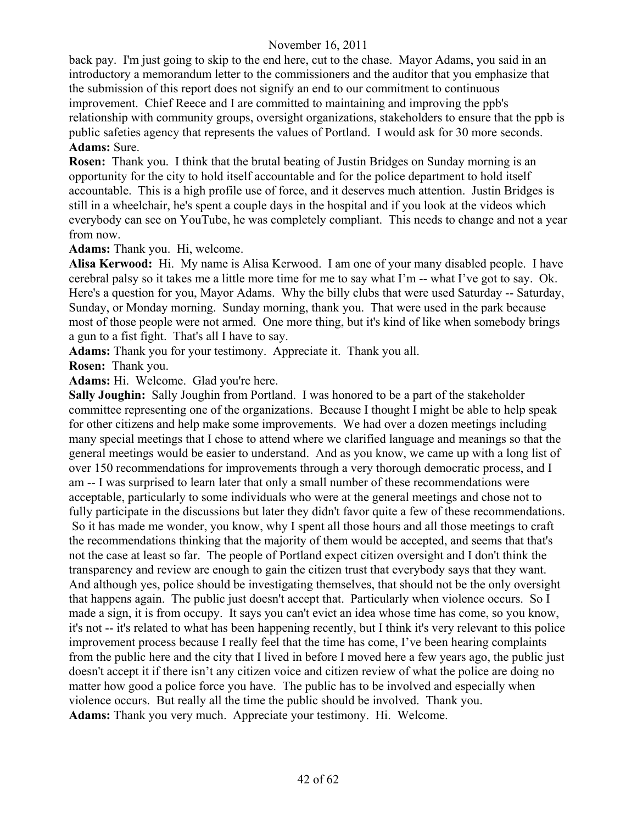back pay. I'm just going to skip to the end here, cut to the chase. Mayor Adams, you said in an introductory a memorandum letter to the commissioners and the auditor that you emphasize that the submission of this report does not signify an end to our commitment to continuous improvement. Chief Reece and I are committed to maintaining and improving the ppb's relationship with community groups, oversight organizations, stakeholders to ensure that the ppb is public safeties agency that represents the values of Portland. I would ask for 30 more seconds. **Adams:** Sure.

**Rosen:** Thank you. I think that the brutal beating of Justin Bridges on Sunday morning is an opportunity for the city to hold itself accountable and for the police department to hold itself accountable. This is a high profile use of force, and it deserves much attention. Justin Bridges is still in a wheelchair, he's spent a couple days in the hospital and if you look at the videos which everybody can see on YouTube, he was completely compliant. This needs to change and not a year from now.

**Adams:** Thank you. Hi, welcome.

**Alisa Kerwood:** Hi. My name is Alisa Kerwood. I am one of your many disabled people. I have cerebral palsy so it takes me a little more time for me to say what I'm -- what I've got to say. Ok. Here's a question for you, Mayor Adams. Why the billy clubs that were used Saturday -- Saturday, Sunday, or Monday morning. Sunday morning, thank you. That were used in the park because most of those people were not armed. One more thing, but it's kind of like when somebody brings a gun to a fist fight. That's all I have to say.

**Adams:** Thank you for your testimony. Appreciate it. Thank you all.

**Rosen:** Thank you.

**Adams:** Hi. Welcome. Glad you're here.

**Sally Joughin:** Sally Joughin from Portland. I was honored to be a part of the stakeholder committee representing one of the organizations. Because I thought I might be able to help speak for other citizens and help make some improvements. We had over a dozen meetings including many special meetings that I chose to attend where we clarified language and meanings so that the general meetings would be easier to understand. And as you know, we came up with a long list of over 150 recommendations for improvements through a very thorough democratic process, and I am -- I was surprised to learn later that only a small number of these recommendations were acceptable, particularly to some individuals who were at the general meetings and chose not to fully participate in the discussions but later they didn't favor quite a few of these recommendations. So it has made me wonder, you know, why I spent all those hours and all those meetings to craft the recommendations thinking that the majority of them would be accepted, and seems that that's not the case at least so far. The people of Portland expect citizen oversight and I don't think the transparency and review are enough to gain the citizen trust that everybody says that they want. And although yes, police should be investigating themselves, that should not be the only oversight that happens again. The public just doesn't accept that. Particularly when violence occurs. So I made a sign, it is from occupy. It says you can't evict an idea whose time has come, so you know, it's not -- it's related to what has been happening recently, but I think it's very relevant to this police improvement process because I really feel that the time has come, I've been hearing complaints from the public here and the city that I lived in before I moved here a few years ago, the public just doesn't accept it if there isn't any citizen voice and citizen review of what the police are doing no matter how good a police force you have. The public has to be involved and especially when violence occurs. But really all the time the public should be involved. Thank you. **Adams:** Thank you very much. Appreciate your testimony. Hi. Welcome.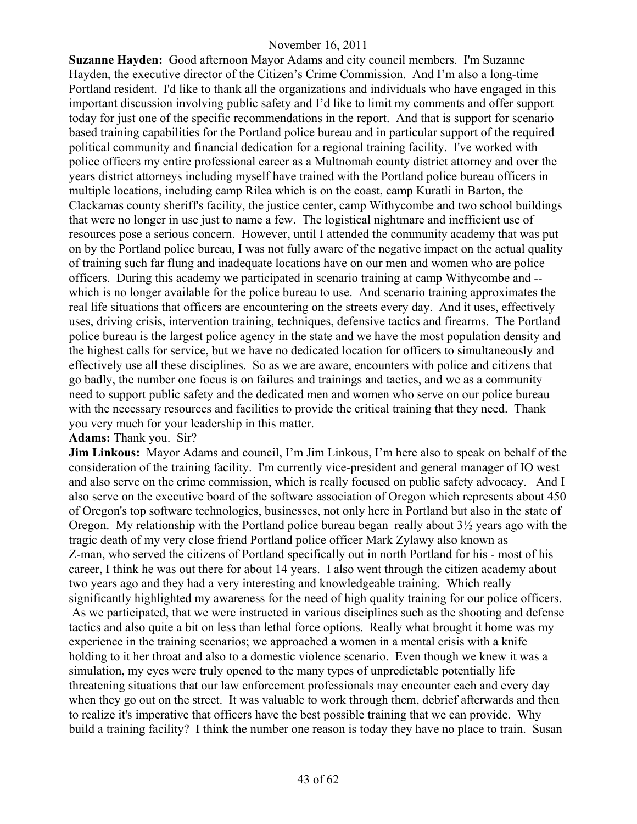**Suzanne Hayden:** Good afternoon Mayor Adams and city council members. I'm Suzanne Hayden, the executive director of the Citizen's Crime Commission. And I'm also a long-time Portland resident. I'd like to thank all the organizations and individuals who have engaged in this important discussion involving public safety and I'd like to limit my comments and offer support today for just one of the specific recommendations in the report. And that is support for scenario based training capabilities for the Portland police bureau and in particular support of the required political community and financial dedication for a regional training facility. I've worked with police officers my entire professional career as a Multnomah county district attorney and over the years district attorneys including myself have trained with the Portland police bureau officers in multiple locations, including camp Rilea which is on the coast, camp Kuratli in Barton, the Clackamas county sheriff's facility, the justice center, camp Withycombe and two school buildings that were no longer in use just to name a few. The logistical nightmare and inefficient use of resources pose a serious concern. However, until I attended the community academy that was put on by the Portland police bureau, I was not fully aware of the negative impact on the actual quality of training such far flung and inadequate locations have on our men and women who are police officers. During this academy we participated in scenario training at camp Withycombe and - which is no longer available for the police bureau to use. And scenario training approximates the real life situations that officers are encountering on the streets every day. And it uses, effectively uses, driving crisis, intervention training, techniques, defensive tactics and firearms. The Portland police bureau is the largest police agency in the state and we have the most population density and the highest calls for service, but we have no dedicated location for officers to simultaneously and effectively use all these disciplines. So as we are aware, encounters with police and citizens that go badly, the number one focus is on failures and trainings and tactics, and we as a community need to support public safety and the dedicated men and women who serve on our police bureau with the necessary resources and facilities to provide the critical training that they need. Thank you very much for your leadership in this matter.

#### **Adams:** Thank you. Sir?

**Jim Linkous:** Mayor Adams and council, I'm Jim Linkous, I'm here also to speak on behalf of the consideration of the training facility. I'm currently vice-president and general manager of IO west and also serve on the crime commission, which is really focused on public safety advocacy. And I also serve on the executive board of the software association of Oregon which represents about 450 of Oregon's top software technologies, businesses, not only here in Portland but also in the state of Oregon. My relationship with the Portland police bureau began really about 3½ years ago with the tragic death of my very close friend Portland police officer Mark Zylawy also known as Z-man, who served the citizens of Portland specifically out in north Portland for his - most of his career, I think he was out there for about 14 years. I also went through the citizen academy about two years ago and they had a very interesting and knowledgeable training. Which really significantly highlighted my awareness for the need of high quality training for our police officers. As we participated, that we were instructed in various disciplines such as the shooting and defense tactics and also quite a bit on less than lethal force options. Really what brought it home was my experience in the training scenarios; we approached a women in a mental crisis with a knife holding to it her throat and also to a domestic violence scenario. Even though we knew it was a simulation, my eyes were truly opened to the many types of unpredictable potentially life threatening situations that our law enforcement professionals may encounter each and every day when they go out on the street. It was valuable to work through them, debrief afterwards and then to realize it's imperative that officers have the best possible training that we can provide. Why build a training facility? I think the number one reason is today they have no place to train. Susan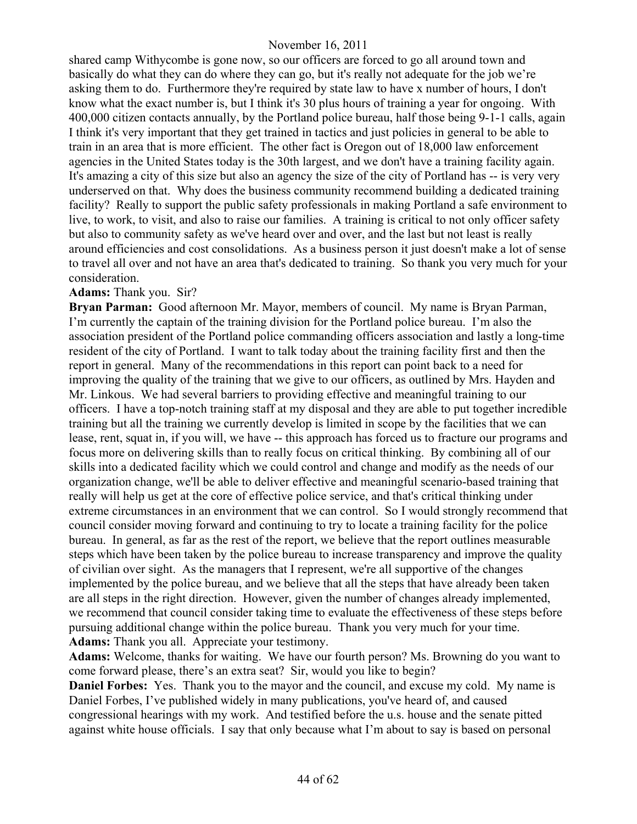shared camp Withycombe is gone now, so our officers are forced to go all around town and basically do what they can do where they can go, but it's really not adequate for the job we're asking them to do. Furthermore they're required by state law to have x number of hours, I don't know what the exact number is, but I think it's 30 plus hours of training a year for ongoing. With 400,000 citizen contacts annually, by the Portland police bureau, half those being 9-1-1 calls, again I think it's very important that they get trained in tactics and just policies in general to be able to train in an area that is more efficient. The other fact is Oregon out of 18,000 law enforcement agencies in the United States today is the 30th largest, and we don't have a training facility again. It's amazing a city of this size but also an agency the size of the city of Portland has -- is very very underserved on that. Why does the business community recommend building a dedicated training facility? Really to support the public safety professionals in making Portland a safe environment to live, to work, to visit, and also to raise our families. A training is critical to not only officer safety but also to community safety as we've heard over and over, and the last but not least is really around efficiencies and cost consolidations. As a business person it just doesn't make a lot of sense to travel all over and not have an area that's dedicated to training. So thank you very much for your consideration.

#### **Adams:** Thank you. Sir?

**Bryan Parman:** Good afternoon Mr. Mayor, members of council. My name is Bryan Parman, I'm currently the captain of the training division for the Portland police bureau. I'm also the association president of the Portland police commanding officers association and lastly a long-time resident of the city of Portland. I want to talk today about the training facility first and then the report in general. Many of the recommendations in this report can point back to a need for improving the quality of the training that we give to our officers, as outlined by Mrs. Hayden and Mr. Linkous. We had several barriers to providing effective and meaningful training to our officers. I have a top-notch training staff at my disposal and they are able to put together incredible training but all the training we currently develop is limited in scope by the facilities that we can lease, rent, squat in, if you will, we have -- this approach has forced us to fracture our programs and focus more on delivering skills than to really focus on critical thinking. By combining all of our skills into a dedicated facility which we could control and change and modify as the needs of our organization change, we'll be able to deliver effective and meaningful scenario-based training that really will help us get at the core of effective police service, and that's critical thinking under extreme circumstances in an environment that we can control. So I would strongly recommend that council consider moving forward and continuing to try to locate a training facility for the police bureau. In general, as far as the rest of the report, we believe that the report outlines measurable steps which have been taken by the police bureau to increase transparency and improve the quality of civilian over sight. As the managers that I represent, we're all supportive of the changes implemented by the police bureau, and we believe that all the steps that have already been taken are all steps in the right direction. However, given the number of changes already implemented, we recommend that council consider taking time to evaluate the effectiveness of these steps before pursuing additional change within the police bureau. Thank you very much for your time. **Adams:** Thank you all. Appreciate your testimony.

**Adams:** Welcome, thanks for waiting. We have our fourth person? Ms. Browning do you want to come forward please, there's an extra seat? Sir, would you like to begin?

**Daniel Forbes:** Yes. Thank you to the mayor and the council, and excuse my cold. My name is Daniel Forbes, I've published widely in many publications, you've heard of, and caused congressional hearings with my work. And testified before the u.s. house and the senate pitted against white house officials. I say that only because what I'm about to say is based on personal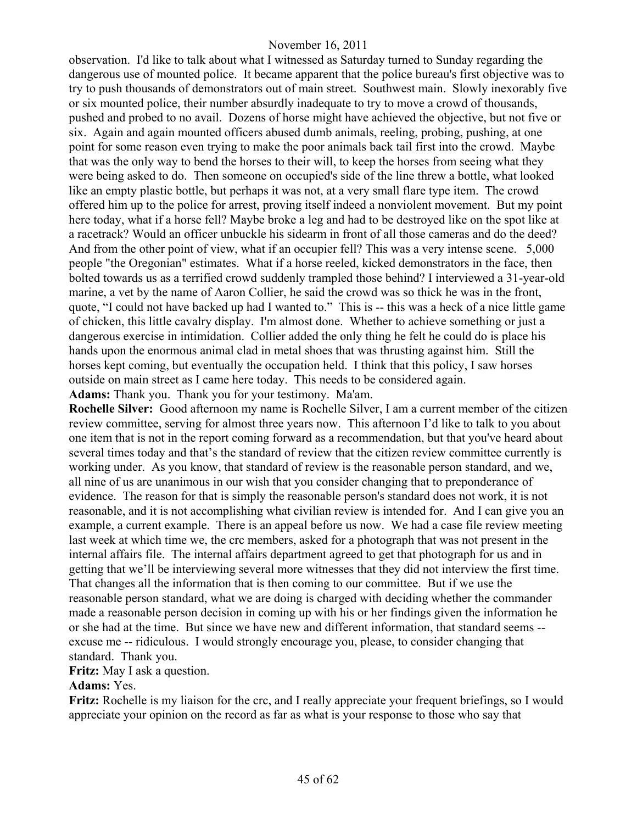observation. I'd like to talk about what I witnessed as Saturday turned to Sunday regarding the dangerous use of mounted police. It became apparent that the police bureau's first objective was to try to push thousands of demonstrators out of main street. Southwest main. Slowly inexorably five or six mounted police, their number absurdly inadequate to try to move a crowd of thousands, pushed and probed to no avail. Dozens of horse might have achieved the objective, but not five or six. Again and again mounted officers abused dumb animals, reeling, probing, pushing, at one point for some reason even trying to make the poor animals back tail first into the crowd. Maybe that was the only way to bend the horses to their will, to keep the horses from seeing what they were being asked to do. Then someone on occupied's side of the line threw a bottle, what looked like an empty plastic bottle, but perhaps it was not, at a very small flare type item. The crowd offered him up to the police for arrest, proving itself indeed a nonviolent movement. But my point here today, what if a horse fell? Maybe broke a leg and had to be destroyed like on the spot like at a racetrack? Would an officer unbuckle his sidearm in front of all those cameras and do the deed? And from the other point of view, what if an occupier fell? This was a very intense scene. 5,000 people "the Oregonian" estimates. What if a horse reeled, kicked demonstrators in the face, then bolted towards us as a terrified crowd suddenly trampled those behind? I interviewed a 31-year-old marine, a vet by the name of Aaron Collier, he said the crowd was so thick he was in the front, quote, "I could not have backed up had I wanted to." This is -- this was a heck of a nice little game of chicken, this little cavalry display. I'm almost done. Whether to achieve something or just a dangerous exercise in intimidation. Collier added the only thing he felt he could do is place his hands upon the enormous animal clad in metal shoes that was thrusting against him. Still the horses kept coming, but eventually the occupation held. I think that this policy, I saw horses outside on main street as I came here today. This needs to be considered again.

**Adams:** Thank you. Thank you for your testimony. Ma'am.

**Rochelle Silver:** Good afternoon my name is Rochelle Silver, I am a current member of the citizen review committee, serving for almost three years now. This afternoon I'd like to talk to you about one item that is not in the report coming forward as a recommendation, but that you've heard about several times today and that's the standard of review that the citizen review committee currently is working under. As you know, that standard of review is the reasonable person standard, and we, all nine of us are unanimous in our wish that you consider changing that to preponderance of evidence. The reason for that is simply the reasonable person's standard does not work, it is not reasonable, and it is not accomplishing what civilian review is intended for. And I can give you an example, a current example. There is an appeal before us now. We had a case file review meeting last week at which time we, the crc members, asked for a photograph that was not present in the internal affairs file. The internal affairs department agreed to get that photograph for us and in getting that we'll be interviewing several more witnesses that they did not interview the first time. That changes all the information that is then coming to our committee. But if we use the reasonable person standard, what we are doing is charged with deciding whether the commander made a reasonable person decision in coming up with his or her findings given the information he or she had at the time. But since we have new and different information, that standard seems - excuse me -- ridiculous. I would strongly encourage you, please, to consider changing that standard. Thank you.

# **Fritz:** May I ask a question.

# **Adams:** Yes.

**Fritz:** Rochelle is my liaison for the crc, and I really appreciate your frequent briefings, so I would appreciate your opinion on the record as far as what is your response to those who say that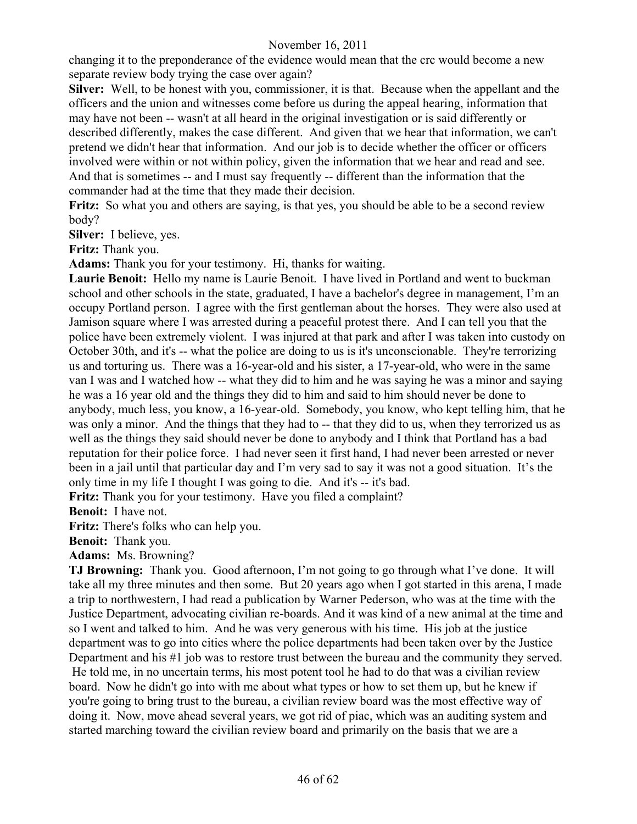changing it to the preponderance of the evidence would mean that the crc would become a new separate review body trying the case over again?

**Silver:** Well, to be honest with you, commissioner, it is that. Because when the appellant and the officers and the union and witnesses come before us during the appeal hearing, information that may have not been -- wasn't at all heard in the original investigation or is said differently or described differently, makes the case different. And given that we hear that information, we can't pretend we didn't hear that information. And our job is to decide whether the officer or officers involved were within or not within policy, given the information that we hear and read and see. And that is sometimes -- and I must say frequently -- different than the information that the commander had at the time that they made their decision.

**Fritz:** So what you and others are saying, is that yes, you should be able to be a second review body?

**Silver:** I believe, yes.

**Fritz:** Thank you.

**Adams:** Thank you for your testimony. Hi, thanks for waiting.

**Laurie Benoit:** Hello my name is Laurie Benoit. I have lived in Portland and went to buckman school and other schools in the state, graduated, I have a bachelor's degree in management, I'm an occupy Portland person. I agree with the first gentleman about the horses. They were also used at Jamison square where I was arrested during a peaceful protest there. And I can tell you that the police have been extremely violent. I was injured at that park and after I was taken into custody on October 30th, and it's -- what the police are doing to us is it's unconscionable. They're terrorizing us and torturing us. There was a 16-year-old and his sister, a 17-year-old, who were in the same van I was and I watched how -- what they did to him and he was saying he was a minor and saying he was a 16 year old and the things they did to him and said to him should never be done to anybody, much less, you know, a 16-year-old. Somebody, you know, who kept telling him, that he was only a minor. And the things that they had to -- that they did to us, when they terrorized us as well as the things they said should never be done to anybody and I think that Portland has a bad reputation for their police force. I had never seen it first hand, I had never been arrested or never been in a jail until that particular day and I'm very sad to say it was not a good situation. It's the only time in my life I thought I was going to die. And it's -- it's bad.

**Fritz:** Thank you for your testimony. Have you filed a complaint?

**Benoit:** I have not.

**Fritz:** There's folks who can help you.

**Benoit:** Thank you.

**Adams:** Ms. Browning?

**TJ Browning:** Thank you. Good afternoon, I'm not going to go through what I've done. It will take all my three minutes and then some. But 20 years ago when I got started in this arena, I made a trip to northwestern, I had read a publication by Warner Pederson, who was at the time with the Justice Department, advocating civilian re-boards. And it was kind of a new animal at the time and so I went and talked to him. And he was very generous with his time. His job at the justice department was to go into cities where the police departments had been taken over by the Justice Department and his #1 job was to restore trust between the bureau and the community they served. He told me, in no uncertain terms, his most potent tool he had to do that was a civilian review board. Now he didn't go into with me about what types or how to set them up, but he knew if you're going to bring trust to the bureau, a civilian review board was the most effective way of doing it. Now, move ahead several years, we got rid of piac, which was an auditing system and started marching toward the civilian review board and primarily on the basis that we are a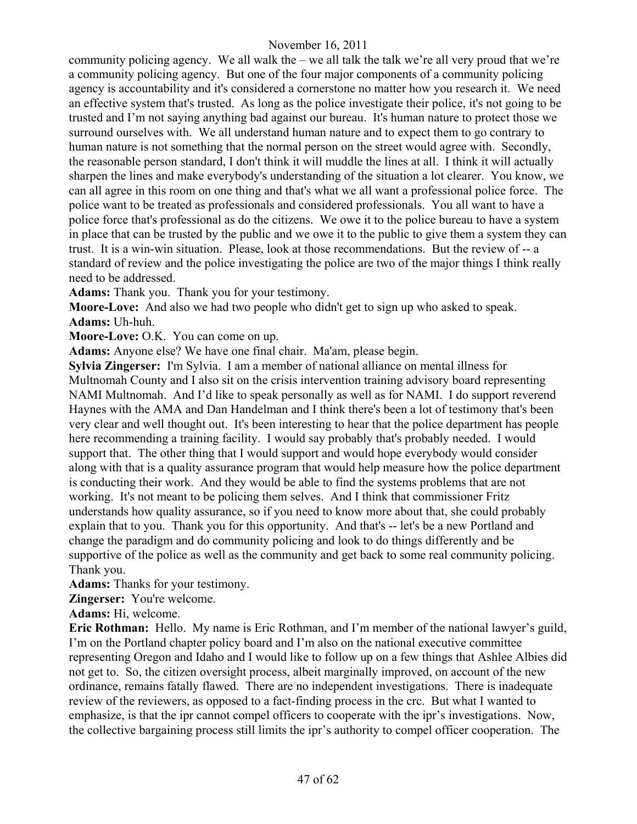community policing agency. We all walk the – we all talk the talk we're all very proud that we're a community policing agency. But one of the four major components of a community policing agency is accountability and it's considered a cornerstone no matter how you research it. We need an effective system that's trusted. As long as the police investigate their police, it's not going to be trusted and I'm not saying anything bad against our bureau. It's human nature to protect those we surround ourselves with. We all understand human nature and to expect them to go contrary to human nature is not something that the normal person on the street would agree with. Secondly, the reasonable person standard, I don't think it will muddle the lines at all. I think it will actually sharpen the lines and make everybody's understanding of the situation a lot clearer. You know, we can all agree in this room on one thing and that's what we all want a professional police force. The police want to be treated as professionals and considered professionals. You all want to have a police force that's professional as do the citizens. We owe it to the police bureau to have a system in place that can be trusted by the public and we owe it to the public to give them a system they can trust. It is a win-win situation. Please, look at those recommendations. But the review of -- a standard of review and the police investigating the police are two of the major things I think really need to be addressed.

**Adams:** Thank you. Thank you for your testimony.

**Moore-Love:** And also we had two people who didn't get to sign up who asked to speak. **Adams:** Uh-huh.

**Moore-Love:** O.K. You can come on up.

**Adams:** Anyone else? We have one final chair. Ma'am, please begin.

**Sylvia Zingerser:** I'm Sylvia. I am a member of national alliance on mental illness for Multnomah County and I also sit on the crisis intervention training advisory board representing NAMI Multnomah. And I'd like to speak personally as well as for NAMI. I do support reverend Haynes with the AMA and Dan Handelman and I think there's been a lot of testimony that's been very clear and well thought out. It's been interesting to hear that the police department has people here recommending a training facility. I would say probably that's probably needed. I would support that. The other thing that I would support and would hope everybody would consider along with that is a quality assurance program that would help measure how the police department is conducting their work. And they would be able to find the systems problems that are not working. It's not meant to be policing them selves. And I think that commissioner Fritz understands how quality assurance, so if you need to know more about that, she could probably explain that to you. Thank you for this opportunity. And that's -- let's be a new Portland and change the paradigm and do community policing and look to do things differently and be supportive of the police as well as the community and get back to some real community policing. Thank you.

**Adams:** Thanks for your testimony.

**Zingerser:** You're welcome.

**Adams:** Hi, welcome.

**Eric Rothman:** Hello. My name is Eric Rothman, and I'm member of the national lawyer's guild, I'm on the Portland chapter policy board and I'm also on the national executive committee representing Oregon and Idaho and I would like to follow up on a few things that Ashlee Albies did not get to. So, the citizen oversight process, albeit marginally improved, on account of the new ordinance, remains fatally flawed. There are no independent investigations. There is inadequate review of the reviewers, as opposed to a fact-finding process in the crc. But what I wanted to emphasize, is that the ipr cannot compel officers to cooperate with the ipr's investigations. Now, the collective bargaining process still limits the ipr's authority to compel officer cooperation. The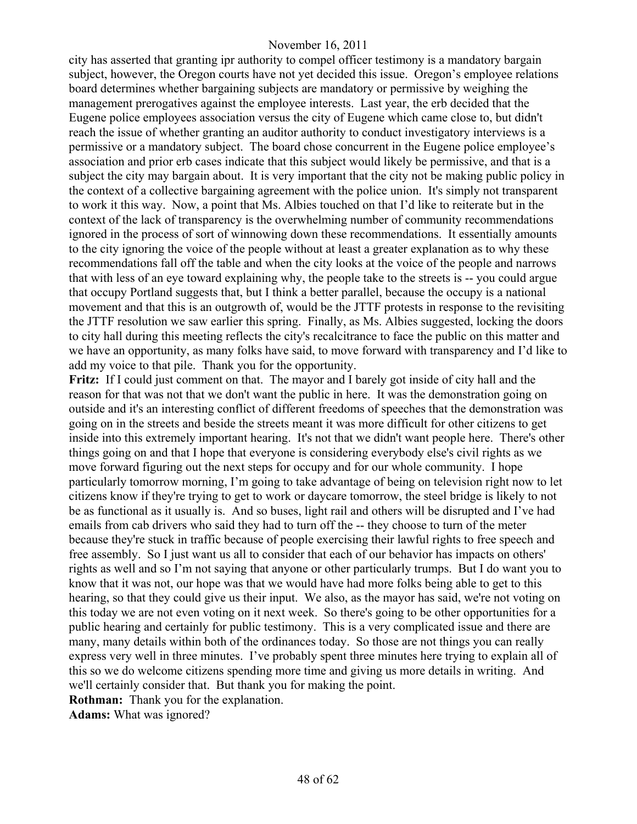city has asserted that granting ipr authority to compel officer testimony is a mandatory bargain subject, however, the Oregon courts have not yet decided this issue. Oregon's employee relations board determines whether bargaining subjects are mandatory or permissive by weighing the management prerogatives against the employee interests. Last year, the erb decided that the Eugene police employees association versus the city of Eugene which came close to, but didn't reach the issue of whether granting an auditor authority to conduct investigatory interviews is a permissive or a mandatory subject. The board chose concurrent in the Eugene police employee's association and prior erb cases indicate that this subject would likely be permissive, and that is a subject the city may bargain about. It is very important that the city not be making public policy in the context of a collective bargaining agreement with the police union. It's simply not transparent to work it this way. Now, a point that Ms. Albies touched on that I'd like to reiterate but in the context of the lack of transparency is the overwhelming number of community recommendations ignored in the process of sort of winnowing down these recommendations. It essentially amounts to the city ignoring the voice of the people without at least a greater explanation as to why these recommendations fall off the table and when the city looks at the voice of the people and narrows that with less of an eye toward explaining why, the people take to the streets is -- you could argue that occupy Portland suggests that, but I think a better parallel, because the occupy is a national movement and that this is an outgrowth of, would be the JTTF protests in response to the revisiting the JTTF resolution we saw earlier this spring. Finally, as Ms. Albies suggested, locking the doors to city hall during this meeting reflects the city's recalcitrance to face the public on this matter and we have an opportunity, as many folks have said, to move forward with transparency and I'd like to add my voice to that pile. Thank you for the opportunity.

**Fritz:** If I could just comment on that. The mayor and I barely got inside of city hall and the reason for that was not that we don't want the public in here. It was the demonstration going on outside and it's an interesting conflict of different freedoms of speeches that the demonstration was going on in the streets and beside the streets meant it was more difficult for other citizens to get inside into this extremely important hearing. It's not that we didn't want people here. There's other things going on and that I hope that everyone is considering everybody else's civil rights as we move forward figuring out the next steps for occupy and for our whole community. I hope particularly tomorrow morning, I'm going to take advantage of being on television right now to let citizens know if they're trying to get to work or daycare tomorrow, the steel bridge is likely to not be as functional as it usually is. And so buses, light rail and others will be disrupted and I've had emails from cab drivers who said they had to turn off the -- they choose to turn of the meter because they're stuck in traffic because of people exercising their lawful rights to free speech and free assembly. So I just want us all to consider that each of our behavior has impacts on others' rights as well and so I'm not saying that anyone or other particularly trumps. But I do want you to know that it was not, our hope was that we would have had more folks being able to get to this hearing, so that they could give us their input. We also, as the mayor has said, we're not voting on this today we are not even voting on it next week. So there's going to be other opportunities for a public hearing and certainly for public testimony. This is a very complicated issue and there are many, many details within both of the ordinances today. So those are not things you can really express very well in three minutes. I've probably spent three minutes here trying to explain all of this so we do welcome citizens spending more time and giving us more details in writing. And we'll certainly consider that. But thank you for making the point.

**Rothman:** Thank you for the explanation.

**Adams:** What was ignored?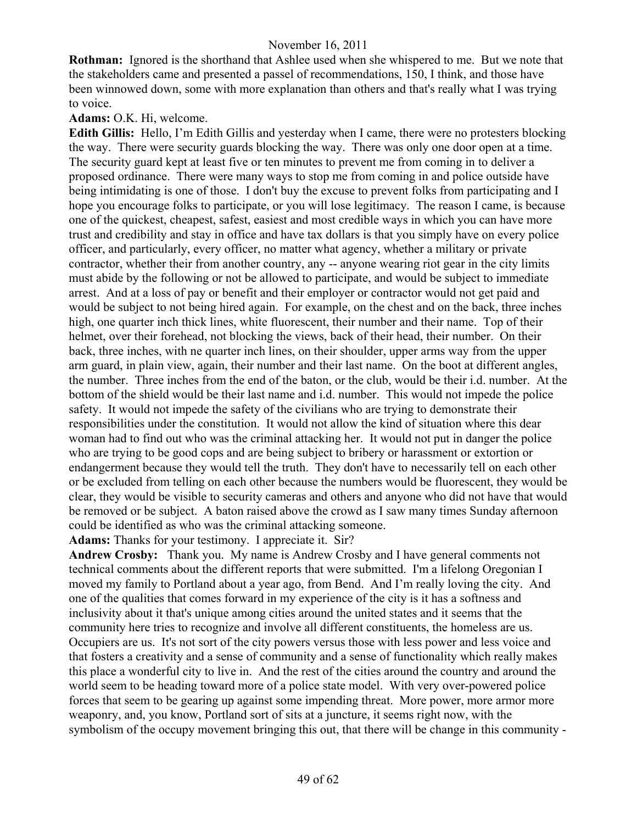**Rothman:** Ignored is the shorthand that Ashlee used when she whispered to me. But we note that the stakeholders came and presented a passel of recommendations, 150, I think, and those have been winnowed down, some with more explanation than others and that's really what I was trying to voice.

#### **Adams:** O.K. Hi, welcome.

**Edith Gillis:** Hello, I'm Edith Gillis and yesterday when I came, there were no protesters blocking the way. There were security guards blocking the way. There was only one door open at a time. The security guard kept at least five or ten minutes to prevent me from coming in to deliver a proposed ordinance. There were many ways to stop me from coming in and police outside have being intimidating is one of those. I don't buy the excuse to prevent folks from participating and I hope you encourage folks to participate, or you will lose legitimacy. The reason I came, is because one of the quickest, cheapest, safest, easiest and most credible ways in which you can have more trust and credibility and stay in office and have tax dollars is that you simply have on every police officer, and particularly, every officer, no matter what agency, whether a military or private contractor, whether their from another country, any -- anyone wearing riot gear in the city limits must abide by the following or not be allowed to participate, and would be subject to immediate arrest. And at a loss of pay or benefit and their employer or contractor would not get paid and would be subject to not being hired again. For example, on the chest and on the back, three inches high, one quarter inch thick lines, white fluorescent, their number and their name. Top of their helmet, over their forehead, not blocking the views, back of their head, their number. On their back, three inches, with ne quarter inch lines, on their shoulder, upper arms way from the upper arm guard, in plain view, again, their number and their last name. On the boot at different angles, the number. Three inches from the end of the baton, or the club, would be their i.d. number. At the bottom of the shield would be their last name and i.d. number. This would not impede the police safety. It would not impede the safety of the civilians who are trying to demonstrate their responsibilities under the constitution. It would not allow the kind of situation where this dear woman had to find out who was the criminal attacking her. It would not put in danger the police who are trying to be good cops and are being subject to bribery or harassment or extortion or endangerment because they would tell the truth. They don't have to necessarily tell on each other or be excluded from telling on each other because the numbers would be fluorescent, they would be clear, they would be visible to security cameras and others and anyone who did not have that would be removed or be subject. A baton raised above the crowd as I saw many times Sunday afternoon could be identified as who was the criminal attacking someone.

**Adams:** Thanks for your testimony. I appreciate it. Sir?

**Andrew Crosby:** Thank you. My name is Andrew Crosby and I have general comments not technical comments about the different reports that were submitted. I'm a lifelong Oregonian I moved my family to Portland about a year ago, from Bend. And I'm really loving the city. And one of the qualities that comes forward in my experience of the city is it has a softness and inclusivity about it that's unique among cities around the united states and it seems that the community here tries to recognize and involve all different constituents, the homeless are us. Occupiers are us. It's not sort of the city powers versus those with less power and less voice and that fosters a creativity and a sense of community and a sense of functionality which really makes this place a wonderful city to live in. And the rest of the cities around the country and around the world seem to be heading toward more of a police state model. With very over-powered police forces that seem to be gearing up against some impending threat. More power, more armor more weaponry, and, you know, Portland sort of sits at a juncture, it seems right now, with the symbolism of the occupy movement bringing this out, that there will be change in this community -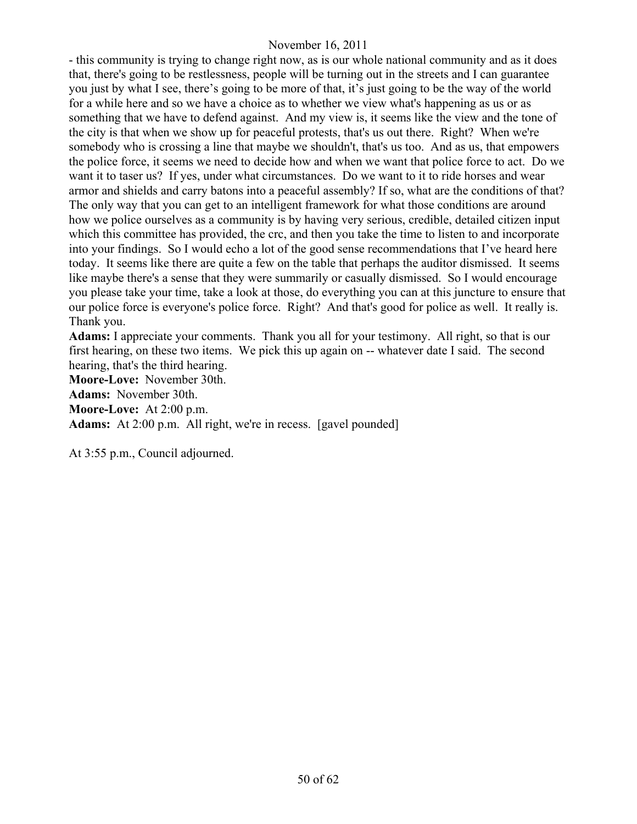- this community is trying to change right now, as is our whole national community and as it does that, there's going to be restlessness, people will be turning out in the streets and I can guarantee you just by what I see, there's going to be more of that, it's just going to be the way of the world for a while here and so we have a choice as to whether we view what's happening as us or as something that we have to defend against. And my view is, it seems like the view and the tone of the city is that when we show up for peaceful protests, that's us out there. Right? When we're somebody who is crossing a line that maybe we shouldn't, that's us too. And as us, that empowers the police force, it seems we need to decide how and when we want that police force to act. Do we want it to taser us? If yes, under what circumstances. Do we want to it to ride horses and wear armor and shields and carry batons into a peaceful assembly? If so, what are the conditions of that? The only way that you can get to an intelligent framework for what those conditions are around how we police ourselves as a community is by having very serious, credible, detailed citizen input which this committee has provided, the crc, and then you take the time to listen to and incorporate into your findings. So I would echo a lot of the good sense recommendations that I've heard here today. It seems like there are quite a few on the table that perhaps the auditor dismissed. It seems like maybe there's a sense that they were summarily or casually dismissed. So I would encourage you please take your time, take a look at those, do everything you can at this juncture to ensure that our police force is everyone's police force. Right? And that's good for police as well. It really is. Thank you.

**Adams:** I appreciate your comments. Thank you all for your testimony. All right, so that is our first hearing, on these two items. We pick this up again on -- whatever date I said. The second hearing, that's the third hearing.

**Moore-Love:** November 30th.

**Adams:** November 30th.

**Moore-Love:** At 2:00 p.m.

**Adams:** At 2:00 p.m. All right, we're in recess. [gavel pounded]

At 3:55 p.m., Council adjourned.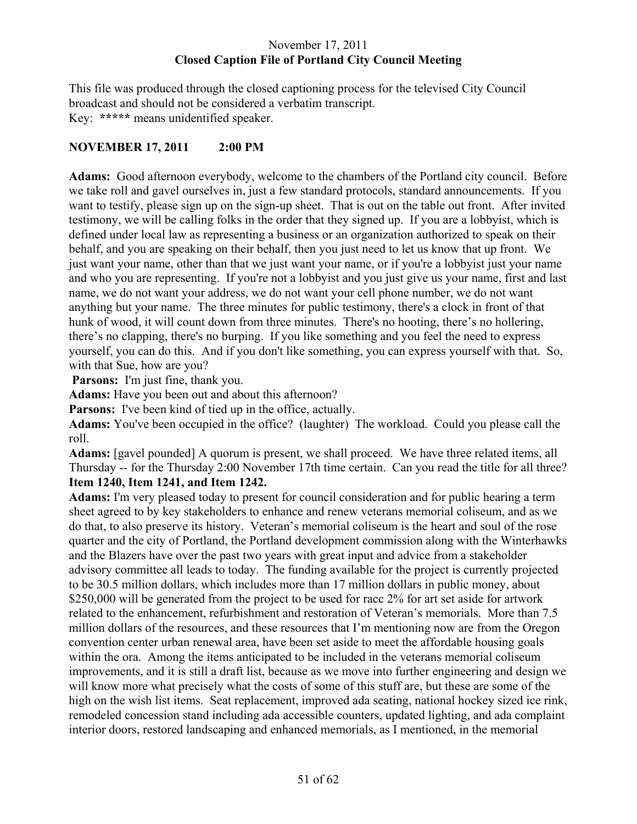# November 17, 2011 **Closed Caption File of Portland City Council Meeting**

This file was produced through the closed captioning process for the televised City Council broadcast and should not be considered a verbatim transcript. Key: **\*\*\*\*\*** means unidentified speaker.

# **NOVEMBER 17, 2011 2:00 PM**

**Adams:** Good afternoon everybody, welcome to the chambers of the Portland city council. Before we take roll and gavel ourselves in, just a few standard protocols, standard announcements. If you want to testify, please sign up on the sign-up sheet. That is out on the table out front. After invited testimony, we will be calling folks in the order that they signed up. If you are a lobbyist, which is defined under local law as representing a business or an organization authorized to speak on their behalf, and you are speaking on their behalf, then you just need to let us know that up front. We just want your name, other than that we just want your name, or if you're a lobbyist just your name and who you are representing. If you're not a lobbyist and you just give us your name, first and last name, we do not want your address, we do not want your cell phone number, we do not want anything but your name. The three minutes for public testimony, there's a clock in front of that hunk of wood, it will count down from three minutes. There's no hooting, there's no hollering, there's no clapping, there's no burping. If you like something and you feel the need to express yourself, you can do this. And if you don't like something, you can express yourself with that. So, with that Sue, how are you?

**Parsons:** I'm just fine, thank you.

**Adams:** Have you been out and about this afternoon?

**Parsons:** I've been kind of tied up in the office, actually.

**Adams:** You've been occupied in the office? (laughter) The workload. Could you please call the roll.

**Adams:** [gavel pounded] A quorum is present, we shall proceed. We have three related items, all Thursday -- for the Thursday 2:00 November 17th time certain. Can you read the title for all three? **Item 1240, Item 1241, and Item 1242.** 

**Adams:** I'm very pleased today to present for council consideration and for public hearing a term sheet agreed to by key stakeholders to enhance and renew veterans memorial coliseum, and as we do that, to also preserve its history. Veteran's memorial coliseum is the heart and soul of the rose quarter and the city of Portland, the Portland development commission along with the Winterhawks and the Blazers have over the past two years with great input and advice from a stakeholder advisory committee all leads to today. The funding available for the project is currently projected to be 30.5 million dollars, which includes more than 17 million dollars in public money, about \$250,000 will be generated from the project to be used for racc 2% for art set aside for artwork related to the enhancement, refurbishment and restoration of Veteran's memorials. More than 7.5 million dollars of the resources, and these resources that I'm mentioning now are from the Oregon convention center urban renewal area, have been set aside to meet the affordable housing goals within the ora. Among the items anticipated to be included in the veterans memorial coliseum improvements, and it is still a draft list, because as we move into further engineering and design we will know more what precisely what the costs of some of this stuff are, but these are some of the high on the wish list items. Seat replacement, improved ada seating, national hockey sized ice rink, remodeled concession stand including ada accessible counters, updated lighting, and ada complaint interior doors, restored landscaping and enhanced memorials, as I mentioned, in the memorial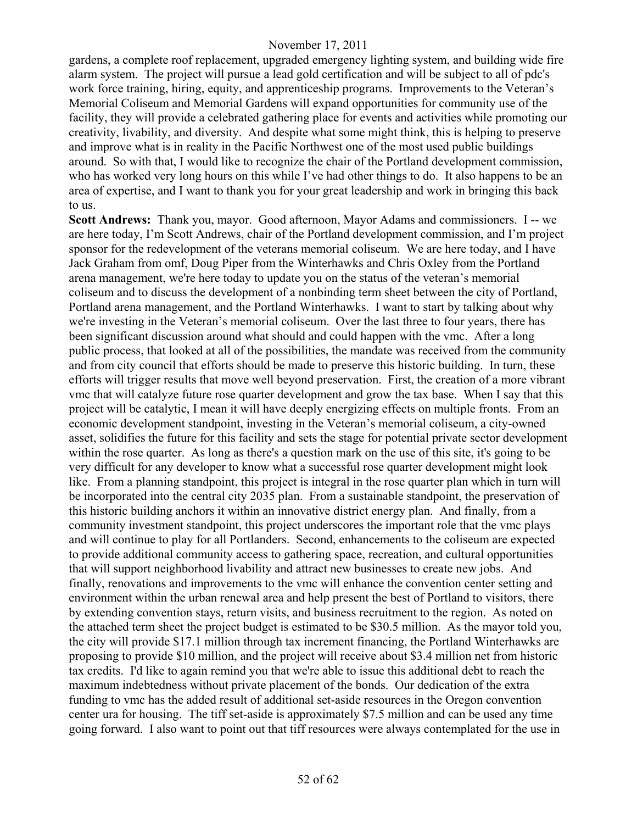gardens, a complete roof replacement, upgraded emergency lighting system, and building wide fire alarm system. The project will pursue a lead gold certification and will be subject to all of pdc's work force training, hiring, equity, and apprenticeship programs. Improvements to the Veteran's Memorial Coliseum and Memorial Gardens will expand opportunities for community use of the facility, they will provide a celebrated gathering place for events and activities while promoting our creativity, livability, and diversity. And despite what some might think, this is helping to preserve and improve what is in reality in the Pacific Northwest one of the most used public buildings around. So with that, I would like to recognize the chair of the Portland development commission, who has worked very long hours on this while I've had other things to do. It also happens to be an area of expertise, and I want to thank you for your great leadership and work in bringing this back to us.

**Scott Andrews:** Thank you, mayor. Good afternoon, Mayor Adams and commissioners. I -- we are here today, I'm Scott Andrews, chair of the Portland development commission, and I'm project sponsor for the redevelopment of the veterans memorial coliseum. We are here today, and I have Jack Graham from omf, Doug Piper from the Winterhawks and Chris Oxley from the Portland arena management, we're here today to update you on the status of the veteran's memorial coliseum and to discuss the development of a nonbinding term sheet between the city of Portland, Portland arena management, and the Portland Winterhawks. I want to start by talking about why we're investing in the Veteran's memorial coliseum. Over the last three to four years, there has been significant discussion around what should and could happen with the vmc. After a long public process, that looked at all of the possibilities, the mandate was received from the community and from city council that efforts should be made to preserve this historic building. In turn, these efforts will trigger results that move well beyond preservation. First, the creation of a more vibrant vmc that will catalyze future rose quarter development and grow the tax base. When I say that this project will be catalytic, I mean it will have deeply energizing effects on multiple fronts. From an economic development standpoint, investing in the Veteran's memorial coliseum, a city-owned asset, solidifies the future for this facility and sets the stage for potential private sector development within the rose quarter. As long as there's a question mark on the use of this site, it's going to be very difficult for any developer to know what a successful rose quarter development might look like. From a planning standpoint, this project is integral in the rose quarter plan which in turn will be incorporated into the central city 2035 plan. From a sustainable standpoint, the preservation of this historic building anchors it within an innovative district energy plan. And finally, from a community investment standpoint, this project underscores the important role that the vmc plays and will continue to play for all Portlanders. Second, enhancements to the coliseum are expected to provide additional community access to gathering space, recreation, and cultural opportunities that will support neighborhood livability and attract new businesses to create new jobs. And finally, renovations and improvements to the vmc will enhance the convention center setting and environment within the urban renewal area and help present the best of Portland to visitors, there by extending convention stays, return visits, and business recruitment to the region. As noted on the attached term sheet the project budget is estimated to be \$30.5 million. As the mayor told you, the city will provide \$17.1 million through tax increment financing, the Portland Winterhawks are proposing to provide \$10 million, and the project will receive about \$3.4 million net from historic tax credits. I'd like to again remind you that we're able to issue this additional debt to reach the maximum indebtedness without private placement of the bonds. Our dedication of the extra funding to vmc has the added result of additional set-aside resources in the Oregon convention center ura for housing. The tiff set-aside is approximately \$7.5 million and can be used any time going forward. I also want to point out that tiff resources were always contemplated for the use in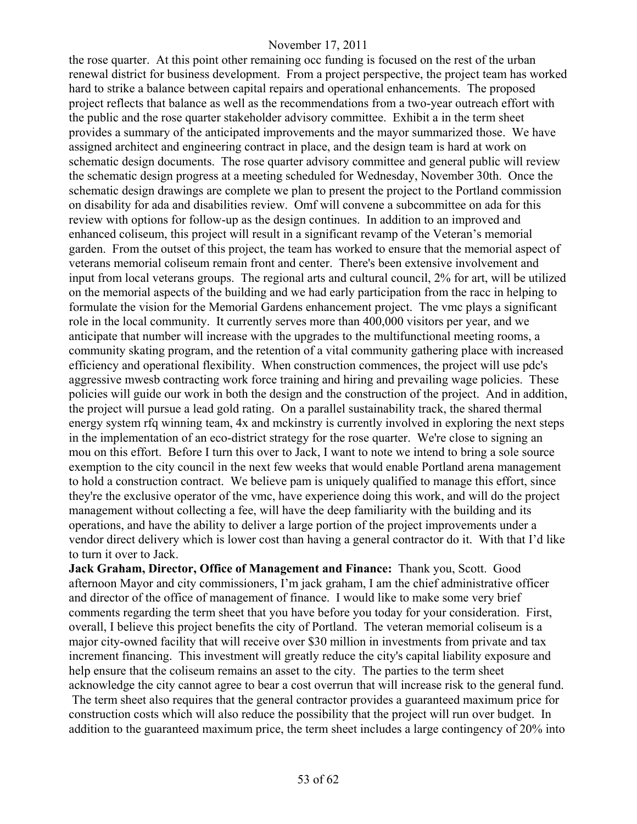the rose quarter. At this point other remaining occ funding is focused on the rest of the urban renewal district for business development. From a project perspective, the project team has worked hard to strike a balance between capital repairs and operational enhancements. The proposed project reflects that balance as well as the recommendations from a two-year outreach effort with the public and the rose quarter stakeholder advisory committee. Exhibit a in the term sheet provides a summary of the anticipated improvements and the mayor summarized those. We have assigned architect and engineering contract in place, and the design team is hard at work on schematic design documents. The rose quarter advisory committee and general public will review the schematic design progress at a meeting scheduled for Wednesday, November 30th. Once the schematic design drawings are complete we plan to present the project to the Portland commission on disability for ada and disabilities review. Omf will convene a subcommittee on ada for this review with options for follow-up as the design continues. In addition to an improved and enhanced coliseum, this project will result in a significant revamp of the Veteran's memorial garden. From the outset of this project, the team has worked to ensure that the memorial aspect of veterans memorial coliseum remain front and center. There's been extensive involvement and input from local veterans groups. The regional arts and cultural council, 2% for art, will be utilized on the memorial aspects of the building and we had early participation from the racc in helping to formulate the vision for the Memorial Gardens enhancement project. The vmc plays a significant role in the local community. It currently serves more than 400,000 visitors per year, and we anticipate that number will increase with the upgrades to the multifunctional meeting rooms, a community skating program, and the retention of a vital community gathering place with increased efficiency and operational flexibility. When construction commences, the project will use pdc's aggressive mwesb contracting work force training and hiring and prevailing wage policies. These policies will guide our work in both the design and the construction of the project. And in addition, the project will pursue a lead gold rating. On a parallel sustainability track, the shared thermal energy system rfq winning team, 4x and mckinstry is currently involved in exploring the next steps in the implementation of an eco-district strategy for the rose quarter. We're close to signing an mou on this effort. Before I turn this over to Jack, I want to note we intend to bring a sole source exemption to the city council in the next few weeks that would enable Portland arena management to hold a construction contract. We believe pam is uniquely qualified to manage this effort, since they're the exclusive operator of the vmc, have experience doing this work, and will do the project management without collecting a fee, will have the deep familiarity with the building and its operations, and have the ability to deliver a large portion of the project improvements under a vendor direct delivery which is lower cost than having a general contractor do it. With that I'd like to turn it over to Jack.

**Jack Graham, Director, Office of Management and Finance:** Thank you, Scott. Good afternoon Mayor and city commissioners, I'm jack graham, I am the chief administrative officer and director of the office of management of finance. I would like to make some very brief comments regarding the term sheet that you have before you today for your consideration. First, overall, I believe this project benefits the city of Portland. The veteran memorial coliseum is a major city-owned facility that will receive over \$30 million in investments from private and tax increment financing. This investment will greatly reduce the city's capital liability exposure and help ensure that the coliseum remains an asset to the city. The parties to the term sheet acknowledge the city cannot agree to bear a cost overrun that will increase risk to the general fund. The term sheet also requires that the general contractor provides a guaranteed maximum price for construction costs which will also reduce the possibility that the project will run over budget. In addition to the guaranteed maximum price, the term sheet includes a large contingency of 20% into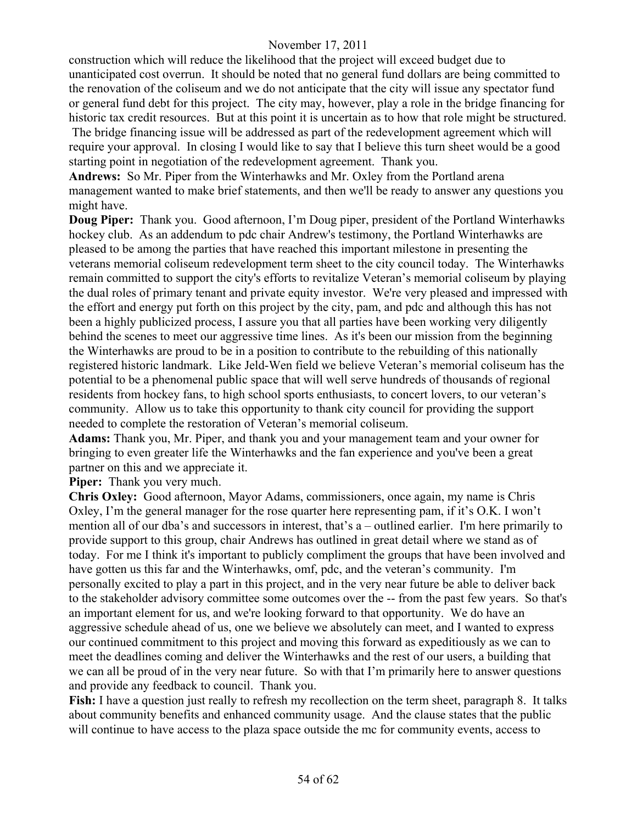construction which will reduce the likelihood that the project will exceed budget due to unanticipated cost overrun. It should be noted that no general fund dollars are being committed to the renovation of the coliseum and we do not anticipate that the city will issue any spectator fund or general fund debt for this project. The city may, however, play a role in the bridge financing for historic tax credit resources. But at this point it is uncertain as to how that role might be structured. The bridge financing issue will be addressed as part of the redevelopment agreement which will require your approval. In closing I would like to say that I believe this turn sheet would be a good

starting point in negotiation of the redevelopment agreement. Thank you.

**Andrews:** So Mr. Piper from the Winterhawks and Mr. Oxley from the Portland arena management wanted to make brief statements, and then we'll be ready to answer any questions you might have.

**Doug Piper:** Thank you. Good afternoon, I'm Doug piper, president of the Portland Winterhawks hockey club. As an addendum to pdc chair Andrew's testimony, the Portland Winterhawks are pleased to be among the parties that have reached this important milestone in presenting the veterans memorial coliseum redevelopment term sheet to the city council today. The Winterhawks remain committed to support the city's efforts to revitalize Veteran's memorial coliseum by playing the dual roles of primary tenant and private equity investor. We're very pleased and impressed with the effort and energy put forth on this project by the city, pam, and pdc and although this has not been a highly publicized process, I assure you that all parties have been working very diligently behind the scenes to meet our aggressive time lines. As it's been our mission from the beginning the Winterhawks are proud to be in a position to contribute to the rebuilding of this nationally registered historic landmark. Like Jeld-Wen field we believe Veteran's memorial coliseum has the potential to be a phenomenal public space that will well serve hundreds of thousands of regional residents from hockey fans, to high school sports enthusiasts, to concert lovers, to our veteran's community. Allow us to take this opportunity to thank city council for providing the support needed to complete the restoration of Veteran's memorial coliseum.

**Adams:** Thank you, Mr. Piper, and thank you and your management team and your owner for bringing to even greater life the Winterhawks and the fan experience and you've been a great partner on this and we appreciate it.

**Piper:** Thank you very much.

**Chris Oxley:** Good afternoon, Mayor Adams, commissioners, once again, my name is Chris Oxley, I'm the general manager for the rose quarter here representing pam, if it's O.K. I won't mention all of our dba's and successors in interest, that's a – outlined earlier. I'm here primarily to provide support to this group, chair Andrews has outlined in great detail where we stand as of today. For me I think it's important to publicly compliment the groups that have been involved and have gotten us this far and the Winterhawks, omf, pdc, and the veteran's community. I'm personally excited to play a part in this project, and in the very near future be able to deliver back to the stakeholder advisory committee some outcomes over the -- from the past few years. So that's an important element for us, and we're looking forward to that opportunity. We do have an aggressive schedule ahead of us, one we believe we absolutely can meet, and I wanted to express our continued commitment to this project and moving this forward as expeditiously as we can to meet the deadlines coming and deliver the Winterhawks and the rest of our users, a building that we can all be proud of in the very near future. So with that I'm primarily here to answer questions and provide any feedback to council. Thank you.

**Fish:** I have a question just really to refresh my recollection on the term sheet, paragraph 8. It talks about community benefits and enhanced community usage. And the clause states that the public will continue to have access to the plaza space outside the mc for community events, access to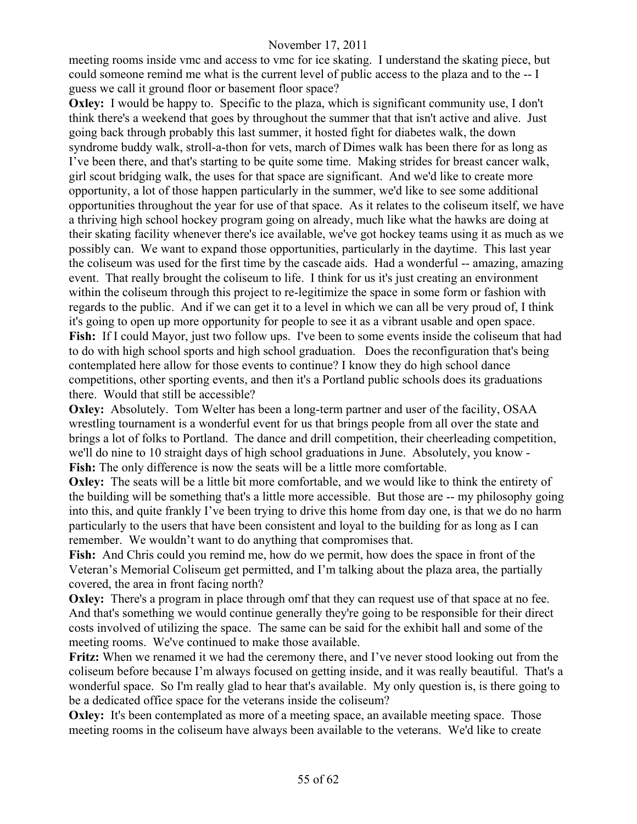meeting rooms inside vmc and access to vmc for ice skating. I understand the skating piece, but could someone remind me what is the current level of public access to the plaza and to the -- I guess we call it ground floor or basement floor space?

**Oxley:** I would be happy to. Specific to the plaza, which is significant community use, I don't think there's a weekend that goes by throughout the summer that that isn't active and alive. Just going back through probably this last summer, it hosted fight for diabetes walk, the down syndrome buddy walk, stroll-a-thon for vets, march of Dimes walk has been there for as long as I've been there, and that's starting to be quite some time. Making strides for breast cancer walk, girl scout bridging walk, the uses for that space are significant. And we'd like to create more opportunity, a lot of those happen particularly in the summer, we'd like to see some additional opportunities throughout the year for use of that space. As it relates to the coliseum itself, we have a thriving high school hockey program going on already, much like what the hawks are doing at their skating facility whenever there's ice available, we've got hockey teams using it as much as we possibly can. We want to expand those opportunities, particularly in the daytime. This last year the coliseum was used for the first time by the cascade aids. Had a wonderful -- amazing, amazing event. That really brought the coliseum to life. I think for us it's just creating an environment within the coliseum through this project to re-legitimize the space in some form or fashion with regards to the public. And if we can get it to a level in which we can all be very proud of, I think it's going to open up more opportunity for people to see it as a vibrant usable and open space. Fish: If I could Mayor, just two follow ups. I've been to some events inside the coliseum that had to do with high school sports and high school graduation. Does the reconfiguration that's being contemplated here allow for those events to continue? I know they do high school dance competitions, other sporting events, and then it's a Portland public schools does its graduations there. Would that still be accessible?

**Oxley:** Absolutely. Tom Welter has been a long-term partner and user of the facility, OSAA wrestling tournament is a wonderful event for us that brings people from all over the state and brings a lot of folks to Portland. The dance and drill competition, their cheerleading competition, we'll do nine to 10 straight days of high school graduations in June. Absolutely, you know - **Fish:** The only difference is now the seats will be a little more comfortable.

**Oxley:** The seats will be a little bit more comfortable, and we would like to think the entirety of the building will be something that's a little more accessible. But those are -- my philosophy going into this, and quite frankly I've been trying to drive this home from day one, is that we do no harm particularly to the users that have been consistent and loyal to the building for as long as I can remember. We wouldn't want to do anything that compromises that.

**Fish:** And Chris could you remind me, how do we permit, how does the space in front of the Veteran's Memorial Coliseum get permitted, and I'm talking about the plaza area, the partially covered, the area in front facing north?

**Oxley:** There's a program in place through omf that they can request use of that space at no fee. And that's something we would continue generally they're going to be responsible for their direct costs involved of utilizing the space. The same can be said for the exhibit hall and some of the meeting rooms. We've continued to make those available.

**Fritz:** When we renamed it we had the ceremony there, and I've never stood looking out from the coliseum before because I'm always focused on getting inside, and it was really beautiful. That's a wonderful space. So I'm really glad to hear that's available. My only question is, is there going to be a dedicated office space for the veterans inside the coliseum?

**Oxley:** It's been contemplated as more of a meeting space, an available meeting space. Those meeting rooms in the coliseum have always been available to the veterans. We'd like to create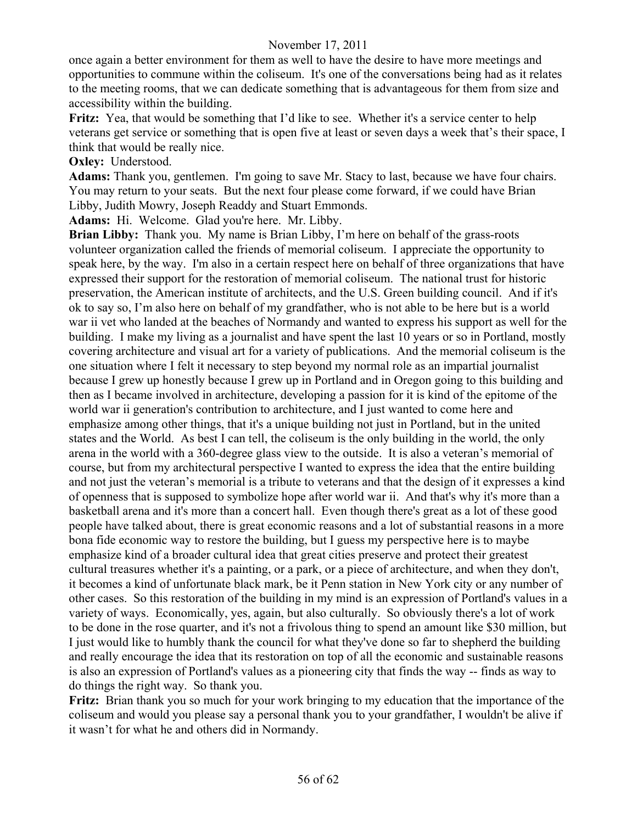once again a better environment for them as well to have the desire to have more meetings and opportunities to commune within the coliseum. It's one of the conversations being had as it relates to the meeting rooms, that we can dedicate something that is advantageous for them from size and accessibility within the building.

**Fritz:** Yea, that would be something that I'd like to see. Whether it's a service center to help veterans get service or something that is open five at least or seven days a week that's their space, I think that would be really nice.

**Oxley:** Understood.

**Adams:** Thank you, gentlemen. I'm going to save Mr. Stacy to last, because we have four chairs. You may return to your seats. But the next four please come forward, if we could have Brian Libby, Judith Mowry, Joseph Readdy and Stuart Emmonds.

**Adams:** Hi. Welcome. Glad you're here. Mr. Libby.

**Brian Libby:** Thank you. My name is Brian Libby, I'm here on behalf of the grass-roots volunteer organization called the friends of memorial coliseum. I appreciate the opportunity to speak here, by the way. I'm also in a certain respect here on behalf of three organizations that have expressed their support for the restoration of memorial coliseum. The national trust for historic preservation, the American institute of architects, and the U.S. Green building council. And if it's ok to say so, I'm also here on behalf of my grandfather, who is not able to be here but is a world war ii vet who landed at the beaches of Normandy and wanted to express his support as well for the building. I make my living as a journalist and have spent the last 10 years or so in Portland, mostly covering architecture and visual art for a variety of publications. And the memorial coliseum is the one situation where I felt it necessary to step beyond my normal role as an impartial journalist because I grew up honestly because I grew up in Portland and in Oregon going to this building and then as I became involved in architecture, developing a passion for it is kind of the epitome of the world war ii generation's contribution to architecture, and I just wanted to come here and emphasize among other things, that it's a unique building not just in Portland, but in the united states and the World. As best I can tell, the coliseum is the only building in the world, the only arena in the world with a 360-degree glass view to the outside. It is also a veteran's memorial of course, but from my architectural perspective I wanted to express the idea that the entire building and not just the veteran's memorial is a tribute to veterans and that the design of it expresses a kind of openness that is supposed to symbolize hope after world war ii. And that's why it's more than a basketball arena and it's more than a concert hall. Even though there's great as a lot of these good people have talked about, there is great economic reasons and a lot of substantial reasons in a more bona fide economic way to restore the building, but I guess my perspective here is to maybe emphasize kind of a broader cultural idea that great cities preserve and protect their greatest cultural treasures whether it's a painting, or a park, or a piece of architecture, and when they don't, it becomes a kind of unfortunate black mark, be it Penn station in New York city or any number of other cases. So this restoration of the building in my mind is an expression of Portland's values in a variety of ways. Economically, yes, again, but also culturally. So obviously there's a lot of work to be done in the rose quarter, and it's not a frivolous thing to spend an amount like \$30 million, but I just would like to humbly thank the council for what they've done so far to shepherd the building and really encourage the idea that its restoration on top of all the economic and sustainable reasons is also an expression of Portland's values as a pioneering city that finds the way -- finds as way to do things the right way. So thank you.

**Fritz:** Brian thank you so much for your work bringing to my education that the importance of the coliseum and would you please say a personal thank you to your grandfather, I wouldn't be alive if it wasn't for what he and others did in Normandy.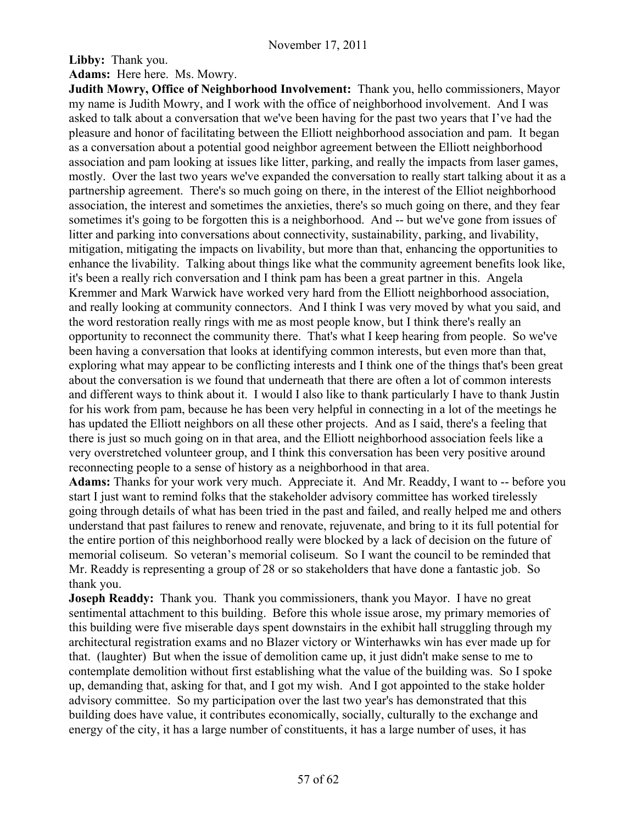**Libby:** Thank you.

**Adams:** Here here. Ms. Mowry.

**Judith Mowry, Office of Neighborhood Involvement:** Thank you, hello commissioners, Mayor my name is Judith Mowry, and I work with the office of neighborhood involvement. And I was asked to talk about a conversation that we've been having for the past two years that I've had the pleasure and honor of facilitating between the Elliott neighborhood association and pam. It began as a conversation about a potential good neighbor agreement between the Elliott neighborhood association and pam looking at issues like litter, parking, and really the impacts from laser games, mostly. Over the last two years we've expanded the conversation to really start talking about it as a partnership agreement. There's so much going on there, in the interest of the Elliot neighborhood association, the interest and sometimes the anxieties, there's so much going on there, and they fear sometimes it's going to be forgotten this is a neighborhood. And -- but we've gone from issues of litter and parking into conversations about connectivity, sustainability, parking, and livability, mitigation, mitigating the impacts on livability, but more than that, enhancing the opportunities to enhance the livability. Talking about things like what the community agreement benefits look like, it's been a really rich conversation and I think pam has been a great partner in this. Angela Kremmer and Mark Warwick have worked very hard from the Elliott neighborhood association, and really looking at community connectors. And I think I was very moved by what you said, and the word restoration really rings with me as most people know, but I think there's really an opportunity to reconnect the community there. That's what I keep hearing from people. So we've been having a conversation that looks at identifying common interests, but even more than that, exploring what may appear to be conflicting interests and I think one of the things that's been great about the conversation is we found that underneath that there are often a lot of common interests and different ways to think about it. I would I also like to thank particularly I have to thank Justin for his work from pam, because he has been very helpful in connecting in a lot of the meetings he has updated the Elliott neighbors on all these other projects. And as I said, there's a feeling that there is just so much going on in that area, and the Elliott neighborhood association feels like a very overstretched volunteer group, and I think this conversation has been very positive around reconnecting people to a sense of history as a neighborhood in that area.

**Adams:** Thanks for your work very much. Appreciate it. And Mr. Readdy, I want to -- before you start I just want to remind folks that the stakeholder advisory committee has worked tirelessly going through details of what has been tried in the past and failed, and really helped me and others understand that past failures to renew and renovate, rejuvenate, and bring to it its full potential for the entire portion of this neighborhood really were blocked by a lack of decision on the future of memorial coliseum. So veteran's memorial coliseum. So I want the council to be reminded that Mr. Readdy is representing a group of 28 or so stakeholders that have done a fantastic job. So thank you.

**Joseph Readdy:** Thank you. Thank you commissioners, thank you Mayor. I have no great sentimental attachment to this building. Before this whole issue arose, my primary memories of this building were five miserable days spent downstairs in the exhibit hall struggling through my architectural registration exams and no Blazer victory or Winterhawks win has ever made up for that. (laughter) But when the issue of demolition came up, it just didn't make sense to me to contemplate demolition without first establishing what the value of the building was. So I spoke up, demanding that, asking for that, and I got my wish. And I got appointed to the stake holder advisory committee. So my participation over the last two year's has demonstrated that this building does have value, it contributes economically, socially, culturally to the exchange and energy of the city, it has a large number of constituents, it has a large number of uses, it has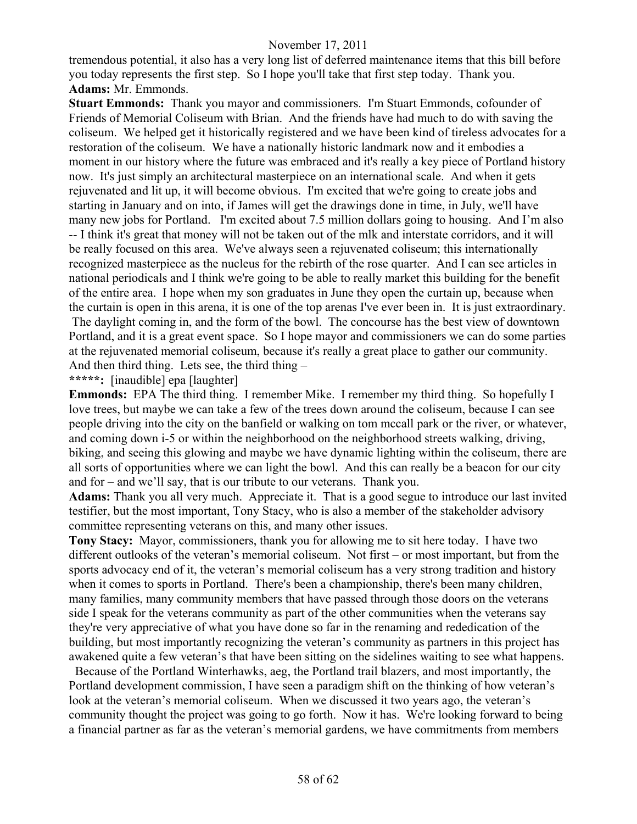tremendous potential, it also has a very long list of deferred maintenance items that this bill before you today represents the first step. So I hope you'll take that first step today. Thank you. **Adams:** Mr. Emmonds.

**Stuart Emmonds:** Thank you mayor and commissioners. I'm Stuart Emmonds, cofounder of Friends of Memorial Coliseum with Brian. And the friends have had much to do with saving the coliseum. We helped get it historically registered and we have been kind of tireless advocates for a restoration of the coliseum. We have a nationally historic landmark now and it embodies a moment in our history where the future was embraced and it's really a key piece of Portland history now. It's just simply an architectural masterpiece on an international scale. And when it gets rejuvenated and lit up, it will become obvious. I'm excited that we're going to create jobs and starting in January and on into, if James will get the drawings done in time, in July, we'll have many new jobs for Portland. I'm excited about 7.5 million dollars going to housing. And I'm also -- I think it's great that money will not be taken out of the mlk and interstate corridors, and it will be really focused on this area. We've always seen a rejuvenated coliseum; this internationally recognized masterpiece as the nucleus for the rebirth of the rose quarter. And I can see articles in national periodicals and I think we're going to be able to really market this building for the benefit of the entire area. I hope when my son graduates in June they open the curtain up, because when the curtain is open in this arena, it is one of the top arenas I've ever been in. It is just extraordinary. The daylight coming in, and the form of the bowl. The concourse has the best view of downtown Portland, and it is a great event space. So I hope mayor and commissioners we can do some parties at the rejuvenated memorial coliseum, because it's really a great place to gather our community. And then third thing. Lets see, the third thing –

# **\*\*\*\*\*:** [inaudible] epa [laughter]

**Emmonds:** EPA The third thing. I remember Mike. I remember my third thing. So hopefully I love trees, but maybe we can take a few of the trees down around the coliseum, because I can see people driving into the city on the banfield or walking on tom mccall park or the river, or whatever, and coming down i-5 or within the neighborhood on the neighborhood streets walking, driving, biking, and seeing this glowing and maybe we have dynamic lighting within the coliseum, there are all sorts of opportunities where we can light the bowl. And this can really be a beacon for our city and for – and we'll say, that is our tribute to our veterans. Thank you.

**Adams:** Thank you all very much. Appreciate it. That is a good segue to introduce our last invited testifier, but the most important, Tony Stacy, who is also a member of the stakeholder advisory committee representing veterans on this, and many other issues.

**Tony Stacy:** Mayor, commissioners, thank you for allowing me to sit here today. I have two different outlooks of the veteran's memorial coliseum. Not first – or most important, but from the sports advocacy end of it, the veteran's memorial coliseum has a very strong tradition and history when it comes to sports in Portland. There's been a championship, there's been many children, many families, many community members that have passed through those doors on the veterans side I speak for the veterans community as part of the other communities when the veterans say they're very appreciative of what you have done so far in the renaming and rededication of the building, but most importantly recognizing the veteran's community as partners in this project has awakened quite a few veteran's that have been sitting on the sidelines waiting to see what happens.

 Because of the Portland Winterhawks, aeg, the Portland trail blazers, and most importantly, the Portland development commission, I have seen a paradigm shift on the thinking of how veteran's look at the veteran's memorial coliseum. When we discussed it two years ago, the veteran's community thought the project was going to go forth. Now it has. We're looking forward to being a financial partner as far as the veteran's memorial gardens, we have commitments from members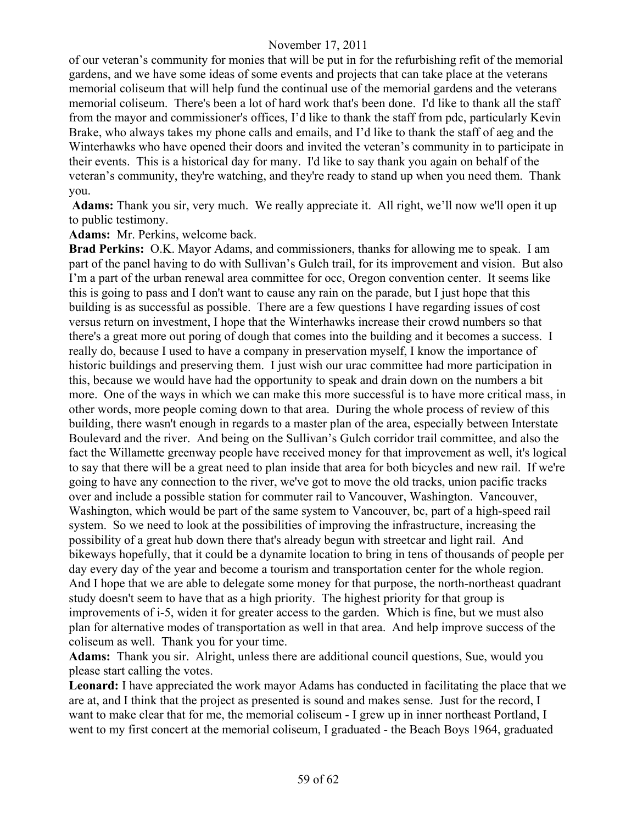of our veteran's community for monies that will be put in for the refurbishing refit of the memorial gardens, and we have some ideas of some events and projects that can take place at the veterans memorial coliseum that will help fund the continual use of the memorial gardens and the veterans memorial coliseum. There's been a lot of hard work that's been done. I'd like to thank all the staff from the mayor and commissioner's offices, I'd like to thank the staff from pdc, particularly Kevin Brake, who always takes my phone calls and emails, and I'd like to thank the staff of aeg and the Winterhawks who have opened their doors and invited the veteran's community in to participate in their events. This is a historical day for many. I'd like to say thank you again on behalf of the veteran's community, they're watching, and they're ready to stand up when you need them. Thank you.

**Adams:** Thank you sir, very much. We really appreciate it. All right, we'll now we'll open it up to public testimony.

#### **Adams:** Mr. Perkins, welcome back.

**Brad Perkins:** O.K. Mayor Adams, and commissioners, thanks for allowing me to speak. I am part of the panel having to do with Sullivan's Gulch trail, for its improvement and vision. But also I'm a part of the urban renewal area committee for occ, Oregon convention center. It seems like this is going to pass and I don't want to cause any rain on the parade, but I just hope that this building is as successful as possible. There are a few questions I have regarding issues of cost versus return on investment, I hope that the Winterhawks increase their crowd numbers so that there's a great more out poring of dough that comes into the building and it becomes a success. I really do, because I used to have a company in preservation myself, I know the importance of historic buildings and preserving them. I just wish our urac committee had more participation in this, because we would have had the opportunity to speak and drain down on the numbers a bit more. One of the ways in which we can make this more successful is to have more critical mass, in other words, more people coming down to that area. During the whole process of review of this building, there wasn't enough in regards to a master plan of the area, especially between Interstate Boulevard and the river. And being on the Sullivan's Gulch corridor trail committee, and also the fact the Willamette greenway people have received money for that improvement as well, it's logical to say that there will be a great need to plan inside that area for both bicycles and new rail. If we're going to have any connection to the river, we've got to move the old tracks, union pacific tracks over and include a possible station for commuter rail to Vancouver, Washington. Vancouver, Washington, which would be part of the same system to Vancouver, bc, part of a high-speed rail system. So we need to look at the possibilities of improving the infrastructure, increasing the possibility of a great hub down there that's already begun with streetcar and light rail. And bikeways hopefully, that it could be a dynamite location to bring in tens of thousands of people per day every day of the year and become a tourism and transportation center for the whole region. And I hope that we are able to delegate some money for that purpose, the north-northeast quadrant study doesn't seem to have that as a high priority. The highest priority for that group is improvements of i-5, widen it for greater access to the garden. Which is fine, but we must also plan for alternative modes of transportation as well in that area. And help improve success of the coliseum as well. Thank you for your time.

**Adams:** Thank you sir. Alright, unless there are additional council questions, Sue, would you please start calling the votes.

**Leonard:** I have appreciated the work mayor Adams has conducted in facilitating the place that we are at, and I think that the project as presented is sound and makes sense. Just for the record, I want to make clear that for me, the memorial coliseum - I grew up in inner northeast Portland, I went to my first concert at the memorial coliseum, I graduated - the Beach Boys 1964, graduated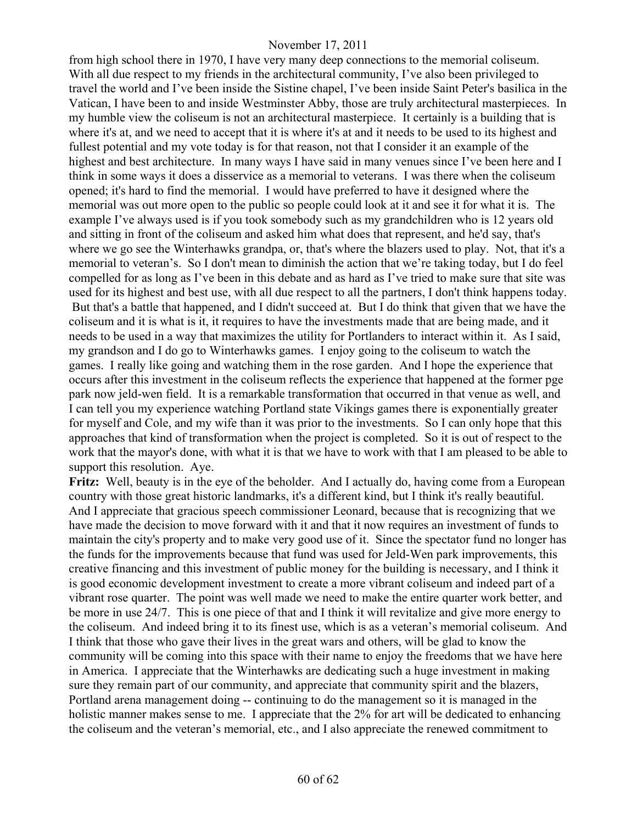from high school there in 1970, I have very many deep connections to the memorial coliseum. With all due respect to my friends in the architectural community, I've also been privileged to travel the world and I've been inside the Sistine chapel, I've been inside Saint Peter's basilica in the Vatican, I have been to and inside Westminster Abby, those are truly architectural masterpieces. In my humble view the coliseum is not an architectural masterpiece. It certainly is a building that is where it's at, and we need to accept that it is where it's at and it needs to be used to its highest and fullest potential and my vote today is for that reason, not that I consider it an example of the highest and best architecture. In many ways I have said in many venues since I've been here and I think in some ways it does a disservice as a memorial to veterans. I was there when the coliseum opened; it's hard to find the memorial. I would have preferred to have it designed where the memorial was out more open to the public so people could look at it and see it for what it is. The example I've always used is if you took somebody such as my grandchildren who is 12 years old and sitting in front of the coliseum and asked him what does that represent, and he'd say, that's where we go see the Winterhawks grandpa, or, that's where the blazers used to play. Not, that it's a memorial to veteran's. So I don't mean to diminish the action that we're taking today, but I do feel compelled for as long as I've been in this debate and as hard as I've tried to make sure that site was used for its highest and best use, with all due respect to all the partners, I don't think happens today. But that's a battle that happened, and I didn't succeed at. But I do think that given that we have the coliseum and it is what is it, it requires to have the investments made that are being made, and it needs to be used in a way that maximizes the utility for Portlanders to interact within it. As I said, my grandson and I do go to Winterhawks games. I enjoy going to the coliseum to watch the games. I really like going and watching them in the rose garden. And I hope the experience that occurs after this investment in the coliseum reflects the experience that happened at the former pge park now jeld-wen field. It is a remarkable transformation that occurred in that venue as well, and I can tell you my experience watching Portland state Vikings games there is exponentially greater for myself and Cole, and my wife than it was prior to the investments. So I can only hope that this approaches that kind of transformation when the project is completed. So it is out of respect to the work that the mayor's done, with what it is that we have to work with that I am pleased to be able to support this resolution. Aye.

**Fritz:** Well, beauty is in the eye of the beholder. And I actually do, having come from a European country with those great historic landmarks, it's a different kind, but I think it's really beautiful. And I appreciate that gracious speech commissioner Leonard, because that is recognizing that we have made the decision to move forward with it and that it now requires an investment of funds to maintain the city's property and to make very good use of it. Since the spectator fund no longer has the funds for the improvements because that fund was used for Jeld-Wen park improvements, this creative financing and this investment of public money for the building is necessary, and I think it is good economic development investment to create a more vibrant coliseum and indeed part of a vibrant rose quarter. The point was well made we need to make the entire quarter work better, and be more in use 24/7. This is one piece of that and I think it will revitalize and give more energy to the coliseum. And indeed bring it to its finest use, which is as a veteran's memorial coliseum. And I think that those who gave their lives in the great wars and others, will be glad to know the community will be coming into this space with their name to enjoy the freedoms that we have here in America. I appreciate that the Winterhawks are dedicating such a huge investment in making sure they remain part of our community, and appreciate that community spirit and the blazers, Portland arena management doing -- continuing to do the management so it is managed in the holistic manner makes sense to me. I appreciate that the 2% for art will be dedicated to enhancing the coliseum and the veteran's memorial, etc., and I also appreciate the renewed commitment to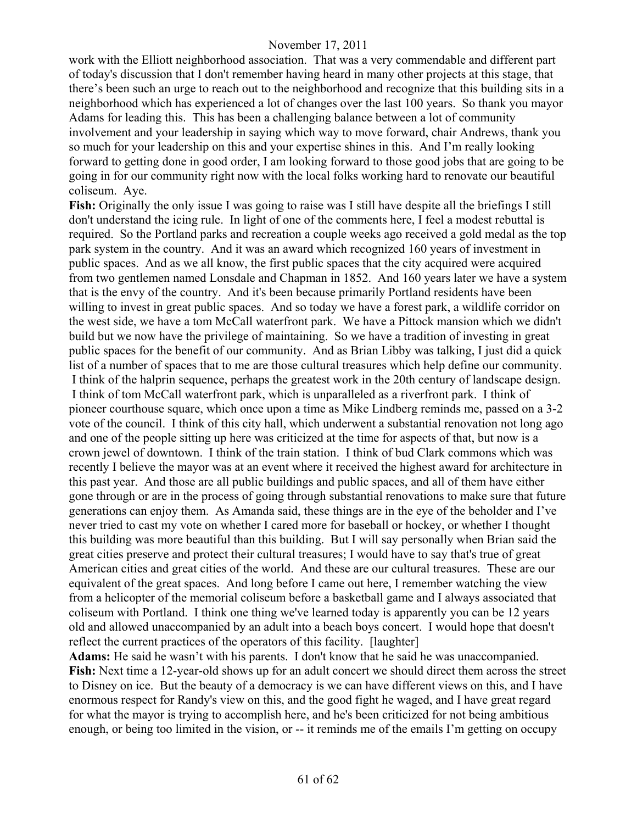work with the Elliott neighborhood association. That was a very commendable and different part of today's discussion that I don't remember having heard in many other projects at this stage, that there's been such an urge to reach out to the neighborhood and recognize that this building sits in a neighborhood which has experienced a lot of changes over the last 100 years. So thank you mayor Adams for leading this. This has been a challenging balance between a lot of community involvement and your leadership in saying which way to move forward, chair Andrews, thank you so much for your leadership on this and your expertise shines in this. And I'm really looking forward to getting done in good order, I am looking forward to those good jobs that are going to be going in for our community right now with the local folks working hard to renovate our beautiful coliseum. Aye.

**Fish:** Originally the only issue I was going to raise was I still have despite all the briefings I still don't understand the icing rule. In light of one of the comments here, I feel a modest rebuttal is required. So the Portland parks and recreation a couple weeks ago received a gold medal as the top park system in the country. And it was an award which recognized 160 years of investment in public spaces. And as we all know, the first public spaces that the city acquired were acquired from two gentlemen named Lonsdale and Chapman in 1852. And 160 years later we have a system that is the envy of the country. And it's been because primarily Portland residents have been willing to invest in great public spaces. And so today we have a forest park, a wildlife corridor on the west side, we have a tom McCall waterfront park. We have a Pittock mansion which we didn't build but we now have the privilege of maintaining. So we have a tradition of investing in great public spaces for the benefit of our community. And as Brian Libby was talking, I just did a quick list of a number of spaces that to me are those cultural treasures which help define our community. I think of the halprin sequence, perhaps the greatest work in the 20th century of landscape design. I think of tom McCall waterfront park, which is unparalleled as a riverfront park. I think of pioneer courthouse square, which once upon a time as Mike Lindberg reminds me, passed on a 3-2 vote of the council. I think of this city hall, which underwent a substantial renovation not long ago and one of the people sitting up here was criticized at the time for aspects of that, but now is a crown jewel of downtown. I think of the train station. I think of bud Clark commons which was recently I believe the mayor was at an event where it received the highest award for architecture in this past year. And those are all public buildings and public spaces, and all of them have either gone through or are in the process of going through substantial renovations to make sure that future generations can enjoy them. As Amanda said, these things are in the eye of the beholder and I've never tried to cast my vote on whether I cared more for baseball or hockey, or whether I thought this building was more beautiful than this building. But I will say personally when Brian said the great cities preserve and protect their cultural treasures; I would have to say that's true of great American cities and great cities of the world. And these are our cultural treasures. These are our equivalent of the great spaces. And long before I came out here, I remember watching the view from a helicopter of the memorial coliseum before a basketball game and I always associated that coliseum with Portland. I think one thing we've learned today is apparently you can be 12 years old and allowed unaccompanied by an adult into a beach boys concert. I would hope that doesn't reflect the current practices of the operators of this facility. [laughter]

**Adams:** He said he wasn't with his parents. I don't know that he said he was unaccompanied. **Fish:** Next time a 12-year-old shows up for an adult concert we should direct them across the street to Disney on ice. But the beauty of a democracy is we can have different views on this, and I have enormous respect for Randy's view on this, and the good fight he waged, and I have great regard for what the mayor is trying to accomplish here, and he's been criticized for not being ambitious enough, or being too limited in the vision, or -- it reminds me of the emails I'm getting on occupy